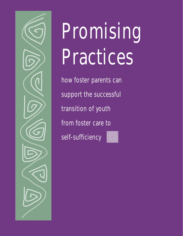

# Promising Practices

how foster parents can support the successful transition of youth from foster care to self-sufficiency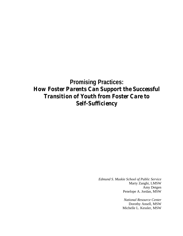# **Promising Practices:** *How Foster Parents Can Support the Successful Transition of Youth from Foster Care to Self-Sufficiency*

*Edmund S. Muskie School of Public Service* Marty Zanghi, LMSW Amy Detgen Penelope A. Jordan, MSW

> *National Resource Center* Dorothy Ansell, MSW Michelle L. Kessler, MSW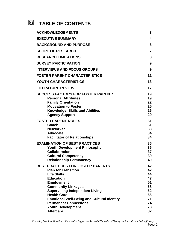#### 囫 **TABLE OF CONTENTS**

| <b>ACKNOWLEDGEMENTS</b>                                                                                                                                                                                                                                                                                                                            | 3                                                              |
|----------------------------------------------------------------------------------------------------------------------------------------------------------------------------------------------------------------------------------------------------------------------------------------------------------------------------------------------------|----------------------------------------------------------------|
| <b>EXECUTIVE SUMMARY</b>                                                                                                                                                                                                                                                                                                                           | 4                                                              |
| <b>BACKGROUND AND PURPOSE</b>                                                                                                                                                                                                                                                                                                                      | 6                                                              |
| <b>SCOPE OF RESEARCH</b>                                                                                                                                                                                                                                                                                                                           | $\overline{7}$                                                 |
| <b>RESEARCH LIMITATIONS</b>                                                                                                                                                                                                                                                                                                                        | 8                                                              |
| <b>SURVEY PARTICIPATION</b>                                                                                                                                                                                                                                                                                                                        | 9                                                              |
| <b>INTERVIEWS AND FOCUS GROUPS</b>                                                                                                                                                                                                                                                                                                                 | 9                                                              |
|                                                                                                                                                                                                                                                                                                                                                    | 11                                                             |
| <b>FOSTER PARENT CHARACTERISTICS</b>                                                                                                                                                                                                                                                                                                               |                                                                |
| YOUTH CHARACTERISTICS                                                                                                                                                                                                                                                                                                                              | 13                                                             |
| <b>LITERATURE REVIEW</b>                                                                                                                                                                                                                                                                                                                           | 17                                                             |
| <b>SUCCESS FACTORS FOR FOSTER PARENTS</b><br><b>Personal Attributes</b><br><b>Family Orientation</b><br><b>Motivation to Foster</b><br>Knowledge, Skills and Abilities<br><b>Agency Support</b>                                                                                                                                                    | 19<br>19<br>22<br>25<br>26<br>29                               |
| <b>FOSTER PARENT ROLES</b><br>Coach<br><b>Networker</b><br><b>Advocate</b><br><b>Facilitator of Relationships</b>                                                                                                                                                                                                                                  | 31<br>31<br>33<br>34<br>34                                     |
| <b>EXAMINATION OF BEST PRACTICES</b><br><b>Youth Development Philosophy</b><br><b>Collaboration</b><br><b>Cultural Competency</b><br><b>Relationship Permanency</b>                                                                                                                                                                                | 36<br>36<br>37<br>39<br>40                                     |
| <b>BEST PRACTICES FOR FOSTER PARENTS</b><br><b>Plan for Transition</b><br><b>Life Skills</b><br><b>Education</b><br><b>Employment</b><br><b>Community Linkages</b><br><b>Supervising Independent Living</b><br><b>Health Care</b><br><b>Emotional Well-Being and Cultural Identity</b><br><b>Permanent Connections</b><br><b>Youth Development</b> | 42<br>42<br>44<br>47<br>51<br>58<br>62<br>66<br>71<br>74<br>78 |
| <b>Aftercare</b>                                                                                                                                                                                                                                                                                                                                   | 82                                                             |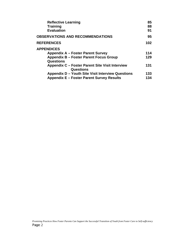| <b>Reflective Learning</b>                        | 85  |
|---------------------------------------------------|-----|
| <b>Training</b>                                   | 88  |
| <b>Evaluation</b>                                 | 91  |
| <b>OBSERVATIONS AND RECOMMENDATIONS</b>           | 95  |
| <b>REFERENCES</b>                                 | 102 |
| <b>APPENDICES</b>                                 |     |
| Appendix A – Foster Parent Survey                 | 114 |
| <b>Appendix B - Foster Parent Focus Group</b>     | 129 |
| Questions                                         |     |
| Appendix C – Foster Parent Site Visit Interview   | 131 |
| Questions                                         |     |
| Appendix D – Youth Site Visit Interview Questions | 133 |
| <b>Appendix E - Foster Parent Survey Results</b>  | 134 |
|                                                   |     |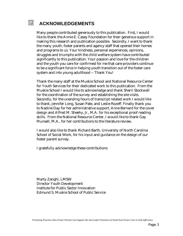#### 网 **ACKNOWLEDGEMENTS**

Many people contributed generously to this publication. First, I would like to thank the Annie E. Casey Foundation for their generous support in making this research and publication possible. Secondly, I want to thank the many youth, foster parents and agency staff that opened their homes and programs to us. Your kindness, personal experiences, opinions, struggles and triumphs with the child welfare system have contributed significantly to this publication. Your passion and love for the children and the youth you care for confirmed for me that care-providers continue to be a significant force in helping youth transition out of the foster care system and into young adulthood -- Thank You!

Thank the many staff at the Muskie School and National Resource Center for Youth Services for their dedicated work to this publication. From the Muskie School I would like to acknowledge and thank Sherri Stockwell for the coordination of the survey and establishing the site visits. Secondly, for the unending hours of transcript related work I would like to thank, Jennifer Long, Susan Pate, and Leslie Rozeff. Finally thank you to Nadine Day for her administrative support, Anne Bernard for the cover design and Alfred M. Sheehy, Jr., M.A. for his exceptional proof reading skills. From the National Resource Center, I would like to thank Gay Munsell, M.A., for her contributions to the literature review.

I would also like to thank Richard Barth, University of North Carolina School of Social Work, for his input and guidance on the design of our foster parent survey.

I gratefully acknowledge these contributions

Marty Zanghi, LMSW Director Youth Development Institute for Public Sector Innovation Edmund S. Muskie School of Public Service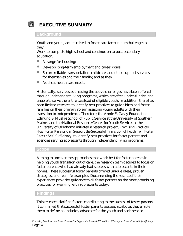# 网

# **EXECUTIVE SUMMARY**

#### **Background**

Youth and young adults raised in foster care face unique challenges as they:

Work to complete high school and continue on to post-secondary education;

- Arrange for housing;
- Develop long-term employment and career goals;
- Secure reliable transportation, childcare, and other support services for themselves and their family; and as they
- ó Address health care needs.

Historically, services addressing the above challenges have been offered through independent living programs, which are often under-funded and unable to serve the entire caseload of eligible youth. In addition, there has been limited research to identify best practices to guide birth and foster families on their primary role in assisting young adults with their transition to independence. Therefore, the Annie E. Casey Foundation, Edmund S. Muskie School of Public Service at the University of Southern Maine, and the National Resource Center for Youth Services at the University of Oklahoma initiated a research project, *Promising Practices: How Foster Parents Can Support the Successful Transition of Youth from Foster Care to Self- Sufficiency,* to identify best practices for foster parents and agencies serving adolescents through independent living programs.

#### **Scope**

Aiming to uncover the approaches that work best for foster parents in helping youth transition out of care, the research team decided to focus on foster parents who had already had success with adolescents in their homes. These successful foster parents offered unique ideas, proven strategies, and real-life examples. Documenting the results of their experiences provides guidance to all foster parents on the most promising practices for working with adolescents today.

#### **Findings**

This research clarified factors contributing to the success of foster parents. It confirmed that successful foster parents possess attributes that enable them to define boundaries, advocate for the youth and seek needed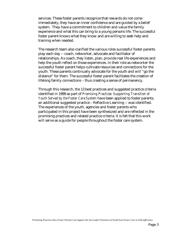services. These foster parents recognize that rewards do not come immediately; they have an inner confidence and are guided by a belief system. They have a commitment to children and value the family experience and what this can bring to a young persons life. The successful foster parent knows what they know and are willing to seek help and training when needed.

The research team also clarified the various roles successful foster parents play each day -- coach, networker, advocate and facilitator of relationships. As coach, they listen, plan, provide real life experiences and help the youth reflect on those experiences. In their role as networker the successful foster parent helps cultivate resources and connections for the youth. These parents continually advocate for the youth and will "go the distance" for them. The successful foster parent facilitates the creation of lifelong family connections – thus creating a sense of permanency.

Through this research, the 13 best practices and suggested practice criteria identified in 1999 as part of *Promising Practices: Supporting Transition of Youth Served by the Foster Care System* have been applied to foster parents; an additional suggested practice – Reflective Learning -- was identified. The experiences of the youth, agencies and foster parents who participated in this project have been synthesized and are reflected in the promising practices and related practice criteria. It is felt that this work will serve as a guide for people throughout the foster care system.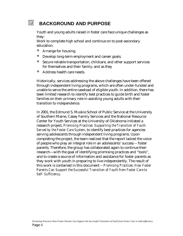#### 网 **BACKGROUND AND PURPOSE**

Youth and young adults raised in foster care face unique challenges as they:

Work to complete high school and continue on to post-secondary education;

- Arrange for housing;
- ó Develop long-term employment and career goals;
- ó Secure reliable transportation, childcare, and other support services for themselves and their family; and as they
- Address health care needs.

Historically, services addressing the above challenges have been offered through independent living programs, which are often under-funded and unable to serve the entire caseload of eligible youth. In addition, there has been limited research to identify best practices to guide birth and foster families on their primary role in assisting young adults with their transition to independence.

In 2001, the Edmund S. Muskie School of Public Service at the University of Southern Maine, Casey Family Services and the National Resource Center for Youth Services at the University of Oklahoma initiated a research project, *Promising Practices: Supporting the Transition of Youth Served by the Foster Care System*, to identify best practices for agencies serving adolescents through independent living programs. Upon completing the project, the team realized that the report lacked the voice of people who play an integral role in an adolescents' success -- foster parents. Therefore, the group has collaborated again to continue their research—with the goal of identifying promising practices and "tools", and to create a source of information and assistance for foster parents as they work with youth in preparing to live independently. The result of this work is contained in this document -- *Promising Practices: How Foster Parents Can Support the Successful Transition of Youth from Foster Care to Self- Sufficiency.*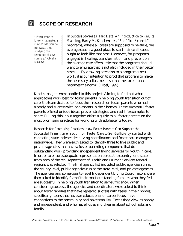#### जि। **SCOPE OF RESEARCH**

*"If you want to know what makes a runner fast, you do not waste time studying the technique of slow runners." Abraham Maslow*

In *Success Stories as Hard Data: An Introduction to Results Mapping*, Barry M. Kibel writes, "For "fix it/cure it" programs, where all cases are supposed to be alike, the average case is a good place to start—since all cases ought to look like that case. However, for programs engaged in healing, transformation, and prevention, the average case offers little that the programs should want to emulate that is not also included in their better cases . . . By drawing attention to a program's best work, it is our intention to prod that program to make the necessary adjustments so that the exceptional becomes the norm" (Kibel, 1999).

Kibel's insights were applied to this project. Aiming to find out what approaches work best for foster parents in helping youth transition out of care, the team decided to focus their research on foster parents who had already had success with adolescents in their homes. These successful foster parents offered unique ideas, proven strategies, and real-life examples to share. Pulling this input together offers a guide to all foster parents on the most promising practices for working with adolescents today.

Research for *Promising Practices: How Foster Parents Can Support the Successful Transition of Youth from Foster Care to Self-Sufficiency* started with contacting state independent living coordinators and foster care managers nationwide. They were each asked to identify three to five public and private agencies that have a foster parenting component that do outstanding work providing independent living services for youth in care. In order to ensure adequate representation across the country, one state from each of the ten Department of Health and Human Services federal regions was selected. The final agency list included public agencies run at the county level, public agencies run at the state level, and private agencies. The agencies and some county-level Independent Living Coordinators were then asked to identify five of their most outstanding families who they feel are successful in helping youth transition to self-sufficiency. When considering success, the agencies and coordinators were asked to think about foster families that have repeated success with teens in their homes; specifically, teens that have an educational or career focus, have connections to the community and have stability. Teens they view as happy and independent, and who have hopes and dreams about school, jobs and family.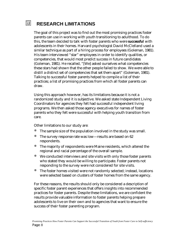# **RESEARCH LIMITATIONS**

The goal of this project was to find out the most promising practices foster parents can use in working with youth transitioning to adulthood. To do this, the team decided to talk with foster parents who were *successful* with adolescents in their homes. Harvard psychologist David McClelland used a similar technique as part of a hiring process for employees (Goleman, 1981). His team interviewed "star" employees in order to identify qualities, or competencies, that would most predict success in future candidates (Goleman, 1981). He recalled, "[We] asked ourselves what competencies these stars had shown that the other people failed to show. We were able to distill a distinct set of competencies that set them apart" (Goleman, 1981). Talking to successful foster parents helped to compile a list of their practices; a list of promising practices from which all foster parents can draw.

Using this approach however, has its limitations because it is not a randomized study and it is subjective. We asked state Independent Living Coordinators for agencies they felt had successful independent living programs. We then asked those agency executives for names of foster parents who they felt were successful with helping youth transition from care.

Other limitations to our study are:

- The sample size of the population involved in the study was small.
- The survey response rate was low—results are based on 62 respondents.
- ó The majority of respondents were Maine residents, which altered the regional and racial percentage of the overall sample.
- ó We conducted interviews and site visits with only those foster parents who stated they would be willing to participate. Foster parents not responding to the survey were not considered for site visits.
- ó The foster homes visited were not randomly selected; instead, locations were selected based on clusters of foster homes from the same agency.

For these reasons, the results should only be considered a description of specific foster parent experiences that offers insights into recommended practices for foster parents. Despite these limitations, we are confident the results provide valuable information to foster parents helping prepare adolescents to live on their own and to agencies that want to ensure the success of their foster parenting program.

网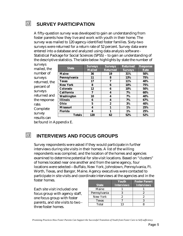#### 囥 **SURVEY PARTICIPATION**

A fifty-question survey was developed to gain an understanding from foster parents how they live and work with youth in their home. The survey was mailed to 120 agency-identified foster families. Sixty-two surveys were returned for a return rate of 52 percent. Survey data were entered into a database and analyzed using data analysis software - Statistical Package for Social Sciences (SPSS) – to gain an understanding of the descriptive statistics. The table below highlights by state the number of

| surveys       |                   | <b>Surveys</b> | <b>Surveys</b>   | <b>Returned</b> | <b>Response</b> |
|---------------|-------------------|----------------|------------------|-----------------|-----------------|
| mailed, the   | <b>State</b>      | <b>Mailed</b>  | <b>Returned</b>  | <b>Surveys</b>  | Rate            |
| number of     | <b>Maine</b>      | 36             | 19               | 31%             | 50%             |
| surveys       | Pennsylvania      | 11             | 8                | 13%             | 75%             |
| returned, the | <b>Texas</b>      | 17             | 7                | 11%             | 40%             |
| percent of    | <b>New York</b>   | 8              | 6                | 10%             | 75%             |
|               | Colorado          | 12             | 6                | 10%             | 50%             |
| surveys       | <b>California</b> | 7              | $\boldsymbol{4}$ | 7%              | 60%             |
| returned and  | <b>Washington</b> | 10             | 4                | 7%              | 40%             |
| the response  | <b>Illinois</b>   | 6              | $\boldsymbol{4}$ | 7%              | 67%             |
| rate.         | Ohio              | $\mathbf 5$    | $\boldsymbol{2}$ | 3%              | 40%             |
| Complete      | <b>Missouri</b>   | 4              | 1                | 1%              | 25%             |
|               | Florida           | 4              | 1                | 1%              | 25%             |
| survey        | <b>Totals</b>     | <b>120</b>     | 62               | 52%             | 52%             |
| results can   |                   |                |                  |                 |                 |

be found in Appendix E.

# 励

# **INTERVIEWS AND FOCUS GROUPS**

Survey respondents were asked if they would participate in further interviews during site visits in their homes. A list of the willing respondents was compiled, and the location of the homes and agencies examined to determine potential for site-visit locations. Based on "clusters" of homes located near one another and from the same agency, four locations were selected—Buffalo, New York, Johnstown, Pennsylvania, Ft. Worth, Texas, and Bangor, Maine. Agency executives were contacted to participate in site visits and coordinate interviews at the agencies and in the foster homes.

Each site visit included one focus group with agency staff, one focus group with foster parents, and site visits to two three foster homes.

| <b>State</b> | Youth<br><b>Interviews</b> | <b>Foster Parent</b><br><b>Interviews</b> |
|--------------|----------------------------|-------------------------------------------|
| Maine        |                            |                                           |
| Pennsylvania |                            |                                           |
| New York     |                            |                                           |
| <b>Texas</b> |                            |                                           |
| Total        |                            |                                           |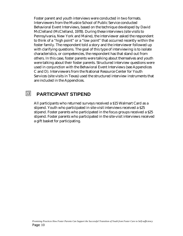Foster parent and youth interviews were conducted in two formats. Interviewers from the Muskie School of Public Service conducted Behavioral Event Interviews, based on the technique developed by David McClelland (McClelland, 1978). During these interviews (site visits to Pennsylvania, New York and Maine), the interviewer asked the respondent to think of a "high point" or a "low point" that occurred recently within the foster family. The respondent told a story and the interviewer followed up with clarifying questions. The goal of this type of interviewing is to isolate characteristics, or competencies, the respondent has that stand out from others. In this case, foster parents were talking about themselves and youth were talking about their foster parents. Structured interview questions were used in conjunction with the Behavioral Event Interviews (see Appendices C and D). Interviewers from the National Resource Center for Youth Services (site visits in Texas) used the structured interview instruments that are included in the Appendices.

#### 励 **PARTICIPANT STIPEND**

All participants who returned surveys received a \$15 Walmart Card as a stipend. Youth who participated in site-visit interviews received a \$25 stipend. Foster parents who participated in the focus groups received a \$25 stipend. Foster parents who participated in the site-visit interviews received a gift basket for participating.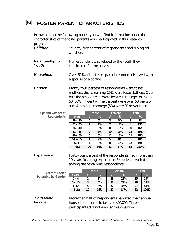#### 囫 **FOSTER PARENT CHARACTERISTICS**

Below and on the following pages, you will find information about the characteristics of the foster parents who participated in this research project.

| <b>Children</b>        | Seventy-five percent of respondents had biological<br>children. |
|------------------------|-----------------------------------------------------------------|
| <b>Relationship to</b> | No respondent was related to the youth they                     |
| Youth                  | considered for the survey.                                      |

- **Household** Over 82% of the foster parent respondents lived with a spouse or a partner.
- **Gender** Eighty-four percent of respondents were foster mothers; the remaining 16% were foster fathers. Over half the respondents were between the ages of 36 and 50 (53%). Twenty-nine percent were over 50 years of age. A small percentage (5%) were 30 or younger.

| <b>Age and Gender of</b> |              |                  | <b>Male</b> |             | Female |    | <b>Total</b> |
|--------------------------|--------------|------------------|-------------|-------------|--------|----|--------------|
| <b>Respondents</b>       | Age          | #                | %           | #           | %      | #  | %            |
|                          | $26 - 30$    | 0                | $0\%$       | 3           | 5%     | 3  | 5%           |
|                          | $31 - 35$    |                  | 2%          | 7           | 11%    | 8  | 13%          |
|                          | $36 - 40$    | 2                | 3%          | 8           | 13%    | 10 | 16%          |
|                          | $41 - 45$    | $\boldsymbol{2}$ | 3%          | 10          | 16%    | 12 | 19%          |
|                          | $46 - 50$    | 0                | $0\%$       | 11          | 18%    | 11 | 18%          |
|                          | $51 - 55$    |                  | 2%          | $\mathbf 5$ | 8%     | 6  | 10%          |
|                          | 56 >         | 4                | 6%          | 8           | 13%    | 12 | 19%          |
|                          | <b>Total</b> | 10               | 16%         | 52          | 84%    | 62 | 100%         |

**Experience** Forty-four percent of the respondents had more than 10 years fostering experience. Experience varied among the remaining respondents.

| <b>Years of Foster</b>     |              | <b>Male</b> |     | <b>Female</b> |      | <b>Total</b> |      |
|----------------------------|--------------|-------------|-----|---------------|------|--------------|------|
| <b>Parenting by Gender</b> | <b>Years</b> |             | %   | #             | $\%$ | #            | $\%$ |
|                            | $0 - 4$      | 2           | 3%  | 13            | 21%  | 15           | 24%  |
|                            | $5 - 10$     | 3           | 5%  | 17            | 27%  | 20           | 32%  |
|                            | >10          | 5           | 8%  | 22            | 36%  | 27           | 44%  |
|                            | <b>Total</b> | 10          | 16% | 52            | 84%  | 62           | 100% |

# *Household Income*

More than half of respondents reported their annual household income to be over \$40,000. Three participants did not answer this question.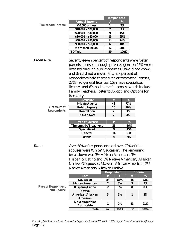|                           |                                                                                                                                                                                                                                                                                                                                                                                                                                                             |                   | <b>Respondent</b> |      |               |  |
|---------------------------|-------------------------------------------------------------------------------------------------------------------------------------------------------------------------------------------------------------------------------------------------------------------------------------------------------------------------------------------------------------------------------------------------------------------------------------------------------------|-------------------|-------------------|------|---------------|--|
|                           | <b>Annual Income</b>                                                                                                                                                                                                                                                                                                                                                                                                                                        | $\#$              | %                 |      |               |  |
| <b>Household Income</b>   | \$10,000 or Less                                                                                                                                                                                                                                                                                                                                                                                                                                            | 1                 | 2%                |      |               |  |
|                           | $$10,001 - $20,000$                                                                                                                                                                                                                                                                                                                                                                                                                                         | $\boldsymbol{2}$  | 3%                |      |               |  |
|                           | $$20,001 - $30,000$                                                                                                                                                                                                                                                                                                                                                                                                                                         | $\pmb{9}$         | 15%               |      |               |  |
|                           | $$30,001 - $40,000$                                                                                                                                                                                                                                                                                                                                                                                                                                         | 15                | 25%               |      |               |  |
|                           | $$40,001 - $50,000$                                                                                                                                                                                                                                                                                                                                                                                                                                         | 14                | 24%               |      |               |  |
|                           | $$50,001 - $60,000$                                                                                                                                                                                                                                                                                                                                                                                                                                         | $\bf{6}$          | 10%               |      |               |  |
|                           | More than 60,000                                                                                                                                                                                                                                                                                                                                                                                                                                            | 12                | 20%               |      |               |  |
|                           | <b>TOTAL</b>                                                                                                                                                                                                                                                                                                                                                                                                                                                | 59                | 100%              |      |               |  |
| <b>Licensure</b>          | Seventy-seven percent of respondents were foster<br>parents licensed through private agencies; 16% were<br>licensed through public agencies, 3% did not know,<br>and 3% did not answer. Fifty-six percent of<br>respondents held therapeutic or treatment licenses,<br>23% had general licenses, 15% have specialized<br>licenses and 6% had "other" licenses, which include<br>Family Teachers, Foster to Adopt, and Options for<br>Recovery.<br>Licensure | $\#$              |                   | %    |               |  |
|                           | <b>Private Agency</b>                                                                                                                                                                                                                                                                                                                                                                                                                                       | 48                |                   | 77%  |               |  |
| <b>Licensure of</b>       | <b>Public Agency</b>                                                                                                                                                                                                                                                                                                                                                                                                                                        | 10                |                   | 16%  |               |  |
| <b>Respondents</b>        | <b>Don't Know</b>                                                                                                                                                                                                                                                                                                                                                                                                                                           | 2                 |                   | 3%   |               |  |
|                           | <b>No Answer</b>                                                                                                                                                                                                                                                                                                                                                                                                                                            | 2                 |                   | 3%   |               |  |
|                           |                                                                                                                                                                                                                                                                                                                                                                                                                                                             |                   |                   |      |               |  |
|                           | <b>Type of License</b>                                                                                                                                                                                                                                                                                                                                                                                                                                      | $\#$              |                   | %    |               |  |
|                           | Therapeutic/Treatment                                                                                                                                                                                                                                                                                                                                                                                                                                       | 35                |                   | 56%  |               |  |
|                           | <b>Specialized</b>                                                                                                                                                                                                                                                                                                                                                                                                                                          | $\boldsymbol{9}$  |                   | 15%  |               |  |
|                           | <b>General</b>                                                                                                                                                                                                                                                                                                                                                                                                                                              | 14                |                   | 23%  |               |  |
|                           | <b>Other</b>                                                                                                                                                                                                                                                                                                                                                                                                                                                | 4                 |                   | 6%   |               |  |
| Race                      | Over 80% of respondents and over 70% of the                                                                                                                                                                                                                                                                                                                                                                                                                 |                   |                   |      |               |  |
|                           |                                                                                                                                                                                                                                                                                                                                                                                                                                                             |                   |                   |      |               |  |
|                           | spouses were White/Caucasian. The remaining                                                                                                                                                                                                                                                                                                                                                                                                                 |                   |                   |      |               |  |
|                           | breakdown was 3% African American, 3%                                                                                                                                                                                                                                                                                                                                                                                                                       |                   |                   |      |               |  |
|                           | Hispanic/Latino and 5% Native American/Alaskan                                                                                                                                                                                                                                                                                                                                                                                                              |                   |                   |      |               |  |
|                           | Native. Of spouses, 5% were African American, 2%                                                                                                                                                                                                                                                                                                                                                                                                            |                   |                   |      |               |  |
|                           | Native American/Alaskan Native.                                                                                                                                                                                                                                                                                                                                                                                                                             |                   |                   |      |               |  |
|                           |                                                                                                                                                                                                                                                                                                                                                                                                                                                             | <b>Respondent</b> |                   |      | <b>Spouse</b> |  |
|                           | Race                                                                                                                                                                                                                                                                                                                                                                                                                                                        | #                 | %                 | $\#$ | %             |  |
|                           | Caucasian                                                                                                                                                                                                                                                                                                                                                                                                                                                   | 54                | 87%               | 45   | 72%           |  |
|                           | <b>African American</b>                                                                                                                                                                                                                                                                                                                                                                                                                                     | 2                 | 3%                | 3    | 5%            |  |
| <b>Race of Respondent</b> | Hispanic/Latino                                                                                                                                                                                                                                                                                                                                                                                                                                             | 2                 | 3%                | 0    | 0%            |  |

**Race of Respondent and Spouse**

**3 5% 1 2%**

**Total 62 100% 62 100%**

**Applicable <sup>1</sup> 2% <sup>13</sup> 21%**

**Native American/Alaskan American**

**No Answer/Not**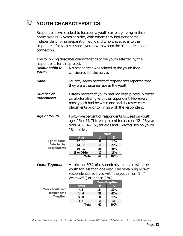#### 圆 **YOUTH CHARACTERISTICS**

Respondents were asked to focus on a youth currently living in their home, who is 12 years or older, with whom they had done some independent living preparation work and who was special to the respondent for some reason; a youth with whom the respondent had a connection.

| The following describes characteristics of the youth selected by the |  |
|----------------------------------------------------------------------|--|
| respondents for this project.                                        |  |

| <b>Relationship to</b><br>Youth | No respondent was related to the youth they<br>considered for the survey.                                                                                                                                       |    |            |  |  |
|---------------------------------|-----------------------------------------------------------------------------------------------------------------------------------------------------------------------------------------------------------------|----|------------|--|--|
| Race                            | Seventy-seven percent of respondents reported that<br>they were the same race as the youth.                                                                                                                     |    |            |  |  |
| Number of<br><b>Placements</b>  | Fifteen percent of youth had not been placed in foster<br>care before living with the respondent. However,<br>most youth had between one and six foster care<br>placements prior to living with the respondent. |    |            |  |  |
| <b>Age of Youth</b>             | Forty-five percent of respondents focused on youth<br>ages 16 or 17. Thirteen percent focused on 12 - 13 year<br>olds; 26% 14 - 15 year olds and 16% focused on youth<br>18 or older.<br><b>Youth</b>           |    |            |  |  |
|                                 | Age                                                                                                                                                                                                             | #  | %          |  |  |
| <b>Age of Youth</b>             | $12 - 13$                                                                                                                                                                                                       | 8  | 13%        |  |  |
| <b>Selected by</b>              | $14 - 15$                                                                                                                                                                                                       | 16 | 26%        |  |  |
| <b>Respondents</b>              | $16 - 17$                                                                                                                                                                                                       | 28 | 45%        |  |  |
|                                 | 18 or Older                                                                                                                                                                                                     | 10 | <b>16%</b> |  |  |

**Years Together** A third, or 39%, of respondents had lived with the youth for less than one year. The remaining 61% of respondents had lived with the youth from 1 – 4 years (45%) or longer (16%).

**Total 62 100%**

**Years Youth and Respondent Together**

|              | <u>Yea</u> rs Together |      |  |  |
|--------------|------------------------|------|--|--|
| <b>Years</b> | #                      | ℅    |  |  |
| $\epsilon$ 1 | 24                     | 39%  |  |  |
| 1 - 4        | 28                     | 45%  |  |  |
| $5 - 8$      | 8                      | 13%  |  |  |
| > 8          | 2.                     | 3%   |  |  |
| <b>Total</b> | 62                     | 100% |  |  |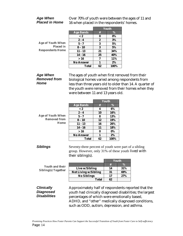#### *Age When Placed in Home*

Over 70% of youth were between the ages of 11 and 16 when placed in the respondents' homes.

|                                                                         |                  | <b>Youth</b> |       |  |
|-------------------------------------------------------------------------|------------------|--------------|-------|--|
|                                                                         | <b>Age Bands</b> | #            | %     |  |
| <b>Age of Youth When</b><br><b>Placed in</b><br><b>Respondents Home</b> | $\overline{<2}$  | 0            | $0\%$ |  |
|                                                                         | $2 - 4$          | 2            | 3%    |  |
|                                                                         | $5 - 7$          | 3            | 5%    |  |
|                                                                         | $8 - 10$         | 3            | 5%    |  |
|                                                                         | $11 - 13$        | 21           | 34%   |  |
|                                                                         | $14 - 16$        | 25           | 40%   |  |
|                                                                         | >16              | 7            | 11%   |  |
|                                                                         | <b>No Answer</b> |              | $2\%$ |  |
|                                                                         | Total            | 62           | 100%  |  |

## *Age When Removed from Home*

The ages of youth when first removed from their biological homes varied among respondents from less than three years old to older than 14. A quarter of the youth were removed from their homes when they were between 11 and 13 years old.

| <b>Age Bands</b> | #  | %            |
|------------------|----|--------------|
| < 2              | 4  | 6%           |
| $2 - 4$          | 10 | 16%          |
| $5 - 7$          | 8  | 13%          |
| $8 - 10$         | 12 | 19%          |
| $11 - 13$        | 16 | 26%          |
| $14 - 16$        | 11 | 18%          |
| >16              | 0  | $0\%$        |
| <b>No Answer</b> |    | $2\%$        |
| <b>Total</b>     | 62 | 100%         |
|                  |    | <b>Youth</b> |

**Siblings** Seventy-three percent of youth were part of a sibling group. However, only 31% of these youth lived with their sibling(s).

|                            | <b>Youth and their</b> |
|----------------------------|------------------------|
| <b>Sibling(s) Together</b> |                        |

|                             | Youth |      |
|-----------------------------|-------|------|
|                             | 4     | $\%$ |
| Live w/Sibling              | 14    | 31%  |
| <b>Not Living w/Sibling</b> | 31    | 69%  |
| <b>No Siblings</b>          | 17    | 27%  |
| <b>Total</b>                | 62    |      |

*Clinically Diagnosed Disabilities* Approximately half of respondents reported that the youth had clinically diagnosed disabilities; the largest percentages of which were emotionally based, ADHD, and "other" medically diagnosed conditions, such as ODD, autism, depression, and asthma.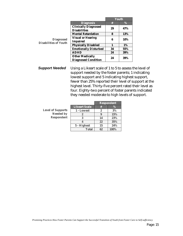|                                                  |                              | Youth |            |
|--------------------------------------------------|------------------------------|-------|------------|
|                                                  | <b>Diagnosis</b>             | #     | %          |
|                                                  | <b>Clinically Diagnosed</b>  | 29    | 47%        |
|                                                  | <b>Disabilities</b>          |       |            |
|                                                  | <b>Mental Retardation</b>    | 8     | <b>13%</b> |
| <b>Diagnosed</b><br><b>Disabilities of Youth</b> | <b>Visual or Hearing</b>     | 6     | 10%        |
|                                                  | <b>Impaired</b>              |       |            |
|                                                  | <b>Physically Disabled</b>   | 1     | <b>1%</b>  |
|                                                  | <b>Emotionally Disturbed</b> | 34    | 55%        |
|                                                  | <b>ADHD</b>                  | 24    | 39%        |
|                                                  | <b>Other Medically</b>       | 24    | 39%        |
|                                                  | <b>Diagnosed Condition</b>   |       |            |

**Support Needed** Using a Likeart scale of 1 to 5 to assess the level of support needed by the foster parents; 1 indicating lowest support and 5 indicating highest support, fewer than 25% reported their level of support at the highest level. Thirty-five percent rated their level as four. Eighty-two percent of foster parents indicated they needed moderate to high levels of support.

| <b>Level of Supports</b> |
|--------------------------|
| <b>Needed by</b>         |
| <b>Respondent</b>        |

|                      | <b>Respondent</b> |      |
|----------------------|-------------------|------|
| <b>Likeart Scale</b> | ₩.                | $\%$ |
| 1 - Lowest           | 2                 | 3%   |
| չ                    | g                 | 15%  |
| 3                    | 14                | 23%  |
|                      | 22                | 35%  |
| 5 - Highest          | 15                | 24%  |
| <b>Total</b>         | 62                | 100% |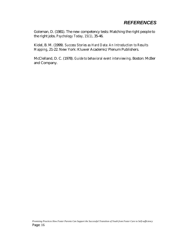# *REFERENCES*

Goleman, D. (1981). The new competency tests: Matching the right people to the right jobs. *Psychology Today, 15(1)*, 35-46.

Kidel, B. M. (1999*). Success Stories as Hard Data: An Introduction to Results Mapping*, 21-22. New York: Kluwer Academic/Plenum Publishers.

McClelland, D. C. (1978). *Guide to behavioral event interviewing*. Boston: McBer and Company.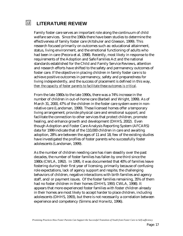#### 圆 **LITERATURE REVIEW**

Family foster care serves an important role along the continuum of child welfare services. Since the 1960s there have been studies to determine the effectiveness of family foster care (Altshuler and Gleeson, 1999). This research focused primarily on outcomes such as: educational attainment, status, living environment, and the emotional functioning of adults who had been in care (Pecora et al, 1998). Recently, most likely in response to the requirements of the Adoption and Safe Families Act and the national standards established for the Child and Family Service Reviews, attention and research efforts have shifted to the safety and permanency outcomes of foster care. If the objective in placing children in family foster care is to achieve positive outcomes in permanency, safety and preparedness for living independently, and the success of placement is defined in this way, *then the capacity of foster parents to facilitate these outcomes is critical*.

From the late 1980s to the late 1990s, there was a 74% increase in the number of children in out-of-home care (Barbell and Wright, 1999). As of March 31, 2000, 47% of the children in the foster care system were in nonrelative care (Landsman, 1999). These licensed homes offer a temporary living arrangement; provide physical care and emotional support; and facilitate the connection to other services that protect children, promote healing, and enhance growth and development (DHHS, 2002). Even though Adoption and Foster Care Analysis Reporting System (AFCARS) data for 1999 indicate that of the 110,000 children in care and awaiting adoption, 28% are between the ages of 11 and 18, few of the existing studies have investigated the profiles of foster parents who successfully foster adolescents (Landsman, 1999).

As the number of children needing care has risen steadily over the past decades, the number of foster families has fallen by one third since the 1980s (CWLA, 1992). In 1995, it was documented that 40% of families leave fostering during their first year of licensing, primarily because of confusing role expectations, lack of agency support and respite, the challenging behaviors of children, negative interactions with birth families and agency staff, and/or payment issues. Of the foster families remaining, 35% of them had no foster children in their homes (DHHS, 1993; CWLA, 1998). It appears that more experienced foster families with foster children already in their homes are most likely to accept harder to place children, including adolescents (DHHS, 1993), but there is not necessarily a correlation between experience and competency (Simms and Horwitz, 1996).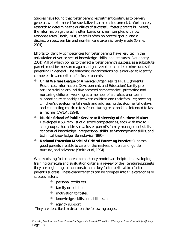Studies have found that foster parent recruitment continues to be very general, while the need for specialized care remains unmet. Unfortunately, research to determine the qualities of successful foster parents is limited, the information gathered is often based on small samples with low response rates (Barth, 2001), there is often no control group, and a distinction between kin and non-kin care takers is rarely made (Orme, 2001).

Efforts to identify competencies for foster parents have resulted in the articulation of varied sets of knowledge, skills, and attitudes (Dougherty, 2001). All of which points to the fact a foster parent's success, as a substitute parent, must be measured against objective criteria to determine successful parenting in general. The following organizations have worked to identify competencies and criteria for foster parents.

- ó **Child Welfare League of America:** Organizes its PRIDE (Parents' Resources, Information, Development, and Education) family preservice training around five accreted competencies: protecting and nurturing children; working as a member of a professional team; supporting relationships between children and their families; meeting children's developmental needs and addressing developmental delays; and connecting children to safe, nurturing relationships intended to last a lifetime (CWLA, 1994).
- ó **Muskie School of Public Service at University of Southern Maine:** Developed a 50-item list of discrete competencies, each with two to 11 sub-groups, that addresses a foster parent's family management skills, conceptual knowledge, interpersonal skills, self-management skills, and technical knowledge (Bernotavicz, 1995).
- **National Extension Model of Critical Parenting Practice:** Suggests good parents are able to care for themselves, understand, guide, nurture, and advocate (Smith et al, 1994).

While existing foster parent competency models are helpful in developing training curricula and evaluation criteria, a review of the literature suggests they are beginning to incorporate some key factors critical to a foster parent's success. These characteristics can be grouped into five categories or success factors:

- ó personal attributes,
- family orientation,
- motivation to foster,
- ó knowledge, skills and abilities, and
- agency support.

They are described in detail on the following pages.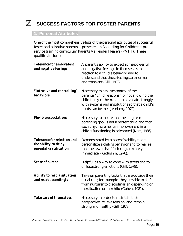# **SUCCESS FACTORS FOR FOSTER PARENTS**

# **1. Personal Attributes**

囥

One of the most comprehensive lists of the personal attributes of successful foster and adoptive parents is presented in Spaulding for Children's preservice training curriculum Parents As Tender Healers (PATH). These qualities include:

| <b>Tolerance for ambivalent</b><br>and negative feelings                             | A parent's ability to expect some powerful<br>and negative feelings in themselves in<br>reaction to a child's behavior and to<br>understand that those feelings are normal<br>and transient (Gill, 1978).                      |
|--------------------------------------------------------------------------------------|--------------------------------------------------------------------------------------------------------------------------------------------------------------------------------------------------------------------------------|
| "Intrusive and controlling"<br><b>behaviors</b>                                      | Necessary to assume control of the<br>parental/child relationship, not allowing the<br>child to reject them, and to advocate strongly<br>with systems and institutions so that a child's<br>needs can be met (Jernberg, 1979). |
| <b>Flexible expectations</b>                                                         | Necessary to insure that the long-term<br>parenting goal is not a perfect child and that<br>each tiny, incremental improvement in a<br>child's functioning is celebrated (Katz, 1986).                                         |
| <b>Tolerance for rejection and</b><br>the ability to delay<br>parental gratification | Demonstrated by a parent's ability to de-<br>personalize a child's behavior and to realize<br>that the rewards of fostering are rarely<br>immediate (Kadushin, 1970).                                                          |
| <b>Sense of humor</b>                                                                | Helpful as a way to cope with stress and to<br>diffuse strong emotions (Gill, 1978).                                                                                                                                           |
| <b>Ability to read a situation</b><br>and react accordingly                          | Take on parenting tasks that are outside their<br>usual role; for example, they are able to shift<br>from nurturer to disciplinarian depending on<br>the situation or the child (Cohen, 1981).                                 |
| <b>Take care of themselves</b>                                                       | Necessary in order to maintain their<br>perspective, relieve tension, and remain<br>strong and healthy (Gill, 1978).                                                                                                           |

*Promising Practices How Foster Parents Can Support the Successful Transition of Youth from Foster Care to Self-sufficiency*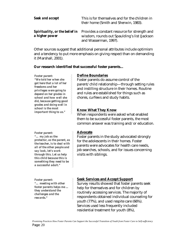| <b>Seek and accept</b> | This is for themselves and for the children in<br>their home (Smith and Sherwin, 1983).                                                                      |
|------------------------|--------------------------------------------------------------------------------------------------------------------------------------------------------------|
| a higher power         | <b>Spirituality, or the belief in</b> Provides a constant resource for strength and<br>wisdom, rounds out Spaulding's list (Jackson<br>and Wasserman, 1997). |

Other sources suggest that additional personal attributes include optimism and a tendency to put more emphasis on giving respect than on demanding it (Marshall, 2001).

#### **Our research identified that successful foster parents…**

*Foster parent: "We told her when she got here that a lot of her freedoms and her privileges were going to depend on her grades in school and how well she did, because getting good grades and doing well in school is the most important thing to us."*

*Foster parent: "… my job as the protector, as the parent, as the teacher, is to deal with all of the other people and say look, let's work through this. Let us help this child because this is something they need to be a successful adult."*

*Foster parent: "… meeting with other foster parents helps me ... they understand the challenges and the rewards."*

#### **Define Boundaries**

Foster parents do assume control of the parent/child relationship—through setting rules and instilling structure in their homes. Routine and rules are established for things such as chores, curfews and study habits.

## **Know What They Know**

When respondents were asked what enabled them to be successful foster parents, the most common answer was training and/or education.

#### **Advocate**

Foster parents in the study advocated strongly for the adolescents in their homes. Foster parents were advocates for health care needs, job searches, schools, and for issues concerning visits with siblings.

## **Seek Services and Accept Support**

Survey results showed that foster parents seek help for themselves and for children by routinely accessing services. The majority of respondents obtained individual counseling for youth (77%), and used respite care (66%). Services used less frequently included residential treatment for youth (8%),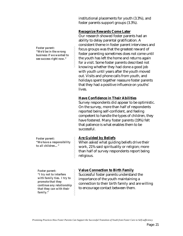institutional placements for youth (3.3%), and foster parents support groups (3.3%).

#### **Recognize Rewards Come Later**

Our research showed foster parents had an ability to delay parental gratification. A consistent theme in foster parent interviews and focus groups was that the greatest reward of foster parenting sometimes does not come until the youth has left the home and returns again for a visit. Some foster parents described not knowing whether they had done a good job with youth until years after the youth moved out. Visits and phone calls from youth, and holidays spent together reassure foster parents that they had a positive influence on youths' lives.

## **Have Confidence in Their Abilities**

Survey respondents did appear to be optimistic. On the survey, more than half of respondents reported being self-confident, and feeling competent to handle the types of children, they have fostered. Many foster parents (19%) felt that patience is what enables them to be successful.

## **Are Guided by Beliefs**

When asked what guiding beliefs drive their work, 21% said spirituality or religion; more than half of survey respondents report being religious.

## **Value Connection to Birth Family**

Successful foster parents understand the importance of the youth maintaining a connection to their birth family and are willing to encourage contact between them.

*Foster parent: "We'd be in the wrong business if we wanted to see success right now."*

*Foster parent: "We have a responsibility to all children…"*

*Foster parent: "I try not to interfere with family ties. I try to promote that they continue any relationship that they can with their family."*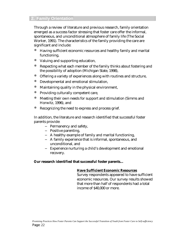Through a review of literature and previous research, family orientation emerged as a success factor stressing that foster care offer the informal, spontaneous, and unconditional atmosphere of family life (The Social Worker, 1991). The characteristics of the family providing the care are significant and include:

- Having sufficient economic resources and healthy family and marital functioning,
- ó Valuing and supporting education,
- Respecting what each member of the family thinks about fostering and the possibility of adoption (Michigan State, 1998),
- ó Offering a variety of experiences along with routines and structure,
- ó Developmental and emotional stimulation,
- ó Maintaining quality in the physical environment,
- ó Providing culturally competent care,
- Meeting their own needs for support and stimulation (Simms and Horwitz, 1996), and
- Recognizing the need to express and process grief.

In addition, the literature and research identified that successful foster parents provide:

- − Permanency and safety,
- − Positive parenting,
- − A healthy example of family and marital functioning,
- − A family experience that is informal, spontaneous, and unconditional, and
- − Experience nurturing a child's development and emotional recovery.

#### **Our research identified that successful foster parents…**

#### **Have Sufficient Economic Resources**

Survey respondents appeared to have sufficient economic resources. Our survey results showed that more than half of respondents had a total income of \$40,000 or more.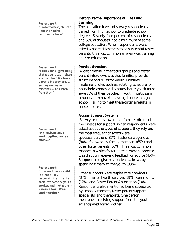*Foster parent: "To do the best job I can I know I need to continually learn"*

*Foster parent: "I think the biggest thing that we do is say - these are the rules." We leave a pretty big gray area … so they can make mistakes … and learn from them"*

*Foster parent: "My husband and I work together, we're a team…."* 

*Foster parent: "… when I have a child it's not all my responsibility. It's the social worker, the youth worker, and the teacher - - we're a team. We all work together."* 

#### **Recognize the Importance of Life Long Learning**

The education levels of survey respondents varied from high school to graduate school degrees. Seventy-four percent of respondents, and 68% of spouses, had a minimum of some college education. When respondents were asked what enables them to be successful foster parents, the most common answer was training and/or education.

## **Provide Structure**

 A clear theme in the focus groups and foster parent interviews was that families provide structure and rules for youth. Families implement rules such as: rotating schedule for household chores; daily study hour; youth must save 75% of their paycheck; youth must pass in school; youth have to have a job once in high school. Failing to meet these criteria results in consequences.

#### **Access Support Systems**

 Survey results showed that families did meet their needs for support. When respondents were asked about the types of supports they rely on, the most frequent answers were spouses/partners (85%), foster care agencies (84%), followed by family members (65%) and other foster parents (55%). The most common manner in which foster parents were supported was through receiving feedback or advice (45%). Supports also give respondents a break by spending time with the youth (38%).

Other supports were respite care providers (34%), mental health services (31%), community (17%), and Foster Parent Association (14%). Respondents also mentioned being supported by schools/teachers, foster parent support specialists, and therapists. One person mentioned receiving support from the youth's emancipated foster brother.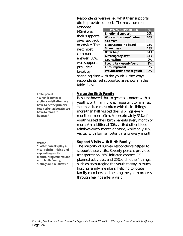Respondents were asked what their supports did to provide support. The most common

| response       |                              |       |
|----------------|------------------------------|-------|
| $(45%)$ was    | <b>WAYS SUPPORTED</b>        | %     |
|                | <b>Emotional support</b>     | 20%   |
| their supports | Work with spouse/partner     | 20%   |
| give feedback  | as a team                    |       |
| or advice. The | <b>Listen/sounding board</b> | 18%   |
| next most      | <b>Share Ideas</b>           | 18%   |
|                | <b>Offer help</b>            | 14%   |
| common         | <b>Great agency staff</b>    | 13%   |
| answer (38%)   | <b>Counseling</b>            | $9\%$ |
| was supports   | I could talk openly/vent     | 9%    |
| provide a      | <b>Encouragement</b>         | 9%    |
| break by       | Provide activities for youth | 9%    |
|                |                              |       |

spending time with the youth. Other ways respondents feel supported are shown in the table above.

#### **Value the Birth Family**

Results showed that in general, contact with a youth's birth family was important to families. Youth visited most often with their siblings more than half visited their siblings every month or more often. Approximately 35% of youth visited their birth parents every month or more. An additional 30% visited other blood relatives every month or more, while only 10% visited with former foster parents every month.

#### **Support Visits with Birth Family**

The majority of survey respondents helped to support these visits. Seventy percent provided transportation, 56% initiated contact, 33% planned activities, and 26% did "other" things such as encouraging the youth to stay in touch, hosting family members, helping to locate family members and helping the youth process through feelings after a visit.

*Foster parent: "When it comes to siblings (visitation) we have to be the primary town crier, advocate, we have to make it happen."* 

*Agency: "Foster parents play a vital role in linking and supporting youth maintaining connections with birth family, siblings and relatives."*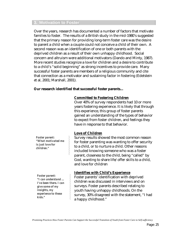## **3. Motivation to Foster**

Over the years, research has documented a number of factors that motivate families to foster. The results of a British study in the mid-1980's suggested that the primary reason for providing long-term foster care was the desire to parent a child when a couple could not conceive a child of their own. A second reason was an identification of one or both parents with the deprived children as a result of their own unhappy childhood. Social concern and altruism were additional motivators (Dando and Minty, 1987). More recent studies recognize a love for children and a desire to contribute to a child's "solid beginning" as strong incentives to provide care. Many successful foster parents are members of a religious community and cite that connection as a motivator and sustaining factor in fostering (Edelstein et al, 2001; Marshall, 2001).

#### **Our research identified that successful foster parents…**

#### **Committed to Fostering Children**

Over 40% of survey respondents had 10 or more years fostering experience. It is likely that through this experience, this group of foster parents gained an understanding of the types of behavior to expect from foster children, and feelings they have in response to that behavior.

#### **Love of Children**

Survey results showed the most common reason for foster parenting was wanting to offer security to a child, or to nurture a child. Other reasons included knowing someone who was a foster parent, closeness to the child, being "called" by God, wanting to share life/offer skills to a child, and love for children

#### **Identifies with Child's Experience**

Foster parents' identification with deprived children was discussed in interviews and on surveys. Foster parents described relating to youth having unhappy childhoods. On the survey, 30% disagreed with the statement, "I had a happy childhood."

*Foster parent: "What motivated me is just love for children."*

*Foster parent: "I can understand … I've been there. I can give some of my insights, my experience to these kids."*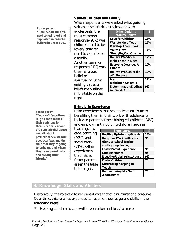## **Values Children and Family**

*Foster parent: "I believe all children need to feel loved and supported in order to believe in themselves."* 

*Foster parent:* 

*we talk about* 

*friends."* 

*"You can't fence them in, you can't make all their decisions for them… we talk about drug and alcohol abuse,* 

*premarital sex, we talk about curfews and the time that they're going to be home, and where they're supposed to be and picking their* 

When respondents were asked what guiding values or beliefs drive their work with

adolescents, the most common response (28%) was children need to be loved/children need to experience a family. Another common response (21%) was their religious belief or spirituality. *Other guiding values or beliefs* are outlined in the table on the right.

| <b>Other Guiding</b>        | $\overline{\mathcal{O}_{\Omega}}$ |
|-----------------------------|-----------------------------------|
| <b>Values/Beliefs</b>       |                                   |
| <b>Love for Children</b>    | 16%                               |
| <b>Want to Help Youth</b>   | 16%                               |
| <b>Develop Their Lives</b>  |                                   |
| <b>Youth Have</b>           | 14%                               |
| <b>Strengths/Can Change</b> |                                   |
| <b>Believe We Should</b>    | 12%                               |
| <b>Help Those in Need</b>   |                                   |
| <b>Everyone Deserves A</b>  | 12%                               |
| <b>Chance</b>               |                                   |
| <b>Believe We Can Make</b>  | 12%                               |
| a Difference                |                                   |
| My                          | 11%                               |
| <b>Upbringing/Morals</b>    |                                   |
| Determination/Dedicat       | 9%                                |
| ion/Work Ethic              |                                   |

#### **Bring Life Experience**

Prior experiences that respondents attribute to benefiting them in their work with adolescents included parenting their biological children (34%) and employment involving children, such as

teaching, day care, coaching (29%), and social work (21%). Other experiences that helped foster parents are in the table to the right.

| <b>Experiences</b>                | $\mathcal{O}_0$ |
|-----------------------------------|-----------------|
| <b>Positive Upbringing/Morals</b> | 12%             |
| <b>Religious Work with Kids</b>   | 9%              |
| (Sunday school teacher,           |                 |
| youth group leader)               |                 |
| <b>Foster Parent Experience</b>   | 9%              |
| <b>Life Experience</b>            | 9%              |
| <b>Negative Upbringing/Abuse</b>  | 9%              |
| <b>Foster Children</b>            | 7%              |
| <b>Succeeding/Keeping in</b>      |                 |
| Touch                             |                 |
| <b>Remembering My Own</b>         | 7%              |
| Adolescence                       |                 |

### **4. Knowledge, Skills and Abilities**

Historically, the role of a foster parent was that of a nurturer and caregiver. Over time, this role has expanded to require knowledge and skills in the following areas:

Helping children to cope with separation and loss, to make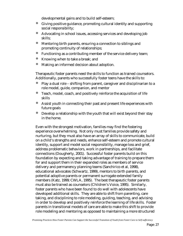developmental gains and to build self-esteem;

- ó Giving positive guidance, promoting cultural identity and supporting social responsibility;
- Advocating in school issues, accessing services and developing job skills;
- Mentoring birth parents, ensuring a connection to siblings and promoting continuity of relationships;
- ó Functioning as a contributing member of the service delivery team;
- Knowing when to take a break; and
- ó Making an informed decision about adoption.

Therapeutic foster parents need the skills to function as trained counselors. Additionally, parents who successfully foster teens have the skills to:

- Play a dual role shifting from parent, caregiver and disciplinarian to a role model, guide, companion, and mentor
- ó Teach, model, coach, and positively reinforce the acquisition of life skills
- ó Assist youth in connecting their past and present life experiences with future goals
- Develop a relationship with the youth that will exist beyond their stay in the home.

Even with the strongest motivation, families may find the fostering experience overwhelming. Not only must families provide safety and nurturing, but they must also have an array of skills to communicate, build on a child's strengths and needs, enhance self-esteem and promote cultural identity, support and model social responsibility, manage loss and grief, address problematic behaviors, work in partnerships, and facilitate connections (Dougherty, 2001). Successful foster parents build on this foundation by expecting and taking advantage of training to prepare them for and support them in their expanded roles as members of service delivery and permanency planning teams (Sanchirico et al, 1998), educational advocates (Schwartz, 1999), mentors to birth parents, and potential adoptive parents or permanent surrogate extended family members (Katz, 1999; CWLA, 1995). The best therapeutic foster parents must also be trained as counselors (Children's Voice, 1995). Similarly, foster parents who have been found to do well with adolescents have developed additional skills. They are able to shift from parenting, care taking, and disciplining to role modeling, guiding, teaching, and advising in order to develop and positively reinforce the learning of life skills. Foster parents in transitional models of care are able to make this shift to provide role modeling and mentoring as opposed to maintaining a more structured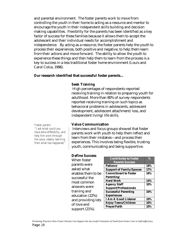and parental environment. The foster parents work to move from controlling the youth in their home to acting as a resource and mentor to encourage the youth in their independent skills building and decision making capabilities. Flexibility for the parents has been identified as a key factor of success for these families because it allows them to accept the adolescent and their individual needs for accomplishment and independence. By acting as a resource, the foster parents help the youth to process their experiences, both positive and negative, to help them learn from their actions and move forward. The ability to allow the youth to experience these things and then help them to learn from the process is a key to success in a less traditional foster home environment (Louis and Carol Colca, 1996).

#### **Our research identified that successful foster parents…**

#### **Seek Training**

 High percentages of respondents reported receiving training in relation to preparing youth for adulthood. More than 80% of survey respondents reported receiving training on such topics as behavioral problems in adolescents, adolescent development, adolescent attachment/loss, and independent living/life skills.

*Foster parent: "I ask what could you have done differently, and help him work through the issue, ideally learning from what has happened."* 

#### **Value Communication**

Interviews and focus groups showed that foster parents work with youth to help them reflect and learn from their mistakes—and process their experiences. This involves being flexible, trusting youth, communicating and being supportive.

**%**

**10% 10% Prayer/Faith 10%**

#### **Define Success**

| When foster        | <b>Contributes to Foster</b>              | $\%$ |
|--------------------|-------------------------------------------|------|
| parents were       | <b>Parents Success</b><br><b>Patience</b> | 19%  |
| asked what         | <b>Support of Family/Spouse</b>           | 17%  |
| enables them to be | <b>Commitment to Foster</b>               | 16%  |
| successful the     | <b>Parenting/</b>                         |      |
| most common        | <b>Hard Work</b>                          | 14%  |
|                    | <b>Agency Staff</b>                       | 10%  |
| answers were       | <b>Support/Professionals</b>              |      |
| training and       | <b>Successful Parenting</b>               | 10%  |
| education (22%)    | <b>Experiences</b>                        |      |
| and providing lots | <b>I Am A Good Listener</b>               | 10%  |
|                    | <b>Enjoy Teens/Children</b>               | 10%  |
| of love and        | Prayer/Faith                              | 10%  |
| support $(21\%)$ . |                                           |      |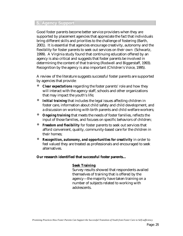# **5. Agency Support**

Good foster parents become better service providers when they are supported by placement agencies that appreciate the fact that individuals bring different skills and priorities to the challenge of fostering (Barth, 2001). It is essential that agencies encourage creativity, autonomy and the flexibility for foster parents to seek out services on their own (Schwartz, 1999). A Virginia study found that continuing education offered by an agency is also critical and suggests that foster parents be involved in determining the content of that training (Rodwell and Biggerstaff, 1993). Recognition by the agency is also important (Children's Voice, 1995).

A review of the literature suggests successful foster parents are supported by agencies that provide:

- *Clear expectations* regarding the foster parents' role and how they will interact with the agency staff, schools and other organizations that may impact the youth's life;
- ó *Initial training* that includes the legal issues affecting children in foster care, information about child safety and child development, and a discussion on working with birth parents and child welfare workers;
- **Ongoing training** that meets the needs of foster families, reflects the input of those families, and focuses on specific behaviors of children;
- **Freedom and flexibility** for foster parents to seek out services that afford convenient, quality, community-based care for the children in their homes;
- *Recognition, autonomy, and opportunities for creativity* **in order to** feel valued they are treated as professionals and encouraged to seek alternatives.

#### **Our research identified that successful foster parents…**

#### **Seek Training**

Survey results showed that respondents availed themselves of training that is offered by the agency—the majority have taken training on a number of subjects related to working with adolescents.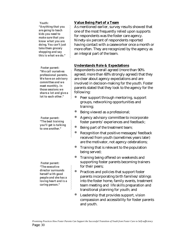#### *Youth: "Anything that you are going to teach kids you need to make sure that you know what you are doing. You can't just take them grocery shopping and say this is what we do."*

*Foster parent: "We call ourselves professional parents. We have an advisory committee and we meet monthly. In those sessions we share a lot and give a lot to each other."* 

*Foster parent: "The best training you'll get is talking to one another."* 

*Foster parent: "The executive director surrounds herself with good people and she has a loving heart and is a caring person."* 

## **Value Being Part of a Team**

As mentioned earlier, survey results showed that one of the most frequently relied upon supports for respondents was the foster care agency. Ninety-six percent of respondents reported having contact with a caseworker once a month or more often. They are recognized by the agency as an integral part of the team.

## **Understands Role & Expectations**

Respondents overall agreed (more than 90% agreed; more than 60% strongly agreed) that they are clear about agency expectations and are involved in decision-making for the youth. Foster parents stated that they look to the agency for the following:

- Peer support through mentoring, support groups, networking opportunities and training;
- Being viewed as a professional;
- Agency advisory committee to incorporate foster parents' experiences and feedback;
- Being part of the treatment team;
- Recognition that positive messages/feedback received from youth (sometimes years later) are the motivator, not agency celebrations;
- Training that is relevant to the population being served;
- Training being offered on weekends and supporting foster parents becoming trainers for their peers;
- ó Practices and policies that support foster parents incorporating birth families/siblings into the foster home, family events, treatment team meeting and life skills preparation and transitional planning for youth; and
- Leadership that provides support, vision compassion and accessibility for foster parents and youth.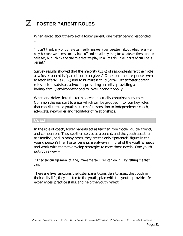#### 圆 **FOSTER PARENT ROLES**

When asked about the role of a foster parent, one foster parent responded …

*"I don't think any of us here can really answer your question about what roles we play because we take so many hats off and on all day long for whatever the situation calls for, but I think the one role that we play in all of this, in all parts of our life is parent."* 

Survey results showed that the majority (51%) of respondents felt their role as a foster parent is "parent" or "caregiver." Other common responses were to teach life skills (32%) and to nurture a child (21%). Other foster parent roles include advisor, advocate, providing security, providing a loving/family environment and to love unconditionally.

When one delves into the term parent, it actually contains many roles. Common themes start to arise, which can be grouped into four key roles that contribute to a youth's successful transition to independence: coach, advocate, networker and facilitator of relationships.

#### **Coach**

In the role of coach, foster parents act as teacher, role model, guide, friend, and companion. They see themselves as a parent, and the youth sees them as "family", and in many cases, they are the only "parental" figure in the young person's life. Foster parents are always mindful of the youth's needs and work with them to develop strategies to meet those needs. One youth put it this way --

 *"They encourage me a lot, they make me feel like I can do it….by telling me that I can."* 

There are five functions the foster parent considers to assist the youth in their daily life, they – listen to the youth, plan with the youth, provide life experiences, practice skills, and help the youth reflect.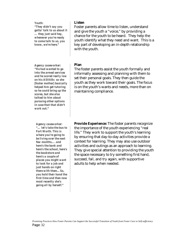*Youth: "They didn't say you gotta' talk to us about it … they just said hey, whenever you're ready to come talk to us, you know, we're here."*

*Agency caseworker: "He had wanted to go into the armed services and he scored really low on his ASVABs so she [foster mother] basically helped him get tutoring so he could bring up the scores, but she also talked to him about pursuing other options in case that that didn't work out."*

*Agency caseworker: "… let's take the bus to Fort Worth. This is where you're going to be living over the next few months…. and here's the bank and here's the school, here's the bookstore and here's a couple of places you might want to look for a job and just hands on right there with them…So, you hold their hand the first time and then now most recently she's going all by herself."*

#### **Listen**

Foster parents allow time to listen, understand and give the youth a "voice," by providing a chance for the youth to be heard. They help the youth identify what they need and want. This is a key part of developing an in-depth relationship with the youth.

#### **Plan**

The foster parents assist the youth formally and informally assessing and planning with them to set their personal goals. They then guide the youth as they work toward their goals. The focus is on the youth's wants and needs, more than on maintaining compliance.

**Provide Experience:** The foster parents recognize the importance of the youth experiencing "real life." They work to support the youth's learning by ensuring that day-to-day activities provide a context for learning. They may also use outdoor activities and outings as an approach to learning. They give special attention to providing the youth the space necessary to try something first hand, succeed, fail, and try again, with supportive adults to help when needed.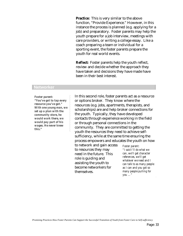**Practice:** This is very similar to the above function, "Provide Experience." However, in this instance the process is planned (e.g. applying for a job) and preparatory. Foster parents may help the youth prepare for a job interview, meetings with care providers, or writing a college essay. Like a coach preparing a team or individual for a sporting event, the foster parents prepare the youth for real world events.

**Reflect:** Foster parents help the youth reflect, review and decide whether the approach they have taken and decisions they have made have been in their best interest.

#### **Networker**

#### *Foster parent:*

*"You've got to tap every resource you've got." With one young man, we set up a plan with the community store, he would work there, we would pay part of his wages. He never knew this."*

In this second role, foster parents act as a resource or options broker. They know where the resources (e.g. jobs, apartments, therapists, and scholarships) are and help broker connections for the youth. Typically, they have developed contacts through experience working in the field or through personal connections in the community. They are committed to getting the youth the resources they need to achieve selfsufficiency, while at the same time ensuring the process empowers and educates the youth on how

to network and gain access to resources they may need in the future. This role is guiding and assisting the youth to become networkers for themselves.

*Foster parent: "I said I'll do what we can, we'll get character references, we'll get whatever we need and I can talk to as many people as I can and you got so many people pulling for you …"*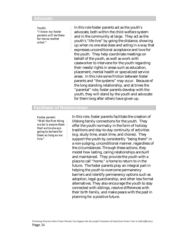#### **Advocate**

*Youth: "I know my foster parents will be there for me no matter what."*

In this role foster parents act as the youth's advocate, both within the child welfare system and in the community at large. They act as the youth's "life-line" by going the distance, showing up when no one else does and acting in a way that expresses unconditional acceptance and love for the youth. They help coordinate meetings on behalf of the youth, as well as work with caseworker to intervene for the youth regarding their needs/rights in areas such as education, placement, mental health or specialized service areas. In this role some friction between foster parents and "the systems" may occur. Because of the long standing relationship, and at times the "parental" role, foster parents develop with the youth, they will stand by the youth and advocate for them long after others have given up.

### **Facilitator of Relationships**

*Foster parent: "Well the first thing we do is assure them that we're always going to be here for them as long as we live."* 

In this role, foster parents facilitate the creation of lifelong family connections for the youth. They offer the youth normalcy in the form of holiday traditions and day-to-day continuity of activities (e.g. study time, snack time, and chores). They support the youth by consistently "being there" in a non-judging, unconditional manner, regardless of the circumstances. Through these actions, they model how lasting, caring relationships are built and maintained. They provide the youth with a place to call "home," a home to return to in the future. The foster parents play an integral part in helping the youth to overcome permanency barriers and identify permanency options such as adoption, legal guardianship, and other less formal alternatives. They also encourage the youth to stay connected with siblings, resolve differences with their birth family, and make peace with the past in planning for a positive future.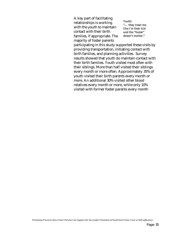A key part of facilitating relationships is working with the youth to maintain contact with their birth families, if appropriate. The majority of foster parents

*Youth: "… they treat me like I'm their kid and the "foster" doesn't matter."*

participating in this study supported these visits by providing transportation, initiating contact with birth families, and planning activities. Survey results showed that youth do maintain contact with their birth families. Youth visited most often with their siblings. More than half visited their siblings every month or more often. Approximately 35% of youth visited their birth parents every month or more. An additional 30% visited other blood relatives every month or more, while only 10% visited with former foster parents every month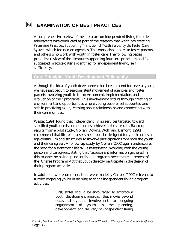#### 园 **EXAMINATION OF BEST PRACTICES**

A comprehensive review of the literature on independent living for older adolescents was conducted as part of the research that went into creating *Promising Practices: Supporting Transition of Youth Served by the Foster Care System*, which focused on agencies. This work also applies to foster parents, and others who work with youth in foster care. The following pages provide a review of the literature supporting four core principles and 14 suggested practice criteria identified for independent living/self sufficiency.

# **Core Principle: Youth Development Philosophy**

Although the idea of youth development has been around for several years, we have just begun to see consistent movement of agencies and foster parents involving youth in the development, implementation, and evaluation of their programs. This involvement occurs through creating an environment and opportunities where young people feel supported and safe in practicing skills, learning about relationships and connecting with their communities.

Westat (1991) found that independent living services targeted toward specified youth needs and outcomes achieve the best results. Based upon results from a pilot study, Nollan, Downs, Wolf, and Lamont (1996) recommend that life skills assessment tools be designed for youth across an age continuum and structured to involve participation from both the youth and their caregiver. A follow-up study by Nollan (2000) again underscored the need for a systematic life skills assessment involving both the young person and caregivers, stating that "assessment information gathered in this manner helps independent living programs meet the requirement of the [Chafee Program] Act that youth directly participate in the design of their program activities.

In addition, two recommendations were made by Caliber (1999) relevant to further engaging youth in helping to shape independent living program activities.

> First, states should be encouraged to embrace a youth development approach that moves beyond occasional youth involvement to ongoing engagement of youth in the planning, development, and delivery of independent living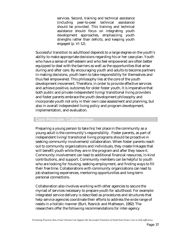services. Second, training and technical assistance (including peer-to-peer technical assistance) should be provided. This training and technical assistance should focus on integrating youth development approaches, emphasizing youth strengths rather than deficits, and keeping youth engaged (p. VI-12).

Successful transition to adulthood depends to a large degree on the youth's ability to make appropriate decisions regarding his or her case plan. Youth who have a sense of self-esteem and who feel empowered are often better equipped to deal with the barriers as well as the opportunities that arise during and after care. By encouraging youth and adults to become partners in making decisions, youth learn to take responsibility for themselves and thus feel empowered. This philosophy lies at the core of the youth development movement. Therefore, in order to provide effective services and achieve positive, outcomes for older foster youth, it is imperative that both public and private independent living/transitional living providers and foster parents embrace the youth development philosophy and incorporate youth not only in their own case assessment and planning, but also in overall independent living policy and program development, implementation, and evaluation.

### **Core Principle: Collaboration**

Preparing a young person to take his/her place in the community as a young adult is the community's responsibility. Foster parents, as part of independent living/transitional living programs should be proactive in seeking community involvement/collaboration. When foster parents reach out to community organizations and individuals, they create linkages that will benefit youth while they are in the program and after they leave it. Community involvement can lead to additional financial resources, in-kind contributions, and support. Community members can be helpful to youth who are looking for housing, seeking employment, and finding ways to fill their free time. Collaborations with community organizations can lead to job shadowing experiences, mentoring opportunities and long-term personal connections.

Collaboration also involves working with other agencies to secure the myriad of services necessary to prepare youth for adulthood. For example: integrated service delivery is described as procedures and structures that help service agencies coordinate their efforts to address the wide range of needs in a holistic manner (Burt, Resnick and Matheson, 1992). The researchers offer the following recommendations for inter-agency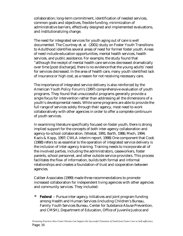collaboration; long-term commitment, identification of needed services, common goals and objectives, flexible funding, minimization of administrative barriers, effectively designed and implemented evaluations, and institutionalizing change.

The need for integrated services for youth aging out of care is well documented. The Courtney et. al. (2001) study on Foster Youth Transitions to Adulthood identifies several areas of need for former foster youth. Areas of need include education opportunities, mental health services, health services, and public assistance. For example, the study found that "although the receipt of mental health care services decreased dramatically over time [post discharge], there is no evidence that the young adults' need for services decreased. In the area of health care, many youth identified lack of insurance or high cost, as a reason for not receiving necessary care.

The importance of integrated service delivery is also reinforced by the American Youth Policy Forum's (1997) comprehensive evaluation of youth programs. They found that unsuccessful programs generally provide a single focus for intervention rather than addressing all the dimensions of a youth's developmental needs. While some programs are able to provide the full range of services solely through their agency, most need to work collaboratively with other agencies in order to offer a complete continuum of youth services.

In examining literature specifically focused on foster youth, there is strong implied support for the concepts of both inter-agency collaboration and agency-to-school collaboration. (Westat, 1991; Barth, 1986; Mech, 1994; Kazis & Kopp, 1997; CWLA interim report, 1998) One component that Cook (1988) refers to as essential to the operation of integrated service delivery is the inclusion of inter-agency training. Training needs to incorporate all of the involved parties, including the administrators, caseworkers, foster parents, school personnel, and other outside service providers. This process facilitates the flow of information, builds both formal and informal relationships and creates a foundation of trust and cooperation between agencies.

Caliber Associates (1999) made three recommendations to promote increased collaboration for independent living agencies with other agencies and community services. They included:

**Federal** -- Pursue inter-agency initiatives and joint program funding among Health and Human Services (including Children's Bureau, Family Youth Services Bureau, Center for Substance Abuse Prevention, and CMSH), Department of Education, Office of Juvenile Justice and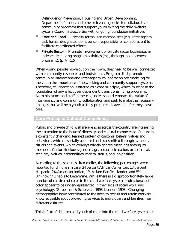Delinquency Prevention, Housing and Urban Development, Department of Labor, and other relevant agencies for collaborative community programs that support youth exiting the child welfare system. Coordinate activities with ongoing foundation initiatives.

- **State and Local** -- Identify formalized mechanisms (e.g., inter-agency task forces, designated point person responsible for collaboration) to facilitate coordinated efforts.
- **Private Sector** -- Promote involvement of private sector businesses in independent living program activities (e.g., through job placement programs). (p. VI-12)

When young people move out on their own, they need to be well connected with community resources and individuals. Programs that promote community interactions and inter-agency collaboration are modeling for the youth the importance of networking and community support systems. Therefore, collaboration is offered as a core principle, which must be at the foundation of any effective independent/transitional living programs. Administrators and staff in these agencies should embrace the value of inter-agency and community collaboration and seek to make the necessary linkages that will help youth as they prepare to leave and after they leave care.

## **Core Principle: Cultural Competency**

Public and private child welfare agencies across the country are increasing their attention to the issue of diversity and cultural competence. Culture is a constantly changing, learned pattern of customs, beliefs, values and behaviors, which is socially acquired and transmitted through symbols, rituals and events, which conveys widely shared meanings among its members. Culture includes gender, age, sexual orientation, urban, rural, ethnicity, values, personalities, marital status, and job position.

According to the statistics cited earlier, the following percentages were reported for children in care: 34 percent African-American, 13 percent Hispanic, 2% American Indian, 1% Asian/Pacific Islander, and 5% Unknown/Unable to Determine. While there is a disproportionately large number of children of color in the child welfare system, professionals of color appear to be under-represented in the fields of social work and psychology. (Gilbelman & Schervish, 1993; Lennon, 1993). Changing demographics have contributed to the need to recruit and retain workers knowledgeable about providing services to individuals and families from different cultures.

This influx of children and youth of color into the child welfare system has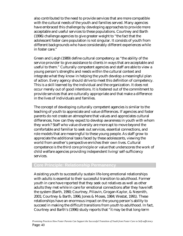also contributed to the need to provide services that are more compatible with the cultural needs of the youth and families served. Many agencies have embraced this challenge by developing approaches to provide more acceptable and useful services to these populations. Courtney and Barth (1996) challenge agencies to give greater weight to "the fact that the adolescent foster care population is not singular. It consists of youth from different backgrounds who have considerably different experiences while in foster care."

Green and Leigh (1989) define cultural competency as "the ability of the service provider to give assistance to clients in ways that are acceptable and useful to them." Culturally competent agencies and staff are able to view a young person's strengths and needs within the cultural context and integrate what they know in helping the youth develop a meaningful plan of action. Every agency should strive to meet this definition of competency. This is a skill learned by the individual and the organization. It does not occur merely out of good intentions. It is fostered out of the commitment to provide services that are culturally appropriate and that make a difference in the lives of individuals and families.

The concept of developing culturally competent agencies is similar to the teaching of youth to appreciate and value differences. If agencies and foster parents do not create an atmosphere that values and appreciates cultural differences, how can they expect to develop awareness in youth with whom they work? Staff who value diversity are more apt to move beyond the comfortable and familiar to seek out services, essential connections, and role models that are meaningful to these young people. As staff grow to appreciate the additional tasks faced by these adolescents, viewing the world from another's perspective enriches their own lives. Cultural competence is the third core principle or value that underscores the work of child welfare agencies providing independent living/self-sufficiency services.

## **Core Principle: Relationship Permanency**

Assisting youth to successfully sustain life-long emotional relationships with adults is essential to their successful transition to adulthood. Former youth in care have reported that they seek out relatives as well as other adults they met while in care for emotional connections after they have left the system (Barth, 1990; Courtney, Piliavin, Grogan-Kaylor, & Nesmith, 2001; Courtney & Barth, 1996; Jones & Moses, 1984; Westat, 1991). These relationships have an enormous impact on the young person's ability to succeed in making the difficult transitions from youth to adulthood. In fact, Courtney and Barth's (1996) study reports that "it may be that long-term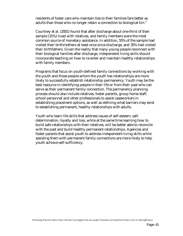residents of foster care who maintain ties to their families fare better as adults than those who no longer retain a connection to biological kin."

Courtney et al. (2001) found that after discharge about one-third of their sample (31%) lived with relatives, and family members were the most common source of monetary assistance. In addition, 55% of the sample had visited their birthmothers at least once since discharge, and 35% had visited their birthfathers. Given the reality that many young people reconnect with their biological families after discharge, independent living skills should incorporate teaching on how to re-enter and maintain healthy relationships with family members.

Programs that focus on youth-defined family connections by working with the youth and those people whom the youth has relationships are more likely to successfully establish relationship permanency. Youth may be the best resource in identifying people in their life or from their past who can serve as their permanent family connection. The permanency planning process should also include relatives, foster parents, group home staff, school personnel and other professionals to assist caseworkers in establishing placement options, as well as defining what barriers may exist to establishing permanent, healthy relationships with adults.

Youth who learn life skills that address issues of self-esteem, selfdetermination, loyalty and loss, while at the same time learning how to build safe relationships with their relatives, will be better able to reconcile with the past and build healthy permanent relationships. Agencies and foster parents that assist youth to address independent living skills while assisting them with permanent family connections are more likely to help youth achieve self-sufficiency.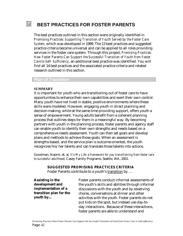#### 囥 **BEST PRACTICES FOR FOSTER PARENTS**

The best practices outlined in this section were originally identified in *Promising Practices: Supporting Transition of Youth Served by the Foster Care System*, which was developed in 1999. The 13 best practices and suggested practice criteria become universal and can be applied to all roles providing services in the foster care system. Through this project, *Promising Practices: How Foster Parents Can Support the Successful Transition of Youth from Foster Care to Self- Sufficiency*, an additional best practice was identified. You will find all 14 best practices and the associated practice criteria and related research outlined in this section.

### **Plan of Transition**

#### **SUMMARY**

It is important for youth who are transitioning out of foster care to have opportunities to enhance their own capabilities and exert their own control. Many youth have not lived in stable, positive environments where these skills were modeled. However, engaging youth in direct planning and decision-making, while at the same time providing support, offers youth a sense of empowerment. Young adults benefit from a coherent planning process that outlines steps for them in a meaningful way. By becoming partners with youth in the planning process, foster parents and agency staff can enable youth to identify their own strengths and needs based on a comprehensive needs assessment. Youth can then set goals and develop plans and methods to achieve those goals. When an assessment is strengths-based, and the service plan is outcome-oriented, the youth recognizes his/her talents and can translate those talents into actions.

Goodman, Naomi, et. al*, It's My Life: a framework for you transitioning from foster care to successful adulthood*, Casey Family Programs, Seattle, WA, 2001.

#### **SUGGESTED PROMISING PRACTICES CRITERIA**

Foster Parents contribute to a youth's transition by …

| <b>Assisting in the</b> | Foster parents conduct informal assessments of    |
|-------------------------|---------------------------------------------------|
| development and         | the youth's skills and abilities through informal |
| implementation of a     | discussions with the youth and by observing       |
| transition plan for the | chores, conversations at dinner and other         |
| youth by                | activities with the youth. Foster parents do not  |
|                         | put kids on the spot, but instead use day-to-     |
|                         | day interactions. Because of these interactions,  |
|                         | foster parents are able to understand and         |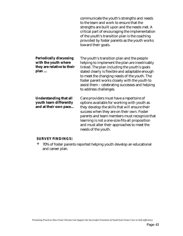|                                                                                              | communicate the youth's strengths and needs<br>to the team and work to ensure that the<br>strengths are built upon and the needs met. A<br>critical part of encouraging the implementation<br>of the youth's transition plan is the coaching<br>provided by foster parents as the youth works<br>toward their goals.                                                          |
|----------------------------------------------------------------------------------------------|-------------------------------------------------------------------------------------------------------------------------------------------------------------------------------------------------------------------------------------------------------------------------------------------------------------------------------------------------------------------------------|
| <b>Periodically discussing</b><br>with the youth where<br>they are relative to their<br>plan | The youth's transition plan and the people<br>helping to implement the plan are inextricably<br>linked. The plan including the youth's goals<br>stated clearly is flexible and adaptable enough<br>to meet the changing needs of the youth. The<br>foster parent works closely with the youth to<br>assist them - celebrating successes and helping<br>to address challenges. |
| <b>Understanding that all</b><br>youth learn differently<br>and at their own pace            | Care providers must have a repertoire of<br>options available for working with youth as<br>they develop the skills that will ensure their<br>success when they are on their own. Foster<br>parents and team members must recognize that<br>learning is not a one-size-fits-all proposition<br>and must alter their approaches to meet the<br>needs of the youth.              |

# **SURVEY FINDINGS:**

ó 70% of foster parents reported helping youth develop an educational and career plan.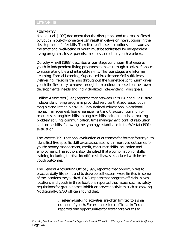### **Life Skills**

### **SUMMARY**

Nollan et al. (1999) document that the disruptions and traumas suffered by youth in out-of-home care can result in delays or interruptions in the development of life skills. The effects of these disruptions and traumas on the emotional well-being of youth must be addressed by independent living programs, foster parents, mentors, and other youth workers.

Dorothy Ansell (1988) describes a four-stage continuum that enables youth in independent living programs to move through a series of phases to acquire tangible and intangible skills. The four stages are Informal Learning, Formal Learning, Supervised Practice and Self-sufficiency. Delivering life skills training throughout the four-stage continuum gives youth the flexibility to move through the continuum based on their own developmental needs and individualized independent living goals.

Caliber Associates (1999) reported that between FY's 1987 and 1996, state independent living programs provided services that addressed both tangible and intangible skills. They defined educational, vocational, money management, home management and the use of community resources as tangible skills. Intangible skills included decision-making, problem solving, communication, time management, conflict resolution and social skills, following the typology established in the Westat (1991) evaluation.

The Westat (1991) national evaluation of outcomes for former foster youth identified five specific skill areas associated with improved outcomes for youth: money management, credit, consumer skills, education and employment. The authors also identified that a combination of skills training including the five identified skills was associated with better youth outcomes.

The General Accounting Office (1999) reported that opportunities to practice daily life skills and to develop self-esteem were limited in some of the locations they visited. GAO reports that program officials in two locations and youth in three locations reported that issues such as safety regulations for group homes inhibit or prevent activities such as cooking. Additionally, GAO officials found that:

> …esteem-building activities are often limited to a small number of youth. For example, local officials in Texas reported that opportunities for foster care youths to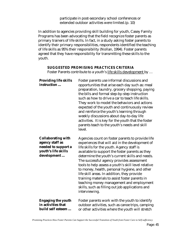participate in post-secondary school conferences or extended outdoor activities were limited.(p. 10)

In addition to agencies providing skill building for youth, Casey Family Programs has been advocating that the field recognize foster parents as primary trainers of life skills. In fact, in a study asking foster parents to identify their primary responsibilities, respondents identified the teaching of life skills as 95% their responsibility (Nollan, 1994). Foster parents agreed that they have responsibility for transmitting these skills to the youth.

### **SUGGESTED PROMISING PRACTICES CRITERIA**

Foster Parents contribute to a youth's life skills development by ...

| <b>Providing life skills</b><br>instruction                                                               | Foster parents use informal discussions and<br>opportunities that arise each day such as: meal<br>preparation, laundry, grocery shopping, paying<br>the bills and formal step-by-step instruction<br>such as how to drive a car to teach life skills.<br>They work to model the behaviors and actions<br>expected of the youth and continuously review<br>and reinforce the youth's learning through<br>weekly discussions about day-to-day life<br>activities. It is key for the youth that the foster<br>parents teach to the youth's needs and skill<br>level.                                                              |
|-----------------------------------------------------------------------------------------------------------|--------------------------------------------------------------------------------------------------------------------------------------------------------------------------------------------------------------------------------------------------------------------------------------------------------------------------------------------------------------------------------------------------------------------------------------------------------------------------------------------------------------------------------------------------------------------------------------------------------------------------------|
| <b>Collaborating with</b><br>agency staff as<br>needed to support a<br>youth's life skills<br>development | Agencies count on foster parents to provide life<br>experiences that will aid in the development of<br>life skills for the youth. Agency staff is<br>available to support the foster parents as they<br>determine the youth's current skills and needs.<br>The successful agency provides assessment<br>tools to help assess a youth's skill level relative<br>to money, health, personal hygiene, and other<br>life skill areas. In addition, they provide<br>training materials to assist foster parents in<br>teaching money management and employment<br>skills, such as filling out job applications and<br>interviewing. |
| <b>Engaging the youth</b><br>in activities that<br>build self esteem                                      | Foster parents work with the youth to identify<br>outdoor activities, such as canoe trips, camping<br>or other activities where the youth will stretch                                                                                                                                                                                                                                                                                                                                                                                                                                                                         |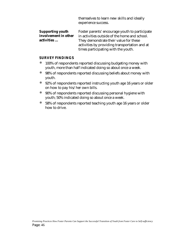themselves to learn new skills and ideally experience success.

| <b>Supporting youth</b> | Foster parents' encourage youth to participate |
|-------------------------|------------------------------------------------|
| involvement in other    | in activities outside of the home and school.  |
| activities              | They demonstrate their value for these         |
|                         | activities by providing transportation and at  |
|                         | times participating with the youth.            |

### **SURVEY FINDINGS**

- <sup>100%</sup> of respondents reported discussing budgeting money with youth, more than half indicated doing so about once a week.
- ó 98% of respondents reported discussing beliefs about money with youth.
- ó 92% of respondents reported instructing youth age 16 years or older on how to pay his/her own bills.
- ó 90% of respondents reported discussing personal hygiene with youth; 50% indicated doing so about once a week.
- ó 58% of respondents reported teaching youth age 16 years or older how to drive.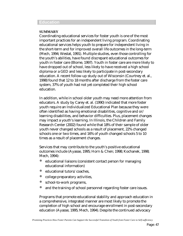#### **Education**

### **SUMMARY**

Coordinating educational services for foster youth is one of the most important practices for an independent living program. Coordinating educational services helps youth to prepare for independent living in the short-term and for improved overall life outcomes in the long-term (Mech, 1994; Westat, 1991). Multiple studies, even those controlling for the youth's abilities, have found discrepant educational outcomes for youth in foster care (Blome, 1997). Youth in foster care are more likely to have dropped out of school, less likely to have received a high school diploma or a GED and less likely to participate in post-secondary education. A recent follow-up study out of Wisconsin (Courtney et. al., 1998) found that 12 to 18 months after discharge from the foster care system, 37% of youth had not yet completed their high school education.

In addition, while in school older youth may need more attention from educators. A study by Carey et. al. (1990) indicated that more foster youth require an Individualized Educational Plan because they were often identified as having emotional disabilities, cognitive and or/ learning disabilities, and behavior difficulties. Plus, placement changes may impact a youth's learning. In Illinois, the Children and Family Research Center (2002) found while that 18% of their sample of older youth never changed schools as a result of placement, 22% changed schools one or two times, and 16% of youth changed schools 5 to 10 times as a result of placement changes.

Services that may contribute to the youth's positive educational outcomes include (Ayasse, 1995; Horn & Chen; 1998; Kochanek, 1998; Mech, 1994):

- ó educational liaisons (consistent contact person for managing educational information)
- ó educational tutors/coaches,
- college preparatory activities,
- ó school-to-work programs,
- and the training of school personnel regarding foster care issues.

Programs that promote educational stability and approach education in a comprehensive, integrated manner are most likely to promote the completion of high school and encourage enrollment in post-secondary education (Ayasse, 1995; Mech, 1994). Despite the continued advocacy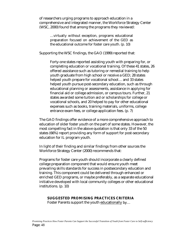of researchers urging programs to approach education in a comprehensive and integrated manner, the Workforce Strategy Center (WSC, 2000) found that among the programs they reviewed:

…virtually without exception, programs educational preparation focused on achievement of the GED as the educational outcome for foster care youth. (p. 10)

Supporting the WSC findings, the GAO (1999) reported that:

Forty-one states reported assisting youth with preparing for, or completing education or vocational training. Of these 41 states, 26 offered assistance such as tutoring or remedial training to help youth graduate from high school or receive a GED; 28 states helped youth prepare for vocational school… and 33 states helped youth pursue post-secondary education, such as through educational planning or assessments, assistance in applying for financial aid or college admission, or campus tours. Further, 21 states awarded some tuition aid or scholarships for college or vocational schools, and 20 helped to pay for other educational expenses such as books, training materials, uniforms, college entrance exam fees, or college application fees. (p. 7)

The GAO findings offer evidence of a more comprehensive approach to education of older foster youth on the part of some states. However, the most compelling fact in the above quotation is that only 33 of the 50 states (66%) report providing any form of support for post-secondary education for IL program youth.

In light of their finding and similar findings from other sources the Workforce Strategy Center (2000) recommends that:

Programs for foster care youth should incorporate a clearly defined college preparation component that would ensure youth meet prevailing skills standards for success in postsecondary education and training. This component could be delivered through enhanced or enriched GED programs, or maybe preferably, as a separate educational initiative developed with local community colleges or other educational institutions. (p. 10)

## **SUGGESTED PROMISING PRACTICES CRITERIA**

Foster Parents support the youth educationally by...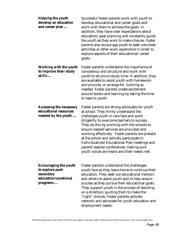| <b>Helping the youth</b><br>develop an education<br>and career plan                               | Successful foster parents work with youth to<br>develop educational and career goals and<br>work with them to achieve the goals. In<br>addition, they have clear expectations about<br>education/goal planning and constantly guide<br>the youth as they work to make choices. Foster<br>parents also encourage youth to seek volunteer<br>activities or other work experience in order to<br>explore aspects of their educational/career<br>goals.                                                                 |
|---------------------------------------------------------------------------------------------------|---------------------------------------------------------------------------------------------------------------------------------------------------------------------------------------------------------------------------------------------------------------------------------------------------------------------------------------------------------------------------------------------------------------------------------------------------------------------------------------------------------------------|
| <b>Working with the youth</b><br>to improve their study<br>skills                                 | Foster parents understand the importance of<br>consistency and structure and work with<br>youth to structure study time. In addition, they<br>are available to assist youth with homework<br>and provide, or arrange for, tutoring as<br>needed. Foster parents create excitement<br>around books and learning by taking the time<br>to read to youth.                                                                                                                                                              |
| <b>Accessing the necessary</b><br>educational resources<br>needed by the youth                    | Foster parents are strong advocates for youth<br>at school. They firmly understand the<br>challenges youth in care face and work<br>diligently to overcome barriers to success.<br>They do this by working with the schools to<br>ensure needed services are provided and<br>working effectively. Foster parents are present<br>at the school and actively participate in<br>Individualized Educational Plan meetings and<br>parent/teacher conferences; making sure<br>youth voices are heard and their needs met. |
| <b>Encouraging the youth</b><br>to explore post-<br>secondary<br>education/vocational<br>programs | Foster parents understand the challenges<br>youth face as they leave home to continue their<br>education. They seek out educational mentors<br>and others to assist youth and to help ensure<br>success as they pursue their educational goals.<br>They support youth in the process of deciding<br>on a direction; guiding them to make the<br>"right" choices. Foster parents actively<br>network and advocate for youth education and<br>employment needs.                                                       |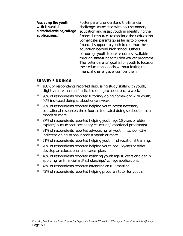| <b>Assisting the youth</b> | Foster parents understand the financial           |
|----------------------------|---------------------------------------------------|
| with financial             | challenges associated with post secondary         |
| aid/scholarships/college   | education and assist youth in identifying the     |
| applications               | financial resources to continue their education.  |
|                            | Some foster parents go as far as to provide       |
|                            | financial support to youth to continue their      |
|                            | education beyond high school. Others              |
|                            | encourage youth to use resources available        |
|                            | through state-funded tuition waiver programs.     |
|                            | The foster parents' goal is for youth to focus on |
|                            | their educational goals without letting the       |
|                            | financial challenges encumber them.               |
|                            |                                                   |

### **SURVEY FINDINGS**

- 100% of respondents reported discussing study skills with youth; slightly more than half indicated doing so about once a week.
- 98% of respondents reported tutoring/doing homework with youth; 40% indicated doing so about once a week.
- ó 93% of respondents reported helping youth access necessary educational resources; three fourths indicated doing so about once a month or more.
- ó 87% of respondents reported helping youth age 16 years or older explore/pursue post-secondary education/vocational program(s).
- 81% of respondents reported advocating for youth in school; 63% indicated doing so about once a month or more.
- ó 71% of respondents reported helping youth find vocational training.
- 70% of respondents reported helping youth age 16 years or older develop an educational and career plan.
- ó 46% of respondents reported assisting youth age 16 years or older in applying for financial aid/scholarships/college applications.
- ó 45% of respondents reported attending an IEP meeting.
- ó 42% of respondents reported helping procure a tutor for youth.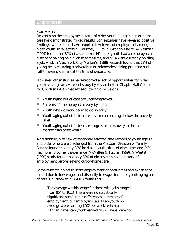### **Employment**

### **SUMMARY**

Research on the employment status of older youth living in out-of-home care has demonstrated mixed results. Some studies have revealed positive findings, while others have reported low levels of employment among older youth. In Wisconsin, Courtney, Piliavin, Grogan-Kaylor, & Nesmith (1999) found that 80% of a sample of 141 older youth had an employment history of having held a job at some time, and 57% were currently holding a job. And, in New York City Mallon's (1998) research found that 72% of young people leaving a privately-run independent living program had full-time employment at the time of departure.

However, other studies have reported a lack of opportunities for older youth leaving care. A recent study by researchers at Chapin Hall Center for Children (2002) made the following conclusions:

- ó Youth aging out of care are underemployed.
- ó Patterns of unemployment vary by state.
- ó Youth who do work begin to do so early.
- ó Youth aging out of foster care have mean earnings below the poverty level.
- Youth aging out of foster care progress more slowly in the labor market than other youth.

Additionally, a review of randomly selected case records of youth age 17 and older who were discharged from the Missouri Division of Family Service found that only 38% held a job at the time of discharge, and 29% had no employment experience (McMillen & Tucker, 1999). A Westat (1990) study found that only 39% of older youth had a history of employment before leaving out-of-home care.

Some research points to scant employment opportunities and experience, in addition to low wages and disparity in wages for older youth aging out of care. Courtney et. al. (2001) found that:

The average weekly wage for those with jobs ranged from \$54 to \$613. There were no statistically significant race/ethnic differences in the rate of employment, but employed Caucasian youth on average were earning \$202 per week, whereas African American youth earned \$182. There were no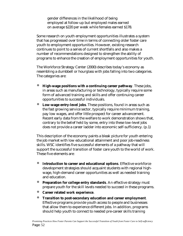gender differences in the likelihood of being employed at follow-up but employed males earned on average \$220 per week while females earned \$178.

Some research on youth employment opportunities illustrates a system that has progressed over time in terms of connecting older foster care youth to employment opportunities. However, existing research continues to point to a series of current shortfalls and also makes a number of recommendations designed to strengthen the ability of programs to enhance the creation of employment opportunities for youth.

The Workforce Strategy Center (2000) describes today's economy as resembling a dumbbell or hourglass with jobs falling into two categories. The categories are:

- ó **High-wage positions with a continuing career pathway**. These jobs, in areas such as manufacturing or technology, typically require some form of advanced training and skills and offer continuing career opportunities to successful individuals.
- ó **Low-wage entry-level jobs**. These positions, found in areas such as the fast growing service sector, typically require minimum training, pay low wages, and offer little prospect for career advancement. Recent early data from the welfare to work demonstration shows that, contrary to the belief held by some, entry into these low-level jobs does not provide a career ladder into economic self-sufficiency. (p.1)

This description of the economy paints a bleak picture for youth entering the job market with low educational attainment and poor job-readiness skills. WSC identifies five successful elements of a pathway that will support the successful transition of foster care youth to the world of work. These five elements are:

- Introduction to career and educational options. Effective workforce development strategies should acquaint students with regional highwage, high-demand career opportunities as well as needed training and education.
- **Preparation for college entry standards**. An effective strategy must prepare youth for the skill levels needed to succeed in these programs.
- ó **Career related work experience**.
- ó **Transition to post-secondary education and career employment**. Effective programs provide youth access to people and businesses that allow them to experience different jobs. In addition, programs should help youth to connect to needed pre-career skills training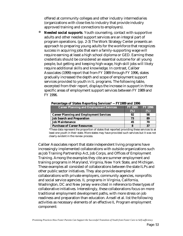offered at community colleges and other industry intermediaries (organizations with close ties to industry that provide industry approved training and connections to employers).

**Needed social supports**. Youth counseling, contact with supportive adults and other needed support services are an integral part of program operations. (pp. 2-3) The Work Strategy Center presents an approach to preparing young adults for the workforce that recognizes success in acquiring jobs that earn a family-supporting wage will require earning at least a high school diploma or GED. Earning these credentials should be considered an essential outcome for all young people, but getting and keeping high-wage, high-skill jobs will likely require additional skills and knowledge. In contrast, Caliber Associates (1999) report that from FY 1989 through FY 1996, states gradually increased the depth and scope of employment support services provided to youth in IL programs. The following table, excerpted from their report, displays the increase in support in three specific areas of employment support services between FY 1989 and FY 1996.

| <b>Career Planning and Employment Services</b> | <b>FY 1989</b> | <b>FY 1996</b> |
|------------------------------------------------|----------------|----------------|
|                                                | (%)            | (%)            |
| <b>Career Planning and Employment Services</b> | 92             | 98             |
| <b>Job Search and Preparation</b>              | 73             | 89             |
| <b>Job Maintenance</b>                         | 45             | 70             |
| <b>Purchase of Career Resources</b>            |                |                |

 **Percentage of States Reporting Services\* -- FY1989 and 1996**

\*These data represent the proportion of states that reported providing these services to at least one youth in their state. More states may have provided such services but it was not clearly evident in the review process.

Caliber Associates report that state independent living programs have increasingly implemented collaborations with outside organizations such as Job Training Partnership Act, Job Corps, and Offices of Employment Training. Among the examples they cite are summer employment and training programs in Maryland, Virginia, New York State, and Michigan. These examples all consisted of collaborations between the state ILPs and other public sector initiatives. They also provide examples of collaborations with private employers, community agencies, nonprofits and social service agencies. IL programs in Virginia, California, Washington, DC and New Jersey were cited in reference to these types of collaborative initiatives. Interestingly, these collaborations focus on more traditional employment development paths, with more stress on job readiness and preparation than education. Ansell et al. list the following activities as necessary elements of an effective IL Program employment component: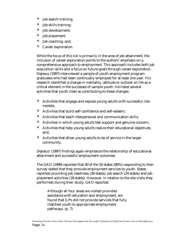- ó Job search training;
- ó Job skills training;
- ó Job development;
- ó Job placement;
- ó Job coaching; and,
- ó Career exploration.

While the focus of this list is primarily in the area of job attainment, the inclusion of career exploration points to the authors' emphasis on a comprehensive approach to employment. This approach includes both job acquisition skills and a focus on future goals through career exploration. DeJesus (1997) interviewed a sample of youth employment program graduates who had been continually employed for at least one year. His research identified a change in mentality, attitude or outlook on life as a critical element in the successes of sample youth. He listed several activities that youth cited as contributing to these changes:

- ó Activities that engage and expose young adults with successful role models;
- ó Activities that build self-confidence and self-esteem;
- ó Activities that teach interpersonal and communication skills;
- ó Activities in which young adults feel support and genuine concern;
- ó Activities that help young adults realize their educational objectives; and,
- ó Activities that allow young adults to be of service in the larger community.

DeJesus' (1997) findings again emphasize the relationship of educational attainment and successful employment outcomes.

The GAO (1999) reported that 40 of the 50 states (80%) responding to their survey stated that they provide employment services to youth. States reported providing job readiness (28 states), job search (24 states) and job placement activities (18 states). However, in relation to the site visits they performed during their study, GAO reported:

Although all four areas we visited provided assistance with education and employment, we found that ILPs did not provide services that fully matched youth to appropriate employment pathways. (p. 7)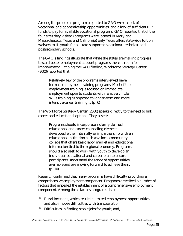Among the problems programs reported to GAO were a lack of vocational and apprenticeship opportunities, and a lack of sufficient ILP funds to pay for available vocational programs. GAO reported that of the four sites they visited (programs were located in Maryland, Massachusetts, Texas and California) only Texas offers statewide tuition waivers to IL youth for all state-supported vocational, technical and postsecondary schools.

The GAO's findings illustrate that while the states are making progress toward better employment support programs there is room for improvement. Echoing the GAO finding, Workforce Strategy Center  $(2000)$  reported that:

Relatively few of the programs interviewed have formal employment training programs. Most of the employment training is focused on immediate employment open to students with relatively little skills training as opposed to longer-term and more intensive career training… (p. 6)

The Workforce Strategy Center (2000) speaks directly to the need to link career and educational options. They assert:

Programs should incorporate a clearly defined educational and career counseling element, developed either internally or in partnership with an educational institution such as a local community college that offers basic labor market and educational information tied to the regional economy. Programs should also seek to work with youth to develop an individual educational and career plan to ensure participants understand the range of opportunities available and are moving forward to achieve them. (p. 10)

Research confirmed that many programs have difficulty providing a comprehensive employment component. Programs described a number of factors that impeded the establishment of a comprehensive employment component. Among these factors programs listed:

- ó Rural locations, which result in limited employment opportunities and also impose difficulties with transportation;
- Difficulties in finding stable jobs for youth; and,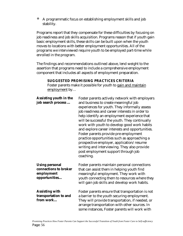ó A programmatic focus on establishing employment skills and job stability.

Programs report that they compensate for these difficulties by focusing on job readiness and job skills acquisition. Programs reason that if youth gain basic employment skills, these skills can be built upon when the youth moves to locations with better employment opportunities. All of the programs we interviewed require youth to be employed part-time while enrolled in the program.

The findings and recommendations outlined above, lend weight to the assertion that programs need to include a comprehensive employment component that includes all aspects of employment preparation.

| <b>Assisting youth in the</b><br>job search process                           | Foster parents actively network with employers<br>and business to create meaningful job<br>experiences for youth. They informally assess<br>job readiness and career interests in order to<br>help identify an employment experience that<br>will be successful the youth. They continually<br>work with youth to develop good work habits<br>and explore career interests and opportunities.<br>Foster parents provide pre-employment<br>practice opportunities such as approaching a<br>prospective employer, application/resume<br>writing and interviewing. They also provide<br>post employment support through job<br>coaching. |
|-------------------------------------------------------------------------------|---------------------------------------------------------------------------------------------------------------------------------------------------------------------------------------------------------------------------------------------------------------------------------------------------------------------------------------------------------------------------------------------------------------------------------------------------------------------------------------------------------------------------------------------------------------------------------------------------------------------------------------|
| <b>Using personal</b><br>connections to broker<br>employment<br>opportunities | Foster parents maintain personal connections<br>that can assist them in helping youth find<br>meaningful employment. They work with<br>youth connecting them to resources where they<br>will gain job skills and develop work habits.                                                                                                                                                                                                                                                                                                                                                                                                 |
| <b>Assisting with</b><br>transportation to and<br>from work                   | Foster parents ensure that transportation is not<br>a barrier to the youth securing employment.<br>They will provide transportation, if needed, or<br>arrange transportation with other sources. In<br>some instances, Foster parents will work with                                                                                                                                                                                                                                                                                                                                                                                  |

### **SUGGESTED PROMISING PRACTICES CRITERIA**

Foster parents make it possible for youth to gain and maintain employment by…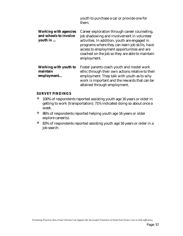|                                                                    | youth to purchase a car or provide one for<br>them.                                                                                                                                                                                                                                                            |
|--------------------------------------------------------------------|----------------------------------------------------------------------------------------------------------------------------------------------------------------------------------------------------------------------------------------------------------------------------------------------------------------|
| <b>Working with agencies</b><br>and schools to involve<br>youth in | Career exploration through career counseling,<br>job shadowing and involvement in volunteer<br>activities. In addition, youth are engaged in<br>programs where they can learn job skills, have<br>access to employment opportunities and are<br>coached on the job so they are able to maintain<br>employment. |
| <b>Working with youth to</b><br>maintain<br>employment             | Foster parents coach youth and model work<br>ethic through their own actions relative to their<br>employment. They talk with youth as to why<br>work is important and the rewards that can be<br>attained through employment.                                                                                  |

### **SURVEY FINDINGS**

- ó 100% of respondents reported assisting youth age 16 years or older in getting to work (transportation); 71% indicated doing so about once a week.
- ó 86% of respondents reported helping youth age 16 years or older explore career(s).
- ó 83% of respondents reported assisting youth age 16 years or older in a job search.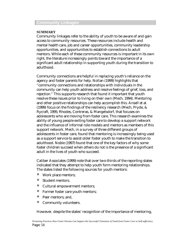## **Community Linkages**

### **SUMMARY**

Community linkages refer to the ability of youth to be aware of and gain access to community resources. These resources include health and mental health care, job and career opportunities, community leadership opportunities, and opportunities to establish connections to adult mentors. While each of these community resources is important in its own right, the literature increasingly points toward the importance of a significant adult relationship in supporting youth during the transition to adulthood.

Community connections are helpful in replacing youth's reliance on the agency and foster parents for help. Nollan (1999) highlights that "community connections and relationships with individuals in the community can help youth address and resolve feelings of grief, loss, and rejection." This supports research that found it important that youth resolve these issues prior to living on their own (Mech, 1994). Mentoring and other positive relationships can help accomplish this. Ansell et al. (1999) focus on the findings of the resiliency research (Mech, Pryde, & Rycraft, 1995; Rhodes, Contreras, & Mangelsdorf, that focuses on adolescents who are moving from foster care. This research examines the ability of young people exiting foster care to develop a support network and the influence of informal role models and mentors as members of this support network. Mech, in a survey of three different groups of adolescents in foster care, found that mentoring is increasingly being used as a support service to assist older foster youth to make the transition to adulthood. Noble (1997) found that one of the key factors of why some foster children succeed when others do not is the presence of a significant adult in the lives of youth who succeed.

Caliber Associates (1999) note that over two-thirds of the reporting states indicated that they attempt to help youth form mentoring relationships. The states listed the following sources for youth mentors:

- Work place mentors;
- Student mentors;
- ó Cultural empowerment mentors;
- ó Former foster care youth mentors;
- ó Peer mentors; and,
- ó Community volunteers.

However, despite the states' recognition of the importance of mentoring,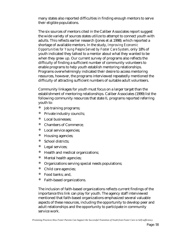many states also reported difficulties in finding enough mentors to serve their eligible populations.

The six sources of mentors cited in the Caliber Associates report suggest the wide variety of sources states utilize to attempt to connect youth with adults. This reflects earlier research (Jones et al.1998), which reported a shortage of available mentors. In the study, *Improving Economic Opportunities for Young People Served by Foster Care System*, only 18% of youth indicated they talked to a mentor about what they wanted to be when they grew up. Our current survey of programs also reflects the difficulty of finding a sufficient number of community volunteers to enable programs to help youth establish mentoring relationships. Programs overwhelmingly indicated their desire to access mentoring resources, however, the programs interviewed repeatedly mentioned the difficulty of attracting sufficient numbers of suitable adult volunteers.

Community linkages for youth must focus on a larger target than the establishment of mentoring relationships. Caliber Associates (1999) list the following community resources that state IL programs reported referring youth to:

- Job training programs;
- Private industry councils;
- ó Local businesses;
- ó Chambers of Commerce;
- ó Local service agencies;
- ó Housing agencies;
- ó School districts;
- Legal services;
- ó Health and medical organizations;
- ó Mental health agencies;
- ó Organizations serving special needs populations;
- ó Child care agencies;
- ó Food banks; and,
- ó Faith-based organizations.

The inclusion of faith-based organizations reflects current findings of the importance this link can play for youth. The agency staff interviewed mentioned that faith-based organizations emphasized several valuable aspects of these resources, including the opportunity to develop peer and adult relationships and the opportunity to participate in community service work.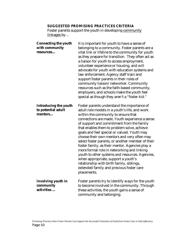# **SUGGESTED PROMISING PRACTICES CRITERIA**

Foster parents support the youth in developing community linkages by…

| <b>Connecting the youth</b><br>with community<br>resources    | It is important for youth to have a sense of<br>belonging to a community. Foster parents are a<br>vital link or lifeline to the community for youth<br>as they prepare for transition. They often act as<br>a liaison for youth to access employment,<br>volunteer experience or housing, and will<br>advocate for youth with education systems and<br>law enforcement. Agency staff train and<br>support foster parents in their roles of<br>community liaison/networker. Community<br>resources such as the faith-based community,<br>employers, and schools make the youth feel<br>special as though they aren't a "foster kid."                                                                                                     |
|---------------------------------------------------------------|-----------------------------------------------------------------------------------------------------------------------------------------------------------------------------------------------------------------------------------------------------------------------------------------------------------------------------------------------------------------------------------------------------------------------------------------------------------------------------------------------------------------------------------------------------------------------------------------------------------------------------------------------------------------------------------------------------------------------------------------|
| <b>Introducing the youth</b><br>to potential adult<br>mentors | Foster parents understand the importance of<br>adult role models in a youth's life, and work<br>within the community to ensure that<br>connections are made. Youth experience a sense<br>of support and commitment from the family<br>that enables them to problem solve, achieve<br>goals and feel special or valued. Youth may<br>choose their own mentors and very often may<br>select foster parents, or another member of their<br>foster family, as their mentor. Agencies play a<br>more formal role in networking and linking<br>youth to other systems and resources. Agencies,<br>when appropriate, support a youth's<br>relationship with birth family, siblings,<br>extended family and previous foster care<br>placements. |
| <b>Involving youth in</b><br>community<br>activities          | Foster parents try to identify ways for the youth<br>to become involved in the community. Through<br>these activities, the youth gains a sense of<br>community and belonging.                                                                                                                                                                                                                                                                                                                                                                                                                                                                                                                                                           |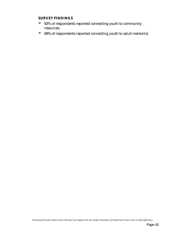### **SURVEY FINDINGS**

- ó 92% of respondents reported connecting youth to community resources.
- ó 69% of respondents reported connecting youth to adult mentor(s).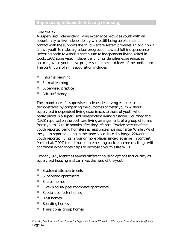# **Supervising Independent Living (Housing)**

### **SUMMARY**

A supervised independent living experience provides youth with an opportunity to live independently while still being able to maintain contact with the supports the child welfare system provides. In addition it allows youth to make a gradual progression toward full independence. Referring again to Ansell's continuum to independent living, (cited in Cook, 1988) supervised independent living identifies experiences as occuring when youth have progressed to the third level of the continuum. The continuum of skills acquisition includes:

- Informal learning
- ó Formal learning
- ó Supervised practice
- ó Self-sufficiency

The importance of a supervised independent living experience is demonstrated by comparing the outcomes of foster youth without supervised independent living experiences to those of youth who participated in a supervised independent living situation. Courtney et al. (1998) reported on the post-care living arrangements of a group of former foster youth 12 to 18 months after they left care. Twelve percent of the youth reported being homeless at least once since discharge. While 37% of the youth reported living in the same place since discharge, 22% of the youth reported living in four or more places since discharge. In contrast, Mech et al. (1994) found that supplementing basic placement settings with apartment experiences helps to increase a youth's life skills.

Kroner (1999) identifies several different housing options that qualify as supervised housing and can meet the need of the youth:

- ó Scattered-site apartments
- ó Supervised apartments
- ó Shared homes
- ó Live-in adult/peer roommate apartments
- ó Specialized foster homes
- ó Host homes
- ó Boarding homes
- ó Transitional group homes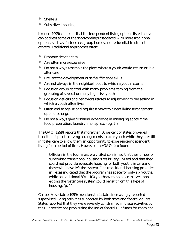- ó Shelters
- Subsidized housing

Kroner (1999) contends that the independent living options listed above can address some of the shortcomings associated with more traditional options, such as: foster care, group homes and residential treatment centers. Traditional approaches often:

- ó Promote dependency
- Are often more expensive
- ó Do not always resemble the place where a youth would return or live after care
- ó Prevent the development of self-sufficiency skills
- Are not always in the neighborhoods to which a youth returns
- Focus on group control with many problems coming from the grouping of several or many high-risk youth
- ó Focus on deficits and behaviors related to adjustment to the setting in which a youth often lives
- ó Often end at age 18 and require a move to a new living arrangement upon discharge
- Do not always give firsthand experience in managing space, time, food preparation, laundry, money, etc. (pg. 7-8)

The GAO (1999) reports that more than 80 percent of states provided transitional practice living arrangements to *some* youth while they are still in foster care to allow them an opportunity to experience independent living for a period of time. However, the GAO also found:

Officials in the four areas we visited confirmed that the number of supervised transitional housing sites is very limited and that they could not provide adequate housing for both youths in care and those who have left the system. One transitional housing provider in Texas indicated that the program has space for only six youths, while an additional 80 to 100 youths with no place to live upon exiting the foster care system could benefit from this type of housing. (p. 12)

Caliber Associates (1999) mentions that states increasingly reported supervised living activities supported by both state and federal dollars. States reported that they were severely constrained in these activities by the ILP restrictions prohibiting the use of federal ILP funds for room and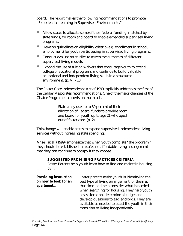board. The report makes the following recommendations to promote "Experiential Learning in Supervised Environments."

- Allow states to allocate some of their federal funding, matched by state funds, for room and board to enable expanded supervised living programs.
- ó Develop guidelines on eligibility criteria (e.g. enrollment in school, employment) for youth participating in supervised living programs.
- ó Conduct evaluation studies to assess the outcomes of different supervised living models.
- ó Expand the use of tuition waivers that encourage youth to attend college or vocational programs and continue to build valuable educational and independent living skills in a structured environment. (p. VI - 10)

The Foster Care Independence Act of 1999 explicitly addresses the first of the Caliber Associates recommendations. One of the major changes of the Chafee Program is a provision that reads:

> States may use up to 30 percent of their allocation of Federal funds to provide room and board for youth up to age 21 who aged out of foster care. (p. 2)

This change will enable states to expand supervised independent living services without increasing state spending.

Ansell et al. (1999) emphasize that when youth complete "the program," they should be established in a safe and affordable living arrangement that they can continue to occupy if they choose.

## **SUGGESTED PROMISING PRACTICES CRITERIA**

Foster Parents help youth learn how to find and maintain housing by…

| <b>Providing instruction</b><br>on how to look for an | Foster parents assist youth in identifying the<br>best type of living arrangement for them at |
|-------------------------------------------------------|-----------------------------------------------------------------------------------------------|
| apartment                                             | that time, and help consider what is needed                                                   |
|                                                       | when searching for housing. They help youth                                                   |
|                                                       | assess location, determine a budget and                                                       |
|                                                       | develop questions to ask landlords. They are                                                  |
|                                                       | available as needed to assist the youth in their                                              |
|                                                       | transition to living independently.                                                           |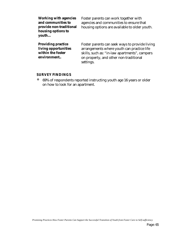| <b>Working with agencies</b><br>and communities to<br>provide non-traditional<br>housing options to<br>youth | Foster parents can work together with<br>agencies and communities to ensure that<br>housing options are available to older youth.                                                                    |
|--------------------------------------------------------------------------------------------------------------|------------------------------------------------------------------------------------------------------------------------------------------------------------------------------------------------------|
| <b>Providing practice</b><br>living opportunities<br>within the foster<br>environment                        | Foster parents can seek ways to provide living<br>arrangements where youth can practice life<br>skills, such as: "in-law apartments", campers<br>on property, and other non-traditional<br>settings. |

## **SURVEY FINDINGS**

ó 69% of respondents reported instructing youth age 16 years or older on how to look for an apartment.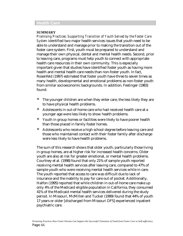### **Health Care**

### **SUMMARY**

*Promising Practices: Supporting Transition of Youth Served by the Foster Care System* identified two major health services issues that youth need to be able to understand and manage prior to making the transition out of the foster care system. First, youth must be prepared to understand and manage their own physical, dental and mental health needs. Second, prior to leaving care, programs must help youth to connect with appropriate health care resources in their own community. This is especially important given that studies have identified foster youth as having more health and mental health care needs than non-foster youth. In fact, Rosenfeld (1997) estimated that foster youth have three to seven times as many health, developmental and emotional problems as non-foster youth from similar socioeconomic backgrounds. In addition, Festinger (1983) found:

- The younger children are when they enter care, the less likely they are to have physical health problems.
- ó Adolescents in out-of-home care who had received health care at a younger age were less likely to show health problems.
- ó Youth in group homes or facilities were likely to have poorer health than those placed in family foster homes.
- ó Adolescents who receive a high school degree before leaving care and those who maintained contact with their foster family after discharge were less likely to have health problems.

The sum of this research shows that older youth, particularly those living in group homes, are at higher risk for increased health concerns. Older youth are also at risk for greater emotional, or mental health problems. Courtney et al. (1998) found that only 21% of sample youth reported receiving mental health services after leaving care, compared to 47% of sample youth who were receiving mental health services while in care. The youth reported that access to care was difficult due to lack of insurance and the inability to pay for care out of pocket. Additionally, Halfon (1995) reported that while children in out-of-home care make up only 4% of the Medicaid eligible population in California, they consumed 41% of the Medicaid mental health services delivered during the study period. In Missouri, McMillen and Tucker (1999) found that 44% of youth 17 years or older [discharged from Missouri DFS] experienced inpatient psychiatric care.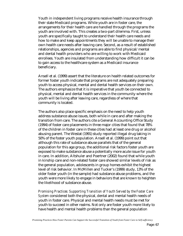Youth in independent living programs receive health insurance through their state Medicaid programs. While youth are in foster care, the arrangements for their health care are handled through the programs the youth are involved with. This creates a two-part dilemma. First, unless youth are specifically taught to understand their health care needs and how to make and keep appointments they will be unable to manage their own health care needs after leaving care. Second, as a result of established relationships, agencies and programs are able to find physical/mental and dental health providers who are willing to work with Medicaid enrollees. Youth are insulated from understanding how difficult it can be to gain access to the healthcare system as a Medicaid insurance beneficiary.

Ansell et al. (1999) assert that the literature on health related outcomes for former foster youth indicate that programs are not adequately preparing youth to access physical, mental and dental health services on their own. The authors emphasize that it is imperative that youth be connected to physical, mental and dental health services in the community where the youth will be living after leaving care, regardless of where that community is located.

The authors also place specific emphasis on the need to help youth address substance abuse issues, both while in care and after making the transition from care. The authors cite a General Accounting Office Study (1994) of foster care placements in three major cities that found that 78% of the children in foster care in these cities had at least one drug or alcohol abusing parent. The Westat (1991) study reported illegal drug taking in 50% of the foster youth population. Ansell et al. (1999) point out that although this rate of substance abuse parallels that of the general population for this age group, the additional risk factors foster youth are exposed to make substance abuse a potentially more acute issue for youth in care. In addition, Altshuler and Poertner (2002) found that while youth in kinship care and non-related foster care showed similar levels of risk as the general population, adolescents in group homes exhibit the highest level of risk behavior. In McMillen and Tucker's (1999) study, 13% of the older foster youth (in the sample) had substance abuse problems, and the youth were more likely to engage in behaviors that are known to heighten the likelihood of substance abuse.

*Promising Practices: Supporting Transition of Youth Served by the Foster Care System* considered both the physical, dental and mental health needs of youth in foster care. Physical and mental health needs must be met for youth to succeed in other realms. Not only are foster youth more likely to have health and mental health problems than the general population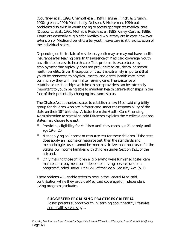(Courtney et al., 1995; Chernoff et al., 1994; Fanshel, Finch, & Grundy, 1990; Iglehart, 1994; Mech, Lucy-Dobson, & Hulseman, 1994) but problems also exist in youth trying to access appropriate medical care (Dubowitz et al., 1990; Moffat & Peddie et al, 1985; Risley-Curtiss, 1996). Youth are generally eligible for Medicaid while they are in care, however extension of Medicaid benefits after youth leave care is at the discretion of the individual states.

Depending on their state of residence, youth may or may not have health insurance after leaving care. In the absence of Medicaid coverage, youth have limited access to health care. This problem is exacerbated by employment that typically does not provide medical, dental or mental health benefits. Given these possibilities, it is extremely important that youth be connected to physical, mental and dental health care in the community they will live in after leaving care. The existence of established relationships with health care providers can be extremely important to youth being able to maintain health care relationships in the face of their potentially changing insurance status.

The Chafee Act authorizes states to establish a new Medicaid eligibility group for children who are in foster care under the responsibility of the state on their 18th birthday. A letter from the Health Care Financing Administration to state Medicaid Directors explains the Medicaid options states may choose to enact:

- Providing eligibility for children until they reach age 21 or only until age 19 or 20;
- ó Not applying an income or resource test for these children. If the state does apply an income or resource test, then the standards and methodologies used cannot be more restrictive than those used for the State's low income families with children under Section 1931 of the act; and,
- ó Only making those children eligible who were furnished foster care maintenance payments or independent living services under a program funded under Title IV-E of the Social Security Act. (p. 1)

These options will enable states to recoup the Federal Medicaid contribution while they provide Medicaid coverage for independent living program graduates.

## **SUGGESTED PROMISING PRACTICES CRITERIA**

Foster parents support youth in learning about healthy lifestyles and health services by…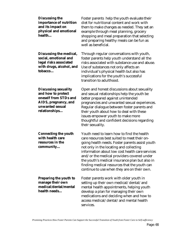| <b>Discussing the</b><br>importance of nutrition<br>and its impact on<br>physical and emotional<br>health                              | Foster parents help the youth evaluate their<br>diet for nutritional content and work with<br>them to make changes as needed. They set an<br>example through meal planning, grocery<br>shopping and meal preparation that selecting<br>and preparing healthy meals can be fun as<br>well as beneficial.                                                                                                                                    |
|----------------------------------------------------------------------------------------------------------------------------------------|--------------------------------------------------------------------------------------------------------------------------------------------------------------------------------------------------------------------------------------------------------------------------------------------------------------------------------------------------------------------------------------------------------------------------------------------|
| Discussing the medical,<br>social, emotional and<br>legal risks associated<br>with drugs, alcohol, and<br>tobacco                      | Through regular conversations with youth,<br>foster parents help youth understand all the<br>risks associated with substance use and abuse.<br>Use of substances not only affects an<br>individual's physical health but also has<br>implications for the youth's successful<br>transition to adulthood.                                                                                                                                   |
| <b>Discussing sexuality</b><br>and how to protect<br>oneself from STDs and<br>AIDS, pregnancy, and<br>unwanted sexual<br>relationships | Open and honest discussions about sexuality<br>and sexual relationships help the youth be<br>better prepared against unintended<br>pregnancies and unwanted sexual experiences.<br>Regular dialogue between foster parents and<br>their youth about how to deal with these<br>issues empower youth to make more<br>thoughtful and confident decisions regarding<br>their sexuality.                                                        |
| <b>Connecting the youth</b><br>with health care<br>resources in the<br>community                                                       | Youth need to learn how to find the health<br>care resources best suited to meet their on-<br>going health needs. Foster parents assist youth<br>not only in the locating and collecting<br>information about low cost health care services<br>and/or the medical providers covered under<br>the youth's medical insurance plan but also in<br>finding medical resources that the youth can<br>continue to use when they are on their own. |
| <b>Preparing the youth to</b><br>manage their own<br>medical/dental/mental<br>health needs                                             | Foster parents work with older youth in<br>setting up their own medical/dental/and<br>mental health appointments, helping youth<br>develop a plan for managing their own<br>medications and deciding when and how to<br>access medical/dental/and mental health<br>services.                                                                                                                                                               |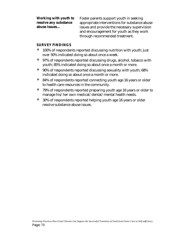**Working with youth to resolve any substance abuse issues…**

Foster parents support youth in seeking appropriate interventions for substance abuse issues and provide the necessary supervision and encouragement for youth as they work through recommended treatment.

#### **SURVEY FINDINGS**

- 100% of respondents reported discussing nutrition with youth; just over 50% indicated doing so about once a week.
- ó 97% of respondents reported discussing drugs, alcohol, tobacco with youth; 85% indicated doing so about once a month or more.
- 90% of respondents reported discussing sexuality with youth; 68% indicated doing so about once a month or more.
- ó 84% of respondents reported connecting youth age 16 years or older to health care resources in the community.
- ó 79% of respondents reported preparing youth age 16 years or older to manage his/her own medical/dental/mental health needs.
- 30% of respondents reported helping youth age 16 years or older resolve substance abuse issues.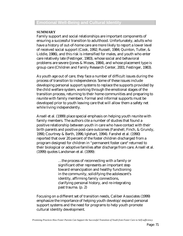#### **SUMMARY**

Family support and social relationships are important components of ensuring a successful transition to adulthood. Unfortunately, adults who have a history of out-of-home care are more likely to report a lower level of received social support (Cook, 1992; Russell, 1984; Quinton, Tutter, & Liddle, 1986), and this risk is intensified for males, and youth who enter care relatively late (Festinger, 1983), whose social and behavioral problems are severe (Jones & Moses, 1984), and whose placement type is group care (Children and Family Research Center, 2001; Festinger, 1983).

As youth age out of care, they face a number of difficult issues during the process of transition to independence. Some of these issues include developing personal support systems to replace the supports provided by the child welfare system, working through the emotional stages of the transition process, returning to their home communities and preparing to reunite with family members. Formal and informal supports must be developed prior to youth leaving care that will allow them a safety net while living independently.

Ansell et al. (1999) place special emphasis on helping youth reunite with family members. The authors cite a number of studies that found a positive relationship between youth in care who have contact with their birth parents and positive post-care outcomes (Fanshell, Finch, & Grundy, 1990; Courtney & Barth, 1996; Iglehart, 1994). Fanshel et al. (1990) reported that over 20 percent of the foster children discharged from a program designed for children in "permanent foster care" returned to their biological or adoptive families after discharge from care. Ansell et al. (1999) quotes Landsman et al. (1999):

> …the process of reconnecting with a family or significant other represents an important step toward emancipation and healthy functioning in the community, solidifying the adolescent's identity, affirming family connections, clarifying personal history, and re-integrating past trauma. (p. 2)

Focusing on a different set of transition needs, Caliber Associates (1999) emphasize the importance of helping youth develop/expand personal support systems and the need for programs to help youth promote cultural identity development.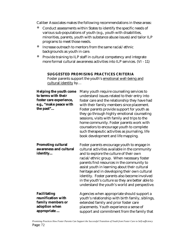Caliber Associates makes the following recommendations in these areas:

- ó Conduct assessments within States to identify the specific needs of various sub-populations of youth (e.g., youth with disabilities, minorities, parents, youth with substance abuse issues) and tailor ILP programs to meet those needs.
- ó Increase outreach to mentors from the same racial/ethnic backgrounds as youth in care.
- ó Provide training to ILP staff in cultural competency and integrate more formal cultural awareness activities into ILP services. (VI - 11)

#### **SUGGESTED PROMISING PRACTICES CRITERIA**

Foster parents support the youth's emotional well-being and cultural identity by…

| <b>Helping the youth come</b><br>to terms with their<br>foster care experience,<br>e.g., "make peace with<br>the past" | Many youth require counseling services to<br>understand issues related to their entry into<br>foster care and the relationship they have had<br>with their family members since placement.<br>Foster parents provide support for youth as<br>they go through highly emotional counseling<br>sessions, visits with family and trips to the<br>home community. Foster parents work with<br>counselors to encourage youth to complete<br>such therapeutic activities as journaling, life<br>book development and life mapping. |
|------------------------------------------------------------------------------------------------------------------------|-----------------------------------------------------------------------------------------------------------------------------------------------------------------------------------------------------------------------------------------------------------------------------------------------------------------------------------------------------------------------------------------------------------------------------------------------------------------------------------------------------------------------------|
| <b>Promoting cultural</b><br>awareness and cultural<br>identity                                                        | Foster parents encourage youth to engage in<br>cultural activities available in the community<br>and to explore the culture of their own<br>racial/ethnic group. When necessary foster<br>parents find resources in the community to<br>assist youth in learning about their cultural<br>heritage and in developing their own cultural<br>identity. Foster parents also become involved<br>in the youth's culture so they are better able to<br>understand the youth's world and perspective.                               |
| <b>Facilitating</b><br>reunification with<br>family members or<br>adoption when<br>appropriate                         | Agencies when appropriate should support a<br>youth's relationship with birth family, siblings,<br>extended family and prior foster care<br>placements. Youth experience a sense of<br>support and commitment from the family that                                                                                                                                                                                                                                                                                          |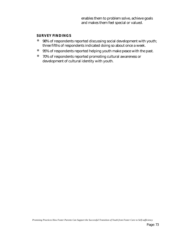enables them to problem solve, achieve goals and makes them feel special or valued.

#### **SURVEY FINDINGS**

- ó 98% of respondents reported discussing social development with youth; three fifths of respondents indicated doing so about once a week.
- ó 95% of respondents reported helping youth make peace with the past.
- ó 70% of respondents reported promoting cultural awareness or development of cultural identity with youth.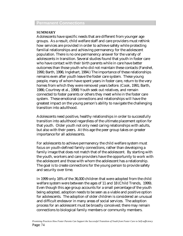#### **Permanent Connections**

#### **SUMMARY**

Adolescents have specific needs that are different from younger age groups. As a result, child welfare staff and care providers must rethink how services are provided in order to achieve safety while protecting familial relationships and achieving permanency for the adolescent population. There is no one permanency answer for the variety of adolescents in transition. Several studies found that youth in foster care who have contact with their birth parents while in care have better outcomes than those youth who did not maintain these contacts (Fanshel, 1990; Barth, 1996; Inglehart, 1994.) The importance of these relationships remains even after youth leave the foster care system. These young people, many of whom have spent years in foster care, return to the very homes from which they were removed years before. (Cook, 1991; Barth, 1986; Courtney et al., 1998) Youth seek out relatives, and remain connected to foster parents or others they meet while in the foster care system. These emotional connections and relationships will have the greatest impact on the young person's ability to navigate the challenging transition into adulthood.

Adolescents need positive, healthy relationships in order to successfully transition into adulthood regardless of the ultimate placement option for that youth. Older youth not only need caring relationships with adults, but also with their peers. At this age the peer group takes on greater importance for all adolescents.

For adolescents to achieve permanency the child welfare system must focus on youth-defined family connections, rather than developing a family image that does not match that of the adolescent. By starting with the youth, workers and care providers have the opportunity to work with the adolescent and those with whom the adolescent has a relationship. The goal is to create connections for the young person to provide safety and security over time.

In 1999 only 16% of the 36,000 children that were adopted from the child welfare system were between the ages of 11 and 18 (Child Trends, 1999). Even though this age group accounts for a small percentage of the youth being adopted, adoption needs to be seen as a viable and positive option for adolescents. The adoption of older children is considered an unusual and difficult endeavor in many areas of social services. The adoption process for an adolescent must be broadly conceived; there may remain connections to biological family members or community members.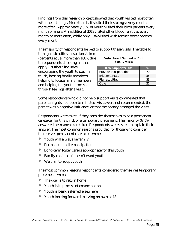Findings from this research project showed that youth visited most often with their siblings. More than half visited their siblings every month or more often. Approximately 35% of youth visited their birth parents every month or more. An additional 30% visited other blood relatives every month or more often, while only 10% visited with former foster parents every month.

The majority of respondents helped to support these visits. The table to

the right identifies the actions taken (percents equal more than 100% due to respondents checking all that apply). "Other" includes encouraging the youth to stay in touch, hosting family members, helping to locate family members and helping the youth process through feelings after a visit.

| <b>Foster Parent Support of Birth</b> |  |
|---------------------------------------|--|
| <b>Family Visits</b>                  |  |

| <b>How Support Visits</b> |    |
|---------------------------|----|
| Provide transportation    | 70 |
| Initiate contact          | 56 |
| Plan activities           | 33 |
| Other                     | 96 |

Some respondents who did not help support visits commented that parental rights had been terminated, visits were not recommended, the parent was a negative influence, or that the agency arranged the visits.

Respondents were asked if they consider themselves to be a permanent caretaker for this child, or a temporary placement. The majority (64%) answered permanent caretaker. Respondents were asked to explain their answer. The most common reasons provided for those who consider themselves permanent caretakers were:

- ó Youth will always be family
- ó Permanent until emancipation
- Long-term foster care is appropriate for this youth
- Family can't take/doesn't want youth
- We plan to adopt youth

The most common reasons respondents considered themselves temporary placements were:

- The goal is to return home
- ó Youth is in process of emancipation
- ó Youth is being referred elsewhere
- ó Youth looking forward to living on own at 18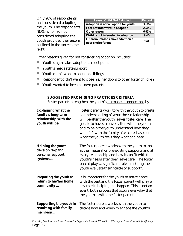Only 20% of respondents had considered adopting the youth. The respondents (80%) who had not considered adopting the youth provided the reasons outlined in the table to the right.

| <b>Reason Child Not Adopted</b>                         | <b>Percent</b> |
|---------------------------------------------------------|----------------|
| Adoption is not an option for youth                     | 39.6%          |
| I am not interested in adoption                         | 22.6%          |
| <b>Other reason</b>                                     | 6.91%          |
| Child is not interested in adoption                     | 9.4%           |
| Financial reasons make adoption a<br>poor choice for me | 9.4%           |

Other reasons given for not considering adoption included:

- ó Youth's age makes adoption a moot point
- ó Youth's needs state support
- ó Youth didn't want to abandon siblings
- ó Respondent didn't want to close his/her doors to other foster children
- ó Youth wanted to keep his own parents.

#### **SUGGESTED PROMISING PRACTICES CRITERIA**

Foster parents strengthen the youth's permanent connections by…

| <b>Explaining what the</b><br>family's long-term<br>relationship with the<br>youth will be | Foster parents work to with the youth to create<br>an understanding of what their relationship<br>will be after the youth leaves foster care. The<br>goal is to have a conversation with the youth<br>and to help the youth understand how they<br>will "fit" with the family after care, based on<br>what the youth feels they want and need. |
|--------------------------------------------------------------------------------------------|------------------------------------------------------------------------------------------------------------------------------------------------------------------------------------------------------------------------------------------------------------------------------------------------------------------------------------------------|
| <b>Helping the youth</b><br>develop /expand<br>personal support<br>systems                 | The foster parent works with the youth to look<br>at their natural or pre-existing supports and at<br>every relationship and how it can fit with the<br>youth's needs after they leave care. The foster<br>parent plays a significant role in helping the<br>youth evaluate their "circle of support".                                         |
| <b>Preparing the youth to</b><br>return to his/her home<br>community                       | It is important for the youth to make peace<br>with the past and the foster parent will play a<br>key role in helping this happen. This is not an<br>event, but a process that occurs everyday that<br>the youth is with the foster parent.                                                                                                    |
| <b>Supporting the youth in</b><br>reuniting with family<br>members                         | The foster parent works with the youth to<br>decide how and when to engage the youth's                                                                                                                                                                                                                                                         |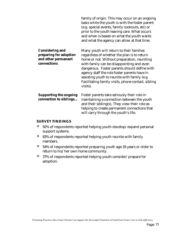|                                                                                        | family of origin. This may occur on an ongoing<br>basis while the youth is with the foster parent<br>(e.g. special events, family cookouts, etc) or<br>prior to the youth leaving care. What occurs<br>and when is based on what the youth wants<br>and what the agency can allow at that time.                                                                                                       |
|----------------------------------------------------------------------------------------|-------------------------------------------------------------------------------------------------------------------------------------------------------------------------------------------------------------------------------------------------------------------------------------------------------------------------------------------------------------------------------------------------------|
| <b>Considering and</b><br>preparing for adoption<br>and other permanent<br>connections | Many youth will return to their families<br>regardless of whether the plan is to return<br>home or not. Without preparation, reuniting<br>with family can be disappointing and even<br>dangerous. Foster parents should define with<br>agency staff the role foster parents have in<br>assisting youth to reunite with family (e.g.<br>Facilitating family visits, phone contact, sibling<br>visits). |
| <b>Supporting the ongoing</b><br>connection to siblings                                | Foster parents take seriously their role in<br>maintaining a connection between the youth<br>and their sibling(s). They view their role as<br>helping to create permanent connections that<br>will carry through the youth's life.                                                                                                                                                                    |

#### **SURVEY FINDINGS**

- ó 92% of respondents reported helping youth develop/expand personal support systems.
- ó 83% of respondents reported helping youth reunite with family members.
- ó 54% of respondents reported preparing youth age 16 years or older to return to his/her own home community.
- ó 37% of respondents reported helping youth consider/prepare for adoption.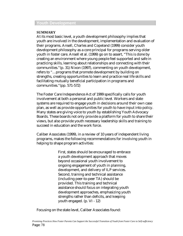### **Youth Development**

#### **SUMMARY**

At its most basic level, a youth development philosophy implies that youth are involved in the development, implementation and evaluation of their programs. Ansell, Charles and Copeland (1999) consider youth development philosophy as a core principal for programs serving older youth in foster care. Ansell et al. (1999) go on to assert, "This is done by creating an environment where young people feel supported and safe in practicing skills, learning about relationships and connecting with their communities."(p. 31) Nixon (1997), commenting on youth development, refers to "…programs that promote development by building on strengths, creating opportunities to learn and practice real life skills and facilitating mutually beneficial participation in programs and communities."(pp. 571-572)

The Foster Care Independence Act of 1999 specifically calls for youth involvement at both a personal and public level. Workers and state systems are required to engage youth in decisions around their own case plan, as well as provide opportunities for youth to have input into policy. Many states are giving voice to youth by establishing Youth Advocacy Boards. These boards not only provide a platform for youth to share their views, but also provide youth necessary leadership skills and training to succeed in education and the work force.

Caliber Associates (1999), in a review of 10 years of independent living programs, makes the following recommendations for involving youth in helping to shape program activities:

> First, states should be encouraged to embrace a youth development approach that moves beyond occasional youth involvement to ongoing engagement of youth in planning, development, and delivery of ILP services. Second, training and technical assistance (including peer-to-peer TA) should be provided. This training and technical assistance should focus on integrating youth development approaches, emphasizing youth strengths rather than deficits, and keeping youth engaged. (p. VI - 12)

Focusing on the state level, Caliber Associates found: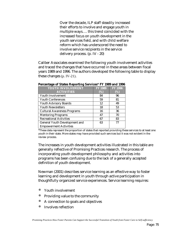Over the decade, ILP staff steadily increased their efforts to involve and engage youth in multiple ways…. this trend coincided with the increased focus on youth development in the youth services field, and with child welfare reform which has underscored the need to involve service recipients in the service delivery process. (p. IV - 20)

Caliber Associates examined the following youth involvement activities and traced the changes that have occurred in these areas between fiscal years 1989 and 1996. The authors developed the following table to display these changes (p. IV-21).

| YOUTH INVOLVEMENT                    | <b>FY 1989</b> | <b>FY 1996</b> |
|--------------------------------------|----------------|----------------|
| <b>ACTIVITIES</b>                    | (%)            | (%)            |
| Youth Involvement                    | 84             | 96             |
| <b>Youth Conferences</b>             | 59             | 81             |
| <b>Youth Advisory Boards</b>         | 12             | 49             |
| <b>Youth Newsletters</b>             | 18             | 53             |
| <b>Cultural Awareness Programs</b>   | 16             | 36             |
| <b>Mentoring Programs</b>            | 47             | 70             |
| <b>Recreational Activities</b>       | 67             | 83             |
| <b>General Youth Development and</b> | 63             | 77             |
| <b>Empowerment Activities</b>        |                |                |

\*These data represent the proportion of states that reported providing these services to at least one youth in their state. More states may have provided such services but it was not evident in the review process.

The increases in youth development activities illustrated in this table are generally reflective of Promising Practices research. The process of incorporating youth development philosophy and activities into programs has been confusing due to the lack of a generally accepted definition of youth development.

Newman (2001) describes service learning as an effective way to foster learning and development in youth through active participation in thoughtfully organized service experiences. Service learning requires:

- Youth involvement
- Providing value to the community
- ó A connection to goals and objectives
- Involves reflection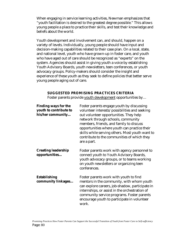When engaging in service learning activities, Newman emphasizes that "youth facilitation is desired to the greatest degree possible." This allows young people a place to practice their skills, and test their knowledge and beliefs about the world.

Youth development and involvement can, and should, happen on a variety of levels. Individually, young people should have input and decision-making capabilities related to their case plan. On a local, state, and national level, youth who have grown-up in foster care, and youth who have aged out of care should be recognized as "experts" on the system. Agencies should assist in giving youth a voice by establishing Youth Advisory Boards, youth newsletters, teen conferences, or youth advocacy groups. Policy-makers should consider the insight and experience of these youth as they seek to define policies that better serve young people aging out of care.

#### **SUGGESTED PROMISING PRACTICES CRITERIA**

Foster parents provide youth development opportunities by…

| <b>Finding ways for the</b><br>youth to contribute to<br>his/her community | Foster parents engage youth by discussing<br>volunteer interests/possibilities and seeking<br>out volunteer opportunities. They help<br>network through schools, community<br>members, friends, and family to discuss<br>opportunities where youth can practice their<br>skills while serving others. Most youth want to<br>contribute to the communities of which they<br>are a part. |
|----------------------------------------------------------------------------|----------------------------------------------------------------------------------------------------------------------------------------------------------------------------------------------------------------------------------------------------------------------------------------------------------------------------------------------------------------------------------------|
| <b>Creating leadership</b><br>opportunities                                | Foster parents work with agency personnel to<br>connect youth to Youth Advisory Boards,<br>youth advocacy groups, or to teams working<br>on youth newsletters or organizing teen<br>conferences.                                                                                                                                                                                       |
| <b>Establishing</b><br>community linkages                                  | Foster parents work with youth to find<br>mentors in the community, with whom youth<br>can explore careers, job-shadow, participate in<br>internships, or assist in the orchestration of<br>community service programs. Foster parents<br>encourage youth to participate in volunteer<br>work.                                                                                         |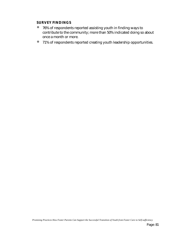#### **SURVEY FINDINGS**

- ó 76% of respondents reported assisting youth in finding ways to contribute to the community; more than 50% indicated doing so about once a month or more.
- ó 71% of respondents reported creating youth leadership opportunities.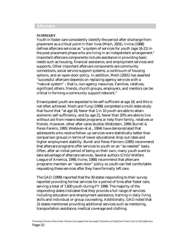#### **Aftercare**

#### **SUMMARY**

Youth in foster care consistently identify the period after discharge from placement as a critical point in their lives (Mech, 2001). Irvine (1988) defines aftercare services as "a system of services for youth (age 16-21) in the post-placement phase who are living in an independent arrangement." Important aftercare components include assistance in providing basic needs such as housing, financial assistance, and employment services and supports. Other important aftercare components are community connections, social service support systems, a continuum of housing options, and an open-door policy. In addition, Mech (2001) has asserted "successful aftercare depends on replacing agency services with a "natural system" – that is, non-agency resources. Families, relatives, significant others, friends, church groups, employers, and mentors can be critical in forming a community support network."

Emancipated youth are expected to be self-sufficient at age 18, and this is not often achieved. Mech and Fung (1998) completed a multi-state study that found that "at age 18, fewer that 1 in 10 youth are able to attain economic self-sufficiency, and by age 21, fewer than 20% are able to live without aid from means-tested programs or help from family, relatives or friends. However, other after cares studies (Wetzstein, 1999; Burrell & Perez-Fereiro, 1995; Wedeven et al., 1994) have demonstrated that adolescents who receive follow up services were statistically better than comparison groups in terms of lower educational drop out rates and higher employment stability. Burell and Perez-Feirrero (1995) recommend that aftercare programs offer services to youth on an "as-needed" basis. Often, after an initial period of being on their own, many youth want to take advantage of aftercare services. Several authors (Child Welfare League of America, 1998; Irvine, 1988) recommend that aftercare programs maintain an "open-door" policy so youth can feel comfortable requesting these services after they have formally left care.

The GAO (1999) reported that the 30 states responding to their survey reported providing formal services for a period of time after foster care, serving a total of 7,830 youth during FY 1998. The majority of the responding states indicated that they provide a full range of services including education and employment assistance, training in daily living skills and individual or group counseling. Additionally, GAO noted that 21 states mentioned providing additional services such as mentoring, transportation assistance, medical coverage and clothing.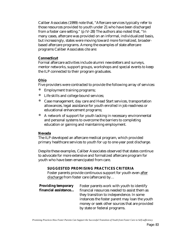Caliber Associates (1999) note that, "Aftercare services typically refer to those resources provided to youth under 21 who have been discharged from a foster care setting." (p IV-28) The authors also noted that, "In many cases, aftercare was provided on an informal, individualized basis, but increasingly, states were moving toward more formalized, broaderbased aftercare programs. Among the examples of state aftercare programs Caliber Associates cite are:

#### **Connecticut**

Formal aftercare activities include alumni newsletters and surveys, mentor networks, support groups, workshops and special events to keep the ILP connected to their program graduates.

#### **Ohio**

Five providers were contracted to provide the following array of services:

- Employment training programs;
- Life skills and college bound services;
- ó Case management, day care and Head Start services, transportation allowances, legal assistance for youth enrolled in job readiness or educational enhancement programs;
- ó A network of support for youth lacking in necessary environmental and personal systems to overcome the barriers to completing education or gaining and maintaining employment.

#### **Nevada**

The ILP developed an aftercare medical program, which provided primary healthcare services to youth for up to one-year post discharge.

Despite these examples, Caliber Associates observed that states continue to advocate for more extensive and formalized aftercare program for youth who have been emancipated from care.

#### **SUGGESTED PROMISING PRACTICES CRITERIA**

Foster parents provide continuous support for youth even after discharge from foster care (aftercare) by…

| <b>Providing temporary</b> | Foster parents work with youth to identify     |
|----------------------------|------------------------------------------------|
| financial assistance       | financial resources needed to assist them as   |
|                            | they transition to independence. In some       |
|                            | instances the foster parent may loan the youth |
|                            | money or seek other sources that are provided  |
|                            | by state or federal programs.                  |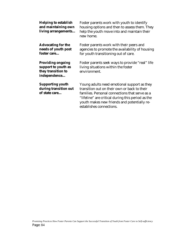| <b>Helping to establish</b><br>and maintaining own<br>living arrangements             | Foster parents work with youth to identify<br>housing options and then to assess them. They<br>help the youth move into and maintain their<br>new home.                                                                                                                       |
|---------------------------------------------------------------------------------------|-------------------------------------------------------------------------------------------------------------------------------------------------------------------------------------------------------------------------------------------------------------------------------|
| <b>Advocating for the</b><br>needs of youth post<br>foster care                       | Foster parents work with their peers and<br>agencies to promote the availability of housing<br>for youth transitioning out of care.                                                                                                                                           |
| <b>Providing ongoing</b><br>support to youth as<br>they transition to<br>independence | Foster parents seek ways to provide "real" life<br>living situations within the foster<br>environment.                                                                                                                                                                        |
| <b>Supporting youth</b><br>during transition out<br>of state care                     | Young adults need emotional support as they<br>transition out on their own or back to their<br>families. Personal connections that serve as a<br>"lifeline" are critical during this period as the<br>youth makes new friends and potentially re-<br>establishes connections. |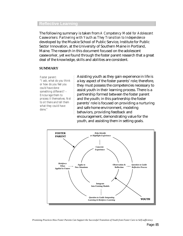#### **Reflective Learning**

The following summary is taken from *A Competency Model for Adolescent Caseworkers: Partnering with Youth as They Transition to Independence* developed by the Muskie School of Public Service, Institute for Public Sector Innovation, at the University of Southern Maine in Portland, Maine. The research in this document focused on the adolescent caseworker, yet we found through the foster parent research that a great deal of the knowledge, skills and abilities are consistent.

#### **SUMMARY**

*Foster parent: "I ask, what do you think or how do you feel you could have done something different? – Encourage them to process it themselves. Not to sit there and tell them what they could have done."*

Assisting youth as they gain experience in life is a key aspect of the foster parents' role; therefore, they must possess the competencies necessary to assist youth in their learning process. There is a partnership formed between the foster parent and the youth; in this partnership the foster parents' role is focused on providing a nurturing and safe home environment, modeling behaviors, providing feedback and encouragement, demonstrating value for the youth, and assisting them in setting goals.

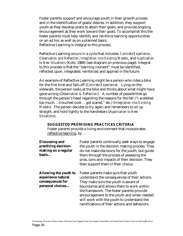Foster parents support and encourage youth in their growth process and in the identification of goals/desires. In addition, they support youth as they develop plans to attain their goals, and provide ongoing encouragement as they work toward their goals. To accomplish this the foster parents must help identify and reinforce learning opportunities on an ad hoc as well as on a planned basis; Reflective Learning is integral to this process.

Reflective Learning occurs in a cycle that includes: *Concrete Experience*, *Observation and Reflection*, *Integration into Existing Models*, and *Application to New Situations* (Kolb, 1984) (see diagram on previous page). Integral to this process is that the "learning moment" must be identified, reflected upon, integrated, reinforced and applied in the future

An example of Reflective Learning might be a person who rides a bike for the first time and falls off (C*oncrete Experience)*. Lying on the sidewalk, the person looks at the bike and thinks about what might have gone wrong (O*bservation & Reflection*). A number of possibilities go through the person's head regarding the reasons for the fall ("I wobbled too much… crouched over… got scared," etc.) (I*ntegration into Existing Models*). The person decides to try again and remembers to sit up straight, and hold tightly to the handlebars (A*pplication to New Situations*).

#### **SUGGESTED PROMISING PRACTICES CRITERIA**

Foster parents provide a living environment that incorporates reflective learning, by…

| <b>Discussing and</b><br>practicing decision-<br>making on a regular<br>basis              | Foster parents continually seek ways to engage<br>the youth in the decision making process. They<br>do not make decisions for the youth, but guide<br>them through the process of assessing the<br>pros, cons and impacts of their decision. They<br>then support them in their choice.                                                                             |
|--------------------------------------------------------------------------------------------|---------------------------------------------------------------------------------------------------------------------------------------------------------------------------------------------------------------------------------------------------------------------------------------------------------------------------------------------------------------------|
| <b>Allowing the youth to</b><br>experience natural<br>consequences for<br>personal choices | Foster parents make sure that youth<br>understand the consequences of their actions.<br>They make sure the youth is aware of<br>boundaries and allows them to work within<br>the framework. The foster parents provide<br>encouragement to the youth and when needed<br>will work with the youth to understand the<br>ramifications of their actions and behaviors. |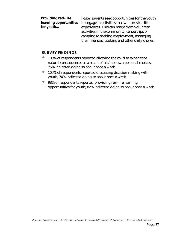| <b>Providing real-life</b> | Foster parents seek opportunities for the youth |
|----------------------------|-------------------------------------------------|
| learning opportunities     | to engage in activities that will provide life  |
| for youth                  | experiences. This can range from volunteer      |
|                            | activities in the community, canoe trips or     |
|                            | camping to seeking employment, managing         |
|                            | their finances, cooking and other daily chores. |

#### **SURVEY FINDINGS**

- $\bullet$  100% of respondents reported allowing the child to experience natural consequences as a result of his/her own personal choices; 75% indicated doing so about once a week.
- $\bullet$  100% of respondents reported discussing decision-making with youth; 74% indicated doing so about once a week.
- ó 98% of respondents reported providing real-life learning opportunities for youth; 82% indicated doing so about once a week.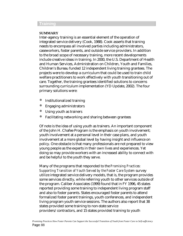#### **Training**

#### **SUMMARY**

Inter-agency training is an essential element of the operation of integrated service delivery (Cook, 1988). Cook asserts that training needs to encompass all involved parties including administrators, caseworkers, foster parents, and outside service providers. In addition to the broad scope of necessary training, more recent developments include creative ideas in training. In 2000, the U.S. Department of Health and Human Services, Administration on Children, Youth and Families, Children's Bureau funded 12 independent living training grantees. The projects were to develop a curriculum that could be used to train child welfare practitioners to work effectively with youth transitioning out of care. Together, the training grantees identified solutions to concerns surrounding curriculum implementation (YD Update, 2002). The four primary solutions were:

- **•** Institutionalized training
- ó Engaging administrators
- ó Using youth as trainers
- ó Facilitating networking and sharing between grantees

Of note is the idea of using youth as trainers. An important component of the John H. Chafee Program is the emphasis on youth involvement; youth involvement at a personal level in their case plans, and youth involvement at a more global level by having insight and influence on policy. One obstacle is that many professionals are not prepared to view young people as the experts in their own lives and experiences. Yet doing so may provide workers with an increased ability to connect with and be helpful to the youth they serve.

Many of the programs that responded to the *Promising Practices: Supporting Transition of Youth Served by the Foster Care System* survey utilize integrated service delivery models, that is, the program provides some services directly, while referring youth to other services outside of the program. Caliber Associates (1999) found that in FY 1996, 45 states reported providing some training to independent living program staff and also to foster parents. States encouraged foster parents to attend formalized foster parent trainings, youth conferences, and independent living program youth service sessions. The authors also report that 38 states provided some training to non-state service providers/contractors, and 15 states provided training to youth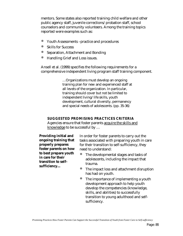mentors. Some states also reported training child welfare and other public agency staff, juvenile corrections/probation staff, school counselors and community volunteers. Among the training topics reported were examples such as:

- ó Youth Assessments –practice and procedures
- Skills for Success
- Separation, Attachment and Bonding
- Handling Grief and Loss issues.

Ansell et al. (1999) specifies the following requirements for a comprehensive independent living program staff training component.

> …Organizations must develop an ongoing training plan for new and experienced staff at all levels of the organization. In particular, training should cover but not be limited to independent living/life skills, youth development, cultural diversity, permanency and special needs of adolescents. (pp. 35-36)

#### **SUGGESTED PROMISING PRACTICES CRITERIA**

Agencies ensure that foster parents acquire the skills and knowledge to be successful by …

**Providing initial and ongoing training that properly prepares foster parents on how to best prepare youth in care for their transition to selfsufficiency…**

In order for foster parents to carry out the tasks associated with preparing youth in care for their transition to self-sufficiency, they need to understand:

- The developmental stages and tasks of adolescents, including the impact that trauma.
- ó The impact loss and attachment disruption has had on youth.
- The importance of implementing a youth development approach to help youth develop the competencies (knowledge, skills, and abilities) to successfully transition to young adulthood and selfsufficiency.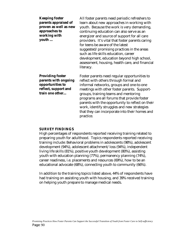| <b>Keeping foster</b><br>parents appraised of<br>proven as well as new<br>approaches to<br>working with<br>youth | All foster parents need periodic refreshers to<br>learn about new approaches in working with<br>youth. Because the work is very demanding,<br>continuing education can also serve as an<br>energizer and source of support for all care<br>providers. It's vital that foster parents caring<br>for teens be aware of the latest<br>suggested/promising practices in the areas<br>such as life skills education, career<br>development, education beyond high school,<br>assessment, housing, health care, and financial<br>literacy. |
|------------------------------------------------------------------------------------------------------------------|--------------------------------------------------------------------------------------------------------------------------------------------------------------------------------------------------------------------------------------------------------------------------------------------------------------------------------------------------------------------------------------------------------------------------------------------------------------------------------------------------------------------------------------|
| <b>Providing foster</b><br>parents with ongoing<br>opportunities to<br>reflect, support and<br>train one other   | Foster parents need regular opportunities to<br>reflect with others through formal and<br>informal networks, groups and one-to-one<br>meetings with other foster parents. Support-<br>groups, training teams and mentoring<br>programs are all forums that provide foster<br>parents with the opportunity to reflect on their<br>work, identify struggles and new strategies<br>that they can incorporate into their homes and<br>practice.                                                                                          |

#### **SURVEY FINDINGS**

High percentages of respondents reported receiving training related to preparing youth for adulthood. Topics respondents reported receiving training include: Behavioral problems in adolescents (98%), adolescent development (94%), adolescent attachment/loss (94%), independent living life skills (81%), positive youth development (80%), assisting youth with education planning (77%), permanency planning (74%), career readiness, i.e. placements and resources (69%), how to be an educational advocate (68%), connecting youth to community (66%).

In addition to the training topics listed above, 44% of respondents have had training on assisting youth with housing, and 39% received training on helping youth prepare to manage medical needs.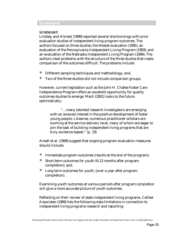#### **Evaluation**

#### **SUMMARY**

Lindsey and Ahmed (1999) reported several shortcomings with prior evaluation studies of independent living program outcomes. The authors focused on three studies; the Westat evaluation (1991), an evaluation of the Pennsylvania Independent Living Program (1993), and an evaluation of the Nebraska Independent Living Program (1994). The authors cited problems with the structure of the three studies that made comparison of the outcomes difficult. The problems include:

- ó Different sampling techniques and methodology; and,
- ó Two of the three studies did not include comparison groups.

However, current legislation such as the John H. Chafee Foster Care Independence Program offers an excellent opportunity for quality outcomes studies to emerge. Mech (2001) looks to the future optimistically:

> "…many talented research investigators are emerging with an avowed interest in the positive development of foster young people. Likewise, numerous practitioner-scholars are working at the service delivery level, many of whom are eager to join the task of building independent living programs that are truly evidence-based." (p. 33)

Ansell et al. (1999) suggest that ongoing program evaluation measures should include:

- ó Immediate program outcomes (results at the end of the program);
- Short-term outcomes for youth (6-12 months after program completion); and,
- ó Long term outcomes for youth, (over a year after program completion).

Examining youth outcomes at various periods after program completion will give a more accurate picture of youth outcomes.

Reflecting on their review of state independent living programs, Caliber Associates (1999) lists the following data limitations in connection to independent living programs research and reporting: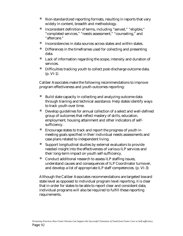- ó Non-standardized reporting formats, resulting in reports that vary widely in content, breadth and methodology.
- ó Inconsistent definition of terms, including "served," "eligible," "completed services," "needs assessment," "counseling," and "aftercare."
- ó Inconsistencies in data sources across states and within states.
- ó Differences in the timeframes used for collecting and presenting data.
- Lack of information regarding the scope, intensity and duration of services.
- ó Difficulties tracking youth to collect post-discharge outcome data. (p. VI-1)

Caliber Associates make the following recommendations to improve program effectiveness and youth outcomes reporting:

- ó Build state capacity in collecting and analyzing outcome data through training and technical assistance. Help states identify ways to track youth over time.
- ó Develop guidelines for annual collection of a select and well-defined group of outcomes that reflect mastery of skills, education, employment, housing attainment and other indicators of selfsufficiency.
- ó Encourage states to track and report the progress of youth in meeting goals specified in their individual needs assessments and case plans related to independent living.
- Support longitudinal studies by external evaluators to provide needed insight into the effectiveness of various ILP services and their long-term impact on youth self-sufficiency.
- ó Conduct additional research to assess ILP staffing issues, understand causes and consequences of ILP Coordinator turnover, and develop a list of appropriate ILP staff competencies. (p. VI-3)

Although the Caliber Associates recommendations are targeted toward state level as opposed to individual program level reporting, it is clear that in order for states to be able to report clear and consistent data, individual programs will also be required to fulfill these reporting requirements.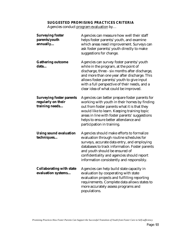#### **SUGGESTED PROMISING PRACTICES CRITERIA**

Agencies conduct program evaluation by...

| <b>Surveying foster</b><br>parents/youth<br>annually                    | Agencies can measure how well their staff<br>helps foster parents/youth, and examine<br>which areas need improvement. Surveys can<br>ask foster parents/youth directly to make<br>suggestions for change.                                                                                                                  |
|-------------------------------------------------------------------------|----------------------------------------------------------------------------------------------------------------------------------------------------------------------------------------------------------------------------------------------------------------------------------------------------------------------------|
| <b>Gathering outcome</b><br>data                                        | Agencies can survey foster parents/youth<br>while in the program, at the point of<br>discharge, three - six months after discharge,<br>and more than one year after discharge. This<br>allows foster parents/youth to give input<br>with a full perspective of their needs, and a<br>clear idea of what could be improved. |
| <b>Surveying foster parents</b><br>regularly on their<br>training needs | Agencies can better prepare foster parents for<br>working with youth in their homes by finding<br>out from foster parents what it is that they<br>would like to learn. Keeping training topic<br>areas in line with foster parents' suggestions<br>helps to ensure better attendance and<br>participation in training.     |
| <b>Using sound evaluation</b><br>techniques                             | Agencies should make efforts to formalize<br>evaluation through routine schedules for<br>surveys, accurate data entry, and employing<br>databases to track information. Foster parents<br>and youth should be ensured of<br>confidentiality and agencies should report<br>information consistently and responsibly.        |
| <b>Collaborating with state</b><br>evaluation systems                   | Agencies can help build state capacity in<br>evaluation by cooperating with state<br>evaluation projects and fulfilling reporting<br>requirements. Complete data allows states to<br>more accurately assess programs and<br>populations.                                                                                   |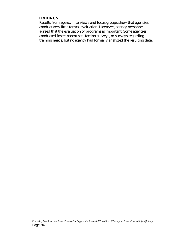#### **FINDINGS**

Results from agency interviews and focus groups show that agencies conduct very little formal evaluation. However, agency personnel agreed that the evaluation of programs is important. Some agencies conducted foster parent satisfaction surveys, or surveys regarding training needs, but no agency had formally analyzed the resulting data.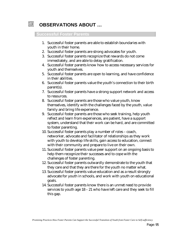

# **OBSERVATIONS ABOUT …**

#### **Successful Foster Parents**

- 1. Successful foster parents are able to establish boundaries with youth in their home.
- 2. Successful foster parents are strong advocates for youth.
- 3. Successful foster parents recognize that rewards do not come immediately, and are able to delay gratification.
- 4. Successful foster parents know how to access necessary services for youth and themselves.
- 5. Successful foster parents are open to learning, and have confidence in their abilities.
- 6. Successful foster parents value the youth's connection to their birth parent(s).
- 7. Successful foster parents have a strong support network and access to resources.
- 8. Successful foster parents are those who value youth, know themselves, identify with the challenges faced by the youth, value family and bring life experience.
- 9. Successful foster parents are those who seek training, help youth reflect and learn from experiences, are patient, have a support system, understand that their work can be hard, and are committed to foster parenting.
- 10. Successful foster parents play a number of roles coach, networker, advocate and facilitator of relationships as they work with youth to develop life skills, gain access to education, connect with their community and prepare to live on their own.
- 11. Successful foster parents value peer support on an ongoing basis to help them recognize their successes and to cope with the challenges of foster parenting.
- 12. Successful foster parents outwardly demonstrate to the youth that they care and that they are there for the youth no matter what.
- 13. Successful foster parents value education and as a result strongly advocate for youth in schools, and work with youth on educational goals.
- 14. Successful foster parents know there is an unmet need to provide services to youth age 18 – 21 who have left care and they seek to fill this gap.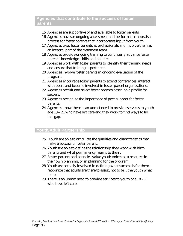## **Agencies that contribute to the success of foster parents**

- 15. Agencies are supportive of and available to foster parents.
- 16. Agencies have an ongoing assessment and performance appraisal process for foster parents that incorporates input from youth.
- 17. Agencies treat foster parents as professionals and involve them as an integral part of the treatment team.
- 18. Agencies provide ongoing training to continually advance foster parents' knowledge, skills and abilities.
- 19. Agencies work with foster parents to identify their training needs and ensure that training is pertinent.
- 20. Agencies involve foster parents in ongoing evaluation of the program.
- 21. Agencies encourage foster parents to attend conferences, interact with peers and become involved in foster parent organizations.
- 22. Agencies recruit and select foster parents based on a profile for success.
- 23. Agencies recognize the importance of peer support for foster parents.
- 24. Agencies know there is an unmet need to provide services to youth age 18 – 21 who have left care and they work to find ways to fill this gap.

## **Youth/Adult Partnership**

- 25. Youth are able to articulate the qualities and characteristics that make a successful foster parent.
- 26. Youth are able to define the relationship they want with birth parents and what permanency means to them.
- 27. Foster parents and agencies value youth voices as a resource in their own planning, or in planning for the program.
- 28. Youth are actively involved in defining what success is for them recognize that adults are there to assist, not to tell, the youth what to do.
- 29. There is an unmet need to provide services to youth age 18 21 who have left care.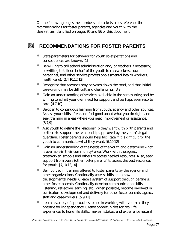On the following pages the numbers in brackets cross reference the *recommendations* for foster parents, agencies and youth with the *observations* identified on pages 95 and 96 of this document.

#### 网 **RECOMMENDATIONS FOR FOSTER PARENTS**

- State parameters for behavior for youth so expectations and consequences are known. [1]
- ó Be willing to call school administration and/or teachers if necessary; be willing to talk on behalf of the youth to caseworkers, court personnel, and other service professionals (mental health workers, health care). [2,4,10,12,13]
- ó Recognize that rewards may be years down the road, and that initial care-giving may be difficult and challenging. [3,9]
- ó Gain an understanding of services available in the community; and be willing to admit your own need for support and perhaps even respite care. [4,7,10]
- ó Be open to continuous learning from youth, agency and other sources. Assess your skills often; and feel good about what you do right, and seek training in areas where you need improvement or assistance. [5,7,9]
- ó Ask youth to define the relationship they want with birth parents and be there to support the relationship approved by the youth's legal guardian. Foster parents should help facilitate if it is difficult for the youth to communicate what they want. [6,10,12]
- ó Gain an understanding of the needs of the youth and determine what is available in their community/area. Work with the agency, caseworker, schools and others to access needed resources. Also, seek support from peers (other foster parents) to assess the best resources for youth. [7,10,13,14]
- Be involved in training offered to foster parents by the agency and other organizations. Continually assess skills and know developmental needs. Create a system of support through partners, other foster parents. Continually develop communication skills – listening, reflective learning, etc. When possible, become involved in curriculum development and delivery for other foster parents, agency staff and caseworkers. [5,9,11]
- Learn a variety of approaches to use in working with youth as they prepare for independence. Create opportunities for real life experiences to hone life skills, make mistakes, and experience natural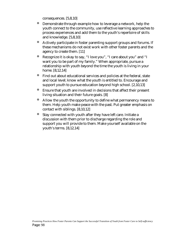consequences. [5,8,10]

- ó Demonstrate through example how to leverage a network, help the youth connect to the community, use reflective learning approaches to process experiences and add them to the youth's repertoire of skills and knowledge. [5,8,10]
- ó Actively participate in foster parenting support groups and forums. If these mechanisms do not exist work with other foster parents and the agency to create them. [11]
- ó Recognize it is okay to say, "I love you", "I care about you" and "I want you to be part of my family." When appropriate, pursue a relationship with youth beyond the time the youth is living in your home. [8,12,14]
- ó Find out about educational services and policies at the federal, state and local level; know what the youth is entitled to. Encourage and support youth to pursue education beyond high school. [2,10,13]
- ó Ensure that youth are involved in decisions that affect their present living situation and their future goals. [8]
- ó Allow the youth the opportunity to define what permanency means to them. Help youth make peace with the past. Put greater emphasis on contact with siblings. [8,10,12]
- Stay connected with youth after they have left care. Initiate a discussion with them prior to discharge regarding the role and support you will provide to them. Make yourself available on the youth's terms. [8,12,14]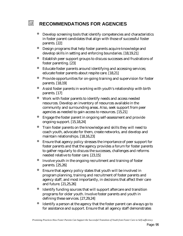# **RECOMMENDATIONS FOR AGENCIES**

网

- ó Develop screening tools that identify competencies and characteristics in foster parent candidates that align with those of successful foster parents. [22]
- ó Design programs that help foster parents acquire knowledge and develop skills in setting and enforcing boundaries. [18,19,21]
- ó Establish peer support groups to discuss successes and frustrations of foster parenting. [23]
- ó Educate foster parents around identifying and accessing services; educate foster parents about respite care. [18,21]
- ó Provide opportunities for on-going training and supervision for foster parents. [18,19]
- ó Assist foster parents in working with youth's relationship with birth parents. [17]
- ó Work with foster parents to identify needs and access needed resources. Develop an inventory of resources available in the community and surrounding areas. Also, seek support from peer agencies as needed to gain access to resources. [15,21]
- ó Engage the foster parent in ongoing self-assessment and provide ongoing support. [15,18,24]
- ó Train foster parents on the knowledge and skills they will need to coach youth, advocate for them, create networks, and develop and maintain relationships. [18,16,23]
- ó Ensure that agency policy stresses the importance of peer support for foster parents and that the agency provides a forum for foster parents to gather regularly to discuss the successes, challenges and reforms needed relative to foster care. [23,15]
- ó Involve youth in the ongoing recruitment and training of foster parents. [25,26]
- ó Ensure that agency policy states that youth will be involved in program planning, training and recruitment of foster parents and agency staff, and most importantly, in decisions that affect their care and future. [21,25,26]
- ó Identify funding sources that will support aftercare and transition programs for older youth. Involve foster parents and youth in defining these services. [27,29,24]
- ó Identify a person at the agency that the foster parent can always go to for assistance and support. Ensure that all agency staff demonstrates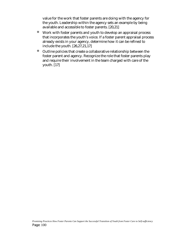value for the work that foster parents are doing with the agency for the youth. Leadership within the agency sets an example by being available and accessible to foster parents. [20,21]

- ó Work with foster parents and youth to develop an appraisal process that incorporates the youth's voice. If a foster parent appraisal process already exists in your agency, determine how it can be refined to include the youth. [26,27,21,17]
- ó Outline policies that create a collaborative relationship between the foster parent and agency. Recognize the role that foster parents play and require their involvement in the team charged with care of the youth. [17]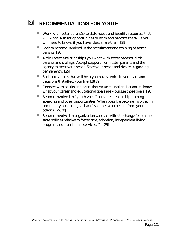#### 网 **RECOMMENDATIONS FOR YOUTH**

- ó Work with foster parent(s) to state needs and identify resources that will work. Ask for opportunities to learn and practice the skills you will need to know; if you have ideas share them. [28]
- ó Seek to become involved in the recruitment and training of foster parents. [26]
- ó Articulate the relationships you want with foster parents, birth parents and siblings. Accept support from foster parents and the agency to meet your needs. State your needs and desires regarding permanency. [25]
- ó Seek out sources that will help you have a voice in your care and decisions that affect your life. [28,29]
- ó Connect with adults and peers that value education. Let adults know what your career and educational goals are – pursue those goals! [28]
- ó Become involved in "youth voice" activities, leadership training, speaking and other opportunities. When possible become involved in community service, "give back" so others can benefit from your actions. [27,28]
- ó Become involved in organizations and activities to change federal and state policies relative to foster care, adoption, independent living program and transitional services. [14, 29]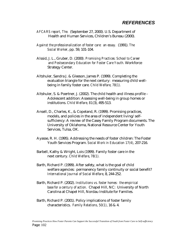# *REFERENCES*

- *AFCARS report, The.* (September 27, 2000). U.S. Department of Health and Human Services, Children's Bureau (2000).
- *Against the professionalization of foster care: an essay.* (1991). *The Social Worker*, pp. 59, 101-104.
- Alssid, J. L., Gruber, D. (2000*). Promising Practices: School to Career and Postsecondary Education for Foster Care Youth.* Workforce Strategy Center.
- Altshuler, Sandra J. & Gleeson, James P. (1999). Completing the evaluation triangle for the next century: measuring child wellbeing in family foster care*. Child Welfare, 78(1).*
- Altshuler, S. & Poertner, J. (2002). The child health and illness profile Adolescent addition: Assessing well-being in group homes or institutions. *Child Welfare, 81*(3), 495-513.
- Ansell, D., Charles, K., & Copeland, R. (1999). Promising practices, models, and policies in the area of independent living/selfsufficiency: A review of the Casey Family Program documents. The University of Oklahoma, National Resource Center for Youth Services, Tulsa, OK.
- Ayasse, R. H. (1995). Addressing the needs of foster children: The Foster Youth Services Program. *Social Work in Education 17(4)*, 207-216.
- Barbell, Kathy & Wright, Lois (1999). Family foster care in the next century. *Child Welfare*, *78(1).*
- Barth, Richard P. (1999). After safety, what is the goal of child welfare agencies: permanency family continuity or social benefit? *International Journal of Social Welfare*, 8, 244-252.
- Barth, Richard P. (2002). *Institutions vs. foster homes: the empirical base for a century of action.* Chapel Hill, NC: University of North Carolina at Chapel Hill, Nordau Institute for Families.
- Barth, Richard P. (2001). Policy implications of foster family characteristics. *Family Relations, 50(1)*, 16 & 4.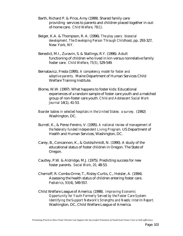- Barth, Richard P. & Price, Amy (1999). Shared family care: providing services to parents and children placed together in outof-home care. *Child Welfare, 78(1)*.
- Beiger, K.A. & Thompson, R. A. (1996). *The play years: biosocial development. The Developing Person Through Childhood*, pp. 293-327, New York, NY.
- Benedict, M.I., Zuravin, S. & Stallings, R.Y. (1996). Adult functioning of children who lived in kin versus nonrelative family foster care. *Child Welfare, 75(5)*, 529-549.
- Bernatavicz, Freda (1995). *A competency model for foster and adoptive parents.* Maine Department of Human Services Child Welfare Training Institute.
- Blome, W.W. (1997). What happens to foster kids: Educational experiences of a random sample of foster care youth and a matched group of non-foster care youth. *Child and Adolescent Social Work Journal* 14(1), 41-53.
- *Boarder babies in selected hospitals in the United States: a survey.* (1992) Washington, DC.
- Burrell, K., & Perez-Fereiro, V. (1995). *A national review of management of the federally funded Independent Living Program.* US Department of Health and Human Services, Washington, DC.
- Carey, B., Concannon, K., & Goldschmidt, N. (1990). A study of the educational status of foster children in Oregon. The State of Oregon.
- Cautley, P.W. & Aldridge, M.J. (1975). Predicting success for new foster parents. *Social Work, 20*, 48-53.
- Chernoff, R. Combs-Orme, T., Risley-Curtis, C., Heisler, A. (1994). Assessing the health status of children entering foster care. *Pediatrics, 93*(4), 549-557.
- Child Welfare League of America. (1998). *Improving Economic Opportunity for Youth Formerly Served by the Foster Care System: Identifying the Support Network's Strengths and Needs: Interim Report.*  Washington, DC, Child Welfare League of America.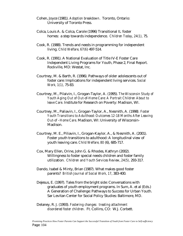- Cohen, Joyce (1981). *Adoption breakdown*. Toronto, Ontario: University of Toronto Press.
- Colca, Louis A. & Colca, Carole (1996) Transitional IL foster homes: a step towards independence. *Children Today*, *24(1),* 75.
- Cook, R. (1988). Trends and needs in programming for independent living. *Child Welfare, 67(6*) 497-514.
- Cook, R. (1991). A National Evaluation of Title IV-E Foster Care Independent Living Programs for Youth, Phase 2, Final Report. Rockville, MD: Westat, Inc.
- Courtney, M. & Barth, R. (1996). Pathways of older adolescents out of foster care: Implications for independent living services. *Social Work, 1(1),* 75-83.
- Courtney, M., Pilaivin, I., Grogan-Taylor, A. (1995). *The Wisconsin Study of Youth Aging Out of Out-of-Home Care: A Portrait Children About to leave Care*. Institute for Research on Poverty: Madison, WI.
- Courtney, M., Paliavin, I., Grogan-Taylor, A., Nesmith, A. (1998*). Foster Youth Transitions to Adulthood: Outcomes 12-18 Months After Leaving Out-of –Home Care*. Madison, WI: University of Wisconsin-Madison.
- Courtney, M. E., Piliavin, I., Grogan-Kaylor, A., & Nesmith, A. (2001). Foster youth transitions to adulthood: A longitudinal view of youth leaving care. *Child Welfare, 80* (6), 685-717.
- Cox, Mary Ellen, Orine, John G. & Rhodes, Kathryn (2002). Willingness to foster special needs children and foster family utilization. *Children and Youth Services Review*, *24(5),* 293-317.
- Dando, Isabel & Minty, Brian (1987). What makes good foster parents? *British Journal of Social Work, 17*, 383-400.
- Dejesus, E. (1997). Tales from the bright side: Conversations with graduates of youth employment programs. In Sum, A. et al (Eds.) A Generation of Challenge: Pathways to Success for Urban Youth. Sar Levitan Center for Social Policy Studies: Baltimore, MD.
- Delaney, R. J. (1993). *Fostering changes: treating attachment disordered foster children.* Ft. Collins, CO: W.J. Corbett.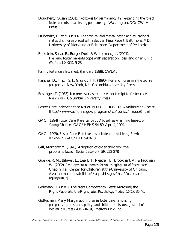- Dougherty, Susan (2001). *Toolboxes for permanency #2: expanding the role of foster parents in achieving permanency.* Washington, DC: CWLA Press.
- Dubowitz, H. et al. (1990). *The physical and mental health and educational status of children placed with relatives: Final Report*. Baltimore, MD: University of Maryland at Baltimore, Department of Pediatrics.
- Edelstein, Susan B., Burge, Dorli & Waterman, Jill, (2001). Helping foster parents cope with separation, loss, and grief. *Child Welfare*, LXX(1), 5-23.
- *Family foster care fact sheet.* (January 1998). CWLA.
- Fanshel, D., Finch, S. J., Grundy, J. F. (1990). *Foster children in a life course perspective*. New York, NY: Columbia University Press.
- Festinger, T. (1983). No one ever asked us: A postscript to foster care. New York: Columbia University Press.
- Foster Care Independence Act of 1999. (P.L. 106-109). Available on-line at: [http://www.acf.dhhs.gov/programs/cb/policy/imooo3.htm]
- GAO. (1994) *Foster Care: Parental Drug Abuse Has Alarming Impact on Young Children* GAO/HEHS-94-89, Apr. 4, 1994.
- GAO. (1999). *Foster Care: Effectiveness of Independent Living Services Unknown*. GAO/HEHS-00-13.
- Gill, Margaret M. (1978). Adoption of older children: the problems faced. *Social Casework, 59,* 272-278.
- Goerge, R. M., Bilaver, L., Lee, B. J., Needell, B., Brookhart, A., & Jackman, W. (2002). *Employment outcomes for youth aging out of foster care.*  Chapin Hall Center for Children at the University of Chicago. Available on-line at: [http://aspe.hhs.gov/hsp/fostercareagingout02].
- Goleman, D. (1981). The New Competency Tests: Matching the Right People to the Right Jobs. *Psychology Today, 15(1),* 35-46.
- Gottesman, Mary Margaret *Children in foster care: a nursing perspective on research, policy, and child health issues. Journal of Pediatric Nurses* (2001-04-01). Yellow Brix, Inc.

*Promising Practices How Foster Parents Can Support the Successful Transition of Youth from Foster Care to Self-sufficiency*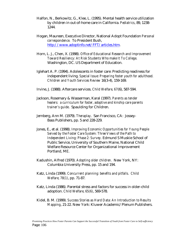- Halfon, N., Berkowitz, G., Klee, L. (1995). Mental health service utilization by children in out-of-home care in California. *Pediatrics*, 89, 1238- 1244.
- Hogan, Maureen, Executive Director, National Adopt Foundation *Personal correspondence.* To President Bush, http://www.adoptinfo.net/FFT/articles.htm.
- Horn, L. J., Chen, X. (1998). *Office of Educational Research and Improvement Toward Resiliency: At Risk Students Who make It To College*. Washington, DC. US Department of Education.
- Iglehart A. P. (1994). Adolescents in foster care: Predicting readiness for independent living. *Special Issue: Preparing foster youth for adulthood. Children and Youth Services Review* 16(3-4), 159-169.
- Irvine, J. (1988). Aftercare services. *Child Welfare, 67*(6), 587-594.
- Jackson, Rosemary & Wasserman, Karal (1997). *Parents as tender healers: a curriculum for foster, adoptive and kinship care parents trainer's guide*. Spaulding for Children.
- Jernberg, Ann M. (1979). *Theraplay*. San Francisco, CA: Jossey-Bass Publishers, pp. 5 and 228-229.
- Jones, E., et al. (1998). *Improving Economic Opportunities for Young People Served by the Foster Care System: Three Views of the Path to Independent Living: Phase 2: Survey.* Edmund S Muskie School of Public Service, University of Southern Maine, National Child Welfare Resource Center for Organizational Improvement Portland, ME.
- Kadushin, Alfred (1970). *Adopting older children.* New York, NY: Columbia University Press, pp. 15 and 194.
- Katz, Linda (1999). *Concurrent planning: benefits and pitfalls. Child Welfare, 78(1)*, pp. 71-87.
- Katz, Linda (1986). Parental stress and factors for success in older-child adoption. *Child Welfare, 65(6)*, 569-578.
- Kidel, B. M. (1999). *Success Stories as Hard Data: An Introduction to Results Mapping*, 21-22. New York: Kluwer Academic/Plenum Publishers.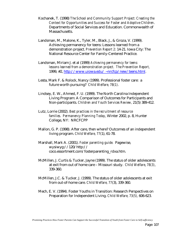- Kochanek, T. (1998) *The School and Community Support Project: Creating the Context for Opportunities and Success for Foster and Adoptive Children*. Departments of Social Services and Education. Commonwealth of Massachusetts.
- Landsman, M., Malone, K., Tyler, M., Black, J., & Groza, V. (1999). Achieving permanency for teens: Lessons learned from a demonstration project. *Prevention Report 2*: 14-21. Iowa City: The National Resource Center for Family-Centered Practice.
- Landsman, Miriam J. et al (1999) *Achieving permanency for teens: lessons learned from a demonstration project. The Prevention Report,* 1999, #2, http://www.uiowa.edu/ ~nrcfcp/new/teens.html.
- Lesta, Mark F. & Rolock, Nancy (1999). Professional foster care: a future worth pursuing? *Child Welfare, 78(1)*.
- Lindsey, E. W., Ahmed, F. U. (1999). The North Carolina Independent Living Program: A Comparison of Outcomes for Participants and Non-participants. *Children and Youth Services Review,* 21(5) 389-412.
- Lutz, Lorrie (2002). *Best practices in the recruitment of resource families. Permanency Planning Today*, Winter 2002, p. 8, Hunter College, NY: NRCFCPP
- Mallon, G. P. (1998). After care, then where? Outcomes of an independent living program. *Child Welfare, 77*(1), 61-78.
- Marshall, Mark A. (2001). *Foster parenting guide.* Pagewise, wysiwyg://120/http:// coco.essortment.com/fosterparenting\_rdxa.htm.
- McMillen, J. Curtis & Tucker, Jayne (1999). The status of older adolescents at exit from out of home care – Missouri study. *Child Welfare*, *78(3)*, 339-360.
- McMillen, J.C. & Tucker, J. (1999). The status of older adolescents at exit from out-of-home care. *Child Welfare, 77*(3), 339-360.
- Mech, E. V. (1994). Foster Youths in Transition: Research Perspectives on Preparation for Independent Living. *Child Welfare, 73(5),* 606-623.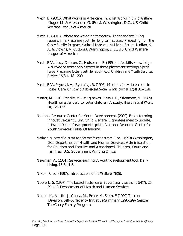- Mech, E. (2001). What works in Aftercare. In: *What Works in Child Welfare*. Kluger, M. & Alexander, G. (Eds.). Washington, D.C., US: Child Welfare League of America.
- Mech, E. (2001). Where are we going tomorrow: Independent living research. In: *Preparing youth for long-term success: Proceeding from the Casey Family Program National Independent Living Forum*. Nollan, K. A. & Downs, A. C. (Eds.). Washington, D.C., US: Child Welfare League of America.
- Mech, E.V., Lucy-Dobson, C., Hulseman, F. (1994). Life skills knowledge A survey of foster adolescents in three placement settings. *Special Issue: Preparing foster youth for adulthood. Children and Youth Services Review* 16(3-4) 181-200.
- Mech, E.V., Pryde, J. A., Rycraft, J. R. (1995). Mentors for Adolescents in Foster Care. *Child and Adolescent Social Work Journal* 12(4) 317-328.
- Moffat, M. E. K., Peddie, M., Stulginskas, Pless, I. B., Stienmetz, N. (1985). Health care delivery to foster children: A study. *Health Social Work, 10*, 129-137.
- National Resource Center for Youth Development. (2002). Brainstorming innovative curriculum: Child welfare IL grantees meet to update, network. *Youth Development Update.* National Resource Center for Youth Services: Tulsa, Oklahoma.
- *National survey of current and former foster parents, The.* (1993) Washington, DC: Department of Health and Human Services, Administration for Children and Families and Abandoned Children, Youth and Families: U.S. Government Printing Office.
- Newman, A. (2001). Service learning: A youth development tool. *Daily Living, 15*(3), 1-5.
- Nixon, R. ed. (1997). Introduction. *Child Welfare, 76*(5).
- Noble, L. S. (1997). The face of foster care. *Educational Leadership* 54(7), 26- 29. U.S. Department of Health and Human Services.
- Nollan, K., Austin, J., Choca, M., Pesce, M. Stern, E (1999) Tuscon Division: Self-Sufficiency Initiative Summary 1996-1997 Seattle: The Casey Family Program.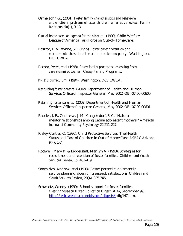- Orme, John G., (2001). *Foster family characteristics and behavioral and emotional problems of foster children: a narrative review. Family Relations, 50(1),* 3-13.
- *Out-of-home care: an agenda for the nineties.* (1990). Child Welfare League of America Task Force on Out-of-Home Care.
- Pasztor, E. & Wynne, S.F. (1995). *Foster parent retention and recruitment: the state of the art in practice and policy.* Washington, DC: CWLA.
- Pecora, Peter, et al (1998). *Casey family programs: assessing foster care alumni outcomes.* Casey Family Programs.
- *PRIDE curriculum.* (1994). Washington, DC: CWLA.
- *Recruiting foster parents.* (2002) Department of Health and Human Services Office of Inspector General, May 2002, OEI-07-00-00600.
- *Retaining foster parents.* (2002) Department of Health and Human Services Office of Inspector General, May 2002, OEI-07-00-00601.
- Rhodes, J. E., Contreras, J. M. Mangelsdorf, S. C. "Natural mentor relationships among Latina adolescent mothers." *American Journal of Community Psychology* 22:211-227.
- Risley-Curtiss, C. (1996). Child Protective Services: The Health Status and Care of Children in Out-of-Home Care. *ASPAC Advisor, 9(4)*, 1-7.
- Rodwell, Mary K. & Biggerstaff, Marilyn A. (1993). Strategies for recruitment and retention of foster families. *Children and Youth Services Review, 15*, 403-419.
- Sanchirico, Andrew, et al (1998). Foster parent involvement in service planning: does it increase job satisfaction? *Children and Youth Services Review*, 20(4), 325-346.
- Schwartz, Wendy. (1999). School support for foster families. *Clearinghouse on Urban Education Digest*, #147, September 99, http://eric-web.tc.columbis.edu/digests/ dig147.htm.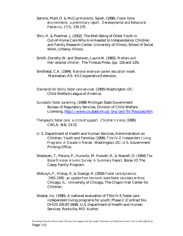- Semms, Mark D. & McCue Horwitz, Sarah. (1996). *Foster home environments: a preliminary report. Developmental and Behavioral Pediatrics, 17(3),* 170-175.
- Shin, H. & Poertner, J. (2002). The Well-Being of Older Youth in Out-of-Home Care Who Are Headed to Independence. Children and Family Research Center: University of Illinois, School of Social Work, Urbana, Illinois.
- Smith, Dorothy W. and Sherwen, Laurie N. (1983). *Mothers and their adopted children.* The Tiresias Press, (pp. 116 and 125).
- Smithetal, C.A. (1994). *National extension parent education model.* Manhattan, KS: KS Cooperative Extension.
- *Standards for family foster care services.* (1995) Washington, DC: Child Welfare League of America.
- *Successful foster parenting.* (1998) Michigan State Government Bureau of Regulatory Services, Division of Child Welfare Licensing, http://www.cis.state.mi.us/ brs/cwl/fh/fhsucces.htm.
- *Therapeutic foster care: a circle of support. Children's Voice*, (1995) CWLA, 4(4), 13-15.
- U. S. Department of Health and Human Services, Administration on Children, Youth and Families. (1999). *Title IV-E Independent Living Programs: A Decade in Review.* Washington, DC: U.S. Government Printing Office.
- Wedeven, T., Pecora, P., Hurwitz, M. Howell, R., & Newell, D. (1994) *The Boise Division Alumni Survey: A Summary Report*. Boise, ID The Casey Family Program.
- Welczyn, F., Hislop, K. & Goerge, R. (2000) *Foster care dynamics: 1983-1998: an update from the multi state foster care data archive.*  Chicago, IL: University of Chicago, The Chapin Hall Center for Children.
- Westat, Inc. (1990). A national evaluation of Title IV-E foster care independent living programs for youth: Phase 2. (Contract No. OHDS 105-87-1608). U.S. Department of Health and Human Services. Rockville, MD: Author.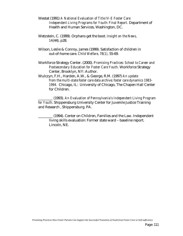- Westat (1991) *A National Evaluation of Title IV-E Foster Care Independent Living Programs for Youth: Final Report.* Department of Health and Human Services, Washington, DC.
- Wetzstein, C. (1999). Orphans get the boot. *Insight on the News, 14*(44), p28.
- Wilson, Leslie & Conroy, James (1999). Satisfaction of children in out-of-home care. *Child Welfare, 78(1),* 55-69.
- Workforce Strategy Center. (2000). *Promising Practices: School to Career and Postsecondary Education for Foster Care Youth*. Workforce Strategy Center, Brooklyn, NY: Author.
- Wulczyn, F.H., Harden, A.W., & George, R.M. (1997) *An update from the multi-state foster care data archive; foster care dynamics 1983- 1994.* Chicago, IL: University of Chicago, The Chapen Hall Center for Children.

\_\_\_\_\_\_\_\_ (1993). *An Evaluation of Pennsylvania's Independent Living Program for Youth*. Shippensburg University Center for Juvenile Justice Training and Research , Shippensburg. PA.

\_\_\_\_\_\_\_\_ (1994). Center on Children, Families and the Law. Independent living skills evaluation: Former state ward – baseline report. Lincoln, NE.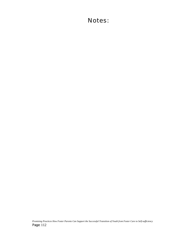## Notes: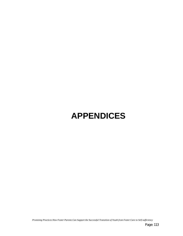# **APPENDICES**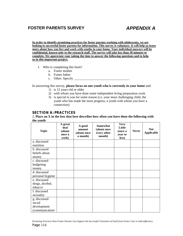### **FOSTER PARENTS SURVEY** *APPENDIX A*

**In order to identify promising practices for foster parents working with adolescents, we are looking to successful foster parents for information. This survey is voluntary. It will help us learn more about how you live and work with youths in your home. Your individual answers will be confidential, known only to the research staff. The survey will take less than 30 minutes to complete. We appreciate your taking the time to answer the following questions and to help us in this important project.** 

- 1. Who is completing this form?
	- a. Foster mother
	- b. Foster father
	- c. Other: Specify \_\_\_\_\_\_\_\_\_\_\_\_\_\_\_\_\_\_\_\_\_\_\_\_\_\_\_\_\_\_\_\_\_\_

In answering this survey, **please focus on one youth who is currently in your home** and:

- 1) is 12 years old or older
- 2) with whom you have done some independent living preparation work
- 3) is special to you for some reason (i.e. your most challenging child, the youth who has made the most progress, a youth with whom you have a connection).

#### **SECTION A: PRACTICES**

#### 2. **Place an X in the box that best describes how often you have done the following with the youth**:

| <b>Topic</b>     | A great<br>deal<br>(about<br>once a<br>week) | A good<br>amount<br>(about once<br>a month) | <b>Somewhat</b><br>(about once<br>every other<br>month) | <b>Very</b><br>Little<br>(once a<br>year or<br>less) | <b>Never</b> | <b>Not</b><br><b>Applicable</b> |
|------------------|----------------------------------------------|---------------------------------------------|---------------------------------------------------------|------------------------------------------------------|--------------|---------------------------------|
| a. discussed     |                                              |                                             |                                                         |                                                      |              |                                 |
| nutrition        |                                              |                                             |                                                         |                                                      |              |                                 |
| b. discussed     |                                              |                                             |                                                         |                                                      |              |                                 |
| beliefs about    |                                              |                                             |                                                         |                                                      |              |                                 |
| money            |                                              |                                             |                                                         |                                                      |              |                                 |
| c. discussed     |                                              |                                             |                                                         |                                                      |              |                                 |
| budgeting        |                                              |                                             |                                                         |                                                      |              |                                 |
| money            |                                              |                                             |                                                         |                                                      |              |                                 |
| d. discussed     |                                              |                                             |                                                         |                                                      |              |                                 |
| personal hygiene |                                              |                                             |                                                         |                                                      |              |                                 |
| e. discussed     |                                              |                                             |                                                         |                                                      |              |                                 |
| drugs, alcohol,  |                                              |                                             |                                                         |                                                      |              |                                 |
| tobacco          |                                              |                                             |                                                         |                                                      |              |                                 |
| f. discussed     |                                              |                                             |                                                         |                                                      |              |                                 |
| sexuality        |                                              |                                             |                                                         |                                                      |              |                                 |
| g. discussed     |                                              |                                             |                                                         |                                                      |              |                                 |
| social           |                                              |                                             |                                                         |                                                      |              |                                 |
| development      |                                              |                                             |                                                         |                                                      |              |                                 |
| (communication/  |                                              |                                             |                                                         |                                                      |              |                                 |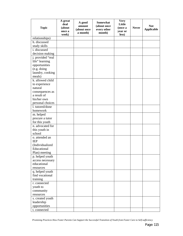| <b>Topic</b>      | A great<br>deal<br>(about<br>once a<br>week) | A good<br>amount<br>(about once<br>a month) | Somewhat<br>(about once<br>every other<br>month) | <b>Very</b><br>Little<br>(once a<br>year or<br>less) | <b>Never</b> | <b>Not</b><br><b>Applicable</b> |
|-------------------|----------------------------------------------|---------------------------------------------|--------------------------------------------------|------------------------------------------------------|--------------|---------------------------------|
| relationships)    |                                              |                                             |                                                  |                                                      |              |                                 |
| h. discussed      |                                              |                                             |                                                  |                                                      |              |                                 |
| study skills      |                                              |                                             |                                                  |                                                      |              |                                 |
| i. discussed      |                                              |                                             |                                                  |                                                      |              |                                 |
| decision making   |                                              |                                             |                                                  |                                                      |              |                                 |
| j. provided "real |                                              |                                             |                                                  |                                                      |              |                                 |
| life" learning    |                                              |                                             |                                                  |                                                      |              |                                 |
| opportunities     |                                              |                                             |                                                  |                                                      |              |                                 |
| (e.g. doing       |                                              |                                             |                                                  |                                                      |              |                                 |
| laundry, cooking  |                                              |                                             |                                                  |                                                      |              |                                 |
| meals)            |                                              |                                             |                                                  |                                                      |              |                                 |
| k. allowed child  |                                              |                                             |                                                  |                                                      |              |                                 |
| to experience     |                                              |                                             |                                                  |                                                      |              |                                 |
| natural           |                                              |                                             |                                                  |                                                      |              |                                 |
| consequences as   |                                              |                                             |                                                  |                                                      |              |                                 |
| a result of       |                                              |                                             |                                                  |                                                      |              |                                 |
| his/her own       |                                              |                                             |                                                  |                                                      |              |                                 |
| personal choices  |                                              |                                             |                                                  |                                                      |              |                                 |
| 1. tutored/done   |                                              |                                             |                                                  |                                                      |              |                                 |
| homework          |                                              |                                             |                                                  |                                                      |              |                                 |
| m. helped         |                                              |                                             |                                                  |                                                      |              |                                 |
| procure a tutor   |                                              |                                             |                                                  |                                                      |              |                                 |
| for this youth    |                                              |                                             |                                                  |                                                      |              |                                 |
| n. advocated for  |                                              |                                             |                                                  |                                                      |              |                                 |
| this youth in     |                                              |                                             |                                                  |                                                      |              |                                 |
| school            |                                              |                                             |                                                  |                                                      |              |                                 |
| o. attended an    |                                              |                                             |                                                  |                                                      |              |                                 |
| <b>IEP</b>        |                                              |                                             |                                                  |                                                      |              |                                 |
| (Individualized   |                                              |                                             |                                                  |                                                      |              |                                 |
| Educational       |                                              |                                             |                                                  |                                                      |              |                                 |
| Plan) meeting     |                                              |                                             |                                                  |                                                      |              |                                 |
| p. helped youth   |                                              |                                             |                                                  |                                                      |              |                                 |
| access necessary  |                                              |                                             |                                                  |                                                      |              |                                 |
| educational       |                                              |                                             |                                                  |                                                      |              |                                 |
| resources         |                                              |                                             |                                                  |                                                      |              |                                 |
| q. helped youth   |                                              |                                             |                                                  |                                                      |              |                                 |
| find vocational   |                                              |                                             |                                                  |                                                      |              |                                 |
| training          |                                              |                                             |                                                  |                                                      |              |                                 |
| r. connected      |                                              |                                             |                                                  |                                                      |              |                                 |
| youth to          |                                              |                                             |                                                  |                                                      |              |                                 |
| community         |                                              |                                             |                                                  |                                                      |              |                                 |
| resources         |                                              |                                             |                                                  |                                                      |              |                                 |
| s. created youth  |                                              |                                             |                                                  |                                                      |              |                                 |
| leadership        |                                              |                                             |                                                  |                                                      |              |                                 |
| opportunities     |                                              |                                             |                                                  |                                                      |              |                                 |
| t. connected      |                                              |                                             |                                                  |                                                      |              |                                 |

*Promising Practices How Foster Parents Can Support the Successful Transition of Youth from Foster Care to Self-sufficiency*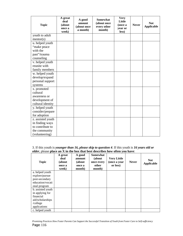| <b>Topic</b>      | A great<br>deal<br>(about<br>once a<br>week) | A good<br>amount<br>(about once<br>a month) | <b>Somewhat</b><br>(about once<br>every other<br>month) | <b>Very</b><br>Little<br>(once a<br>year or<br>less) | <b>Never</b> | <b>Not</b><br><b>Applicable</b> |
|-------------------|----------------------------------------------|---------------------------------------------|---------------------------------------------------------|------------------------------------------------------|--------------|---------------------------------|
| youth to adult    |                                              |                                             |                                                         |                                                      |              |                                 |
| mentor(s)         |                                              |                                             |                                                         |                                                      |              |                                 |
| u. helped youth   |                                              |                                             |                                                         |                                                      |              |                                 |
| "make peace       |                                              |                                             |                                                         |                                                      |              |                                 |
| with the          |                                              |                                             |                                                         |                                                      |              |                                 |
| past"/trauma      |                                              |                                             |                                                         |                                                      |              |                                 |
| counseling        |                                              |                                             |                                                         |                                                      |              |                                 |
| v. helped youth   |                                              |                                             |                                                         |                                                      |              |                                 |
| reunite with      |                                              |                                             |                                                         |                                                      |              |                                 |
| family members    |                                              |                                             |                                                         |                                                      |              |                                 |
| w. helped youth   |                                              |                                             |                                                         |                                                      |              |                                 |
| develop/expand    |                                              |                                             |                                                         |                                                      |              |                                 |
| personal support  |                                              |                                             |                                                         |                                                      |              |                                 |
| systems           |                                              |                                             |                                                         |                                                      |              |                                 |
| x. promoted       |                                              |                                             |                                                         |                                                      |              |                                 |
| cultural          |                                              |                                             |                                                         |                                                      |              |                                 |
| awareness or      |                                              |                                             |                                                         |                                                      |              |                                 |
| development of    |                                              |                                             |                                                         |                                                      |              |                                 |
| cultural identity |                                              |                                             |                                                         |                                                      |              |                                 |
| y. helped youth   |                                              |                                             |                                                         |                                                      |              |                                 |
| consider/prepare  |                                              |                                             |                                                         |                                                      |              |                                 |
| for adoption      |                                              |                                             |                                                         |                                                      |              |                                 |
| z. assisted youth |                                              |                                             |                                                         |                                                      |              |                                 |
| in finding ways   |                                              |                                             |                                                         |                                                      |              |                                 |
| to contribute to  |                                              |                                             |                                                         |                                                      |              |                                 |
| the community     |                                              |                                             |                                                         |                                                      |              |                                 |
| (volunteering)    |                                              |                                             |                                                         |                                                      |              |                                 |

3. If this youth is *younger than 16, please skip to question 4*. If this youth is *16 years old or older*, please **place an X in the box that best describes how often you have**:

| <b>Topic</b>      | A great<br>deal<br>(about<br>once a<br>week) | A good<br>amount<br>(about<br>once a<br>month) | <b>Somewhat</b><br>(about<br>once every<br>other<br>month) | <b>Very Little</b><br>(once a year<br>or less) | <b>Never</b> | <b>Not</b><br><b>Applicable</b> |
|-------------------|----------------------------------------------|------------------------------------------------|------------------------------------------------------------|------------------------------------------------|--------------|---------------------------------|
| a. helped youth   |                                              |                                                |                                                            |                                                |              |                                 |
| explore/pursue    |                                              |                                                |                                                            |                                                |              |                                 |
| post-secondary    |                                              |                                                |                                                            |                                                |              |                                 |
| education/vocati  |                                              |                                                |                                                            |                                                |              |                                 |
| onal program      |                                              |                                                |                                                            |                                                |              |                                 |
| b. assisted youth |                                              |                                                |                                                            |                                                |              |                                 |
| in applying for   |                                              |                                                |                                                            |                                                |              |                                 |
| financial         |                                              |                                                |                                                            |                                                |              |                                 |
| aid/scholarships  |                                              |                                                |                                                            |                                                |              |                                 |
| /college          |                                              |                                                |                                                            |                                                |              |                                 |
| applications      |                                              |                                                |                                                            |                                                |              |                                 |
| c. helped youth   |                                              |                                                |                                                            |                                                |              |                                 |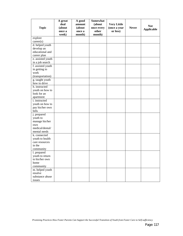| <b>Topic</b>                   | A great<br>deal<br>(about<br>once a | A good<br>amount<br>(about<br>once a | <b>Somewhat</b><br>(about<br>once every<br>other | <b>Very Little</b><br>(once a year<br>or less) | <b>Never</b> | <b>Not</b><br><b>Applicable</b> |
|--------------------------------|-------------------------------------|--------------------------------------|--------------------------------------------------|------------------------------------------------|--------------|---------------------------------|
|                                | week)                               | month)                               | month)                                           |                                                |              |                                 |
| explore                        |                                     |                                      |                                                  |                                                |              |                                 |
| career(s)                      |                                     |                                      |                                                  |                                                |              |                                 |
| d. helped youth                |                                     |                                      |                                                  |                                                |              |                                 |
| develop an                     |                                     |                                      |                                                  |                                                |              |                                 |
| educational and                |                                     |                                      |                                                  |                                                |              |                                 |
| career plan                    |                                     |                                      |                                                  |                                                |              |                                 |
| e. assisted youth              |                                     |                                      |                                                  |                                                |              |                                 |
| in a job search                |                                     |                                      |                                                  |                                                |              |                                 |
| f. assisted youth              |                                     |                                      |                                                  |                                                |              |                                 |
| in getting to                  |                                     |                                      |                                                  |                                                |              |                                 |
| work                           |                                     |                                      |                                                  |                                                |              |                                 |
| (transportation)               |                                     |                                      |                                                  |                                                |              |                                 |
| g. taught youth                |                                     |                                      |                                                  |                                                |              |                                 |
| how to drive                   |                                     |                                      |                                                  |                                                |              |                                 |
| h. instructed                  |                                     |                                      |                                                  |                                                |              |                                 |
| youth on how to<br>look for an |                                     |                                      |                                                  |                                                |              |                                 |
|                                |                                     |                                      |                                                  |                                                |              |                                 |
| apartment<br>i. instructed     |                                     |                                      |                                                  |                                                |              |                                 |
| youth on how to                |                                     |                                      |                                                  |                                                |              |                                 |
| pay his/her own                |                                     |                                      |                                                  |                                                |              |                                 |
| bills                          |                                     |                                      |                                                  |                                                |              |                                 |
| j. prepared                    |                                     |                                      |                                                  |                                                |              |                                 |
| youth to                       |                                     |                                      |                                                  |                                                |              |                                 |
| manage his/her                 |                                     |                                      |                                                  |                                                |              |                                 |
| own                            |                                     |                                      |                                                  |                                                |              |                                 |
| medical/dental/                |                                     |                                      |                                                  |                                                |              |                                 |
| mental needs                   |                                     |                                      |                                                  |                                                |              |                                 |
| k. connected                   |                                     |                                      |                                                  |                                                |              |                                 |
| youth to health                |                                     |                                      |                                                  |                                                |              |                                 |
| care resources                 |                                     |                                      |                                                  |                                                |              |                                 |
| in the                         |                                     |                                      |                                                  |                                                |              |                                 |
| community                      |                                     |                                      |                                                  |                                                |              |                                 |
| I. prepared                    |                                     |                                      |                                                  |                                                |              |                                 |
| youth to return                |                                     |                                      |                                                  |                                                |              |                                 |
| to his/her own                 |                                     |                                      |                                                  |                                                |              |                                 |
| home                           |                                     |                                      |                                                  |                                                |              |                                 |
| community                      |                                     |                                      |                                                  |                                                |              |                                 |
| m. helped youth                |                                     |                                      |                                                  |                                                |              |                                 |
| resolve                        |                                     |                                      |                                                  |                                                |              |                                 |
| substance abuse                |                                     |                                      |                                                  |                                                |              |                                 |
| issues                         |                                     |                                      |                                                  |                                                |              |                                 |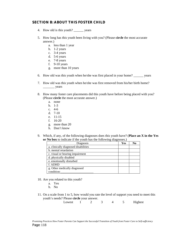### **SECTION B: ABOUT THIS FOSTER CHILD**

- 4. How old is this youth? \_\_\_\_\_\_ years
- 5. How long has this youth been living with you? (Please **circle** the most accurate answer.)
	- a. less than 1 year
	- b. 1-2 years
	- c. 3-4 years
	- d. 5-6 years
	- e. 7-8 years
	- f. 9-10 years
	- g. more than 10 years
- 6. How old was this youth when he/she was first placed in your home? \_\_\_\_\_\_ years
- 7. How old was this youth when he/she was first removed from his/her birth home? \_\_\_\_\_\_\_ years
- 8. How many foster care placements did this youth have before being placed with you? (Please **circle** the most accurate answer.)
	- a. none
	- b. 1-3
	- c. 4-6
	- d. 7-10
	- e. 11-15
	- f. 16-20
	- g. more than 20
	- h. Don't know
- 9. Which, if any, of the following diagnoses does this youth have? (**Place an X in the Yes or No box** to indicate if the youth has the following diagnoses.)

| Diagnosis                            | Yes | N0 |
|--------------------------------------|-----|----|
| a. clinically diagnosed disabilities |     |    |
| b. mental retardation                |     |    |
| c. visual or hearing impairment      |     |    |
| d. physically disabled               |     |    |
| e. emotionally disturbed             |     |    |
| f. ADHD                              |     |    |
| g. Other medically diagnosed         |     |    |
| condition:                           |     |    |

- 10. Are you related to this youth?
	- a. Yes
	- b. No
- 11. On a scale from 1 to 5, how would you rate the level of support you need to meet this youth's needs? Please **circle** your answer.

| Lowest |  |  |  |  |  | Highest |
|--------|--|--|--|--|--|---------|
|--------|--|--|--|--|--|---------|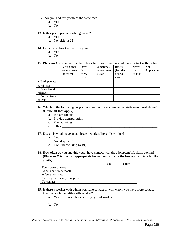- 12. Are you and this youth of the same race?
	- a. Yes
	- b. No
- 13. Is this youth part of a sibling group?
	- a. Yes
	- b. No (**skip to 15**)
- 14. Does the sibling (s) live with you?
	- a. Yes
	- b. No

#### 15. **Place an X in the box** that best describes how often this youth has contact with his/her:

|                  | Very Often  | Often   | Sometimes    | Rarely     | Never    | <b>Not</b> |
|------------------|-------------|---------|--------------|------------|----------|------------|
|                  | (every week | (about) | (a few times | (less than | (no)     | Applicable |
|                  | or more)    | every   | a year)      | once a     | contact) |            |
|                  |             | month)  |              | year)      |          |            |
| a. Birth parents |             |         |              |            |          |            |
| b. Siblings      |             |         |              |            |          |            |
| c. Other blood   |             |         |              |            |          |            |
| relatives        |             |         |              |            |          |            |
| d. Former foster |             |         |              |            |          |            |
| parents          |             |         |              |            |          |            |

#### 16. Which of the following do you do to support or encourage the visits mentioned above? (**Circle all that apply**):

- a. Initiate contact
- b. Provide transportation
- c. Plan activities
- d. Other
- 17. Does this youth have an adolescent worker/life skills worker?
	- a. Yes
	- b. No (**skip to 19**)
	- c. Don't know (**skip to 19**)
- 18. How often do you and this youth have contact with the adolescent/life skills worker? (**Place an X in the box appropriate for you** *and* **an X in the box appropriate for the youth**)

|                                | You | Youth |
|--------------------------------|-----|-------|
| Every week or more             |     |       |
| About once every month         |     |       |
| A few times a year             |     |       |
| Once a year or every few years |     |       |
| No contact                     |     |       |

- 19. Is there a worker with whom you have contact or with whom you have more contact than the adolescent/life skills worker?
	- a. Yes If yes, please specify type of worker:
	- \_\_\_\_\_\_\_\_\_\_\_\_\_\_\_\_\_\_\_\_\_\_\_\_\_\_\_\_ b. No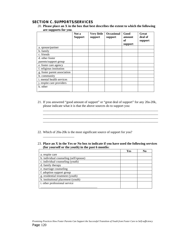### **SECTION C. SUPPORTS/SERVICES**

\_\_\_\_\_\_\_\_\_\_\_\_\_\_\_\_\_\_\_

20. **Please place an X in the box that best describes the extent to which the following are supports for you**.

|                                          | Not a<br><b>Support</b> | <b>Very little</b><br>support | <b>Occasional</b><br>support | Good<br>amount<br>of<br>support | Great<br>deal of<br>support |
|------------------------------------------|-------------------------|-------------------------------|------------------------------|---------------------------------|-----------------------------|
| a. spouse/partner                        |                         |                               |                              |                                 |                             |
| b. family                                |                         |                               |                              |                                 |                             |
| c. friends                               |                         |                               |                              |                                 |                             |
| d. other foster<br>parents/support group |                         |                               |                              |                                 |                             |
| e. foster care agency                    |                         |                               |                              |                                 |                             |
| f. religious institution                 |                         |                               |                              |                                 |                             |
| g. foster parent association             |                         |                               |                              |                                 |                             |
| h. community                             |                         |                               |                              |                                 |                             |
| <i>i</i> . mental health services        |                         |                               |                              |                                 |                             |
| j. respite care providers                |                         |                               |                              |                                 |                             |
| k. other                                 |                         |                               |                              |                                 |                             |

21. If you answered "good amount of support" or "great deal of support" for any 20a-20k, please indicate what it is that the above sources do to support you:

\_\_\_\_\_\_\_\_\_\_\_\_\_\_\_\_\_\_\_\_\_\_\_\_\_\_\_\_\_\_\_\_\_\_\_\_\_\_\_\_\_\_\_\_\_\_\_\_\_\_\_\_\_\_\_\_\_\_\_\_\_\_\_\_\_\_\_\_\_\_ \_\_\_\_\_\_\_\_\_\_\_\_\_\_\_\_\_\_\_\_\_\_\_\_\_\_\_\_\_\_\_\_\_\_\_\_\_\_\_\_\_\_\_\_\_\_\_\_\_\_\_\_\_\_\_\_\_\_\_\_\_\_\_\_\_\_\_\_\_\_ \_\_\_\_\_\_\_\_\_\_\_\_\_\_\_\_\_\_\_\_\_\_\_\_\_\_\_\_\_\_\_\_\_\_\_\_\_\_\_\_\_\_\_\_\_\_\_\_\_\_\_\_\_\_\_\_\_\_\_\_\_\_\_\_\_\_\_\_\_\_ \_\_\_\_\_\_\_\_\_\_\_\_\_\_\_\_\_\_\_\_\_\_\_\_\_\_\_\_\_\_\_\_\_\_\_\_\_\_\_\_\_\_\_\_\_\_\_\_\_\_\_\_\_\_\_\_\_\_\_\_\_\_\_\_\_\_\_\_\_\_

- 22. Which of 20a-20k is the most significant source of support for you?
- 23. **Place an X in the Yes or No box to indicate if you have used the following services (for yourself or the youth) in the past 6 months**:

|                                        | Yes | No |
|----------------------------------------|-----|----|
| a. respite care                        |     |    |
| b. individual counseling (self/spouse) |     |    |
| c. individual counseling (youth)       |     |    |
| d. family therapy                      |     |    |
| e. marriage counseling                 |     |    |
| f. adoption support group              |     |    |
| g. residential treatment (youth)       |     |    |
| h. institutional placement (youth)     |     |    |
| i. other professional service          |     |    |
|                                        |     |    |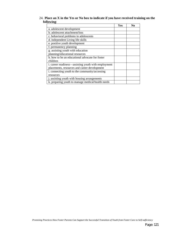#### 24. **Place an X in the Yes or No box to indicate if you have received training on the following**:

|                                                     | Yes | No |
|-----------------------------------------------------|-----|----|
| a. adolescent development                           |     |    |
| b. adolescent attachment/loss                       |     |    |
| c. behavioral problems in adolescents               |     |    |
| d. independent Living life skills                   |     |    |
| e. positive youth development                       |     |    |
| f. permanency planning                              |     |    |
| g. assisting youth with education                   |     |    |
| planning/educational resources                      |     |    |
| h, how to be an educational advocate for foster     |     |    |
| children                                            |     |    |
| i. career readiness—assisting youth with employment |     |    |
| placements, resources and career development        |     |    |
| i. connecting youth to the community/accessing      |     |    |
| resources                                           |     |    |
| j. assisting youth with housing arrangements        |     |    |
| k. preparing youth to manage medical/health needs   |     |    |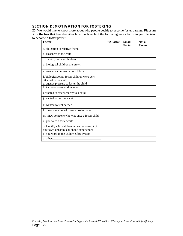### **SECTION D: MOTIVATION FOR FOSTERING**

25. We would like to know more about why people decide to become foster parents. **Place an X in the box** that best describes how much each of the following was a factor in your decision to become a foster parent.

| Factor                                           | <b>Big Factor</b> | <b>Small</b><br><b>Factor</b> | Not a<br>Factor |
|--------------------------------------------------|-------------------|-------------------------------|-----------------|
| a. obligation to relative/friend                 |                   |                               |                 |
| b. closeness to the child                        |                   |                               |                 |
|                                                  |                   |                               |                 |
| c. inability to have children                    |                   |                               |                 |
| d. biological children are grown                 |                   |                               |                 |
| e. wanted a companion for children               |                   |                               |                 |
| f. biological/other foster children were very    |                   |                               |                 |
| attached to the child                            |                   |                               |                 |
| g. agency pressure to foster the child           |                   |                               |                 |
| h. increase household income                     |                   |                               |                 |
| i. wanted to offer security to a child           |                   |                               |                 |
| j. wanted to nurture a child                     |                   |                               |                 |
| k, wanted to feel needed                         |                   |                               |                 |
| l. knew someone who was a foster parent          |                   |                               |                 |
| m. knew someone who was once a foster child      |                   |                               |                 |
| n. you were a foster child                       |                   |                               |                 |
| o. identify with children in need as a result of |                   |                               |                 |
| your own unhappy childhood experiences           |                   |                               |                 |
| p. you work in the child welfare system          |                   |                               |                 |
| q. other:                                        |                   |                               |                 |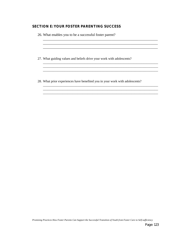### **SECTION E: YOUR FOSTER PARENTING SUCCESS**

| 27. What guiding values and beliefs drive your work with adolescents? |
|-----------------------------------------------------------------------|
|                                                                       |

\_\_\_\_\_\_\_\_\_\_\_\_\_\_\_\_\_\_\_\_\_\_\_\_\_\_\_\_\_\_\_\_\_\_\_\_\_\_\_\_\_\_\_\_\_\_\_\_\_\_\_\_\_\_\_\_\_\_\_\_\_\_\_\_\_\_\_\_\_\_ \_\_\_\_\_\_\_\_\_\_\_\_\_\_\_\_\_\_\_\_\_\_\_\_\_\_\_\_\_\_\_\_\_\_\_\_\_\_\_\_\_\_\_\_\_\_\_\_\_\_\_\_\_\_\_\_\_\_\_\_\_\_\_\_\_\_\_\_\_\_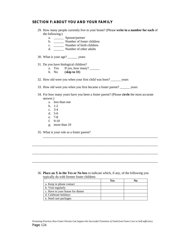#### **SECTION F: ABOUT YOU AND YOUR FAMILY**

- 29. How many people currently live in your home? (Please **write in a number for each** of the following:)
	- a. \_\_\_\_\_\_ Spouse/partner
	- b. \_\_\_\_\_\_ Number of foster children
	- c. \_\_\_\_\_\_ Number of birth children
	- d. \_\_\_\_\_\_ Number of other adults
- 30. What is your age? \_\_\_\_\_\_ years
- 31. Do you have biological children?
	- a. Yes If yes, how many? \_\_\_\_\_\_\_
	- b. No (**skip to 33**)
- 32. How old were you when your first child was born? \_\_\_\_\_\_ years
- 33. How old were you when you first became a foster parent? \_\_\_\_\_\_ years
- 34. For how many years have you been a foster parent? (Please **circle** the most accurate answer.)

\_\_\_\_\_\_\_\_\_\_\_\_\_\_\_\_\_\_\_\_\_\_\_\_\_\_\_\_\_\_\_\_\_\_\_\_\_\_\_\_\_\_\_\_\_\_\_\_\_\_\_\_\_\_\_\_\_\_\_\_\_\_\_\_

\_\_\_\_\_\_\_\_\_\_\_\_\_\_\_\_\_\_\_\_\_\_\_\_\_\_\_\_\_\_\_\_\_\_\_\_\_\_\_\_\_\_\_\_\_\_\_\_\_\_\_\_\_\_\_\_\_\_\_\_\_\_\_\_\_\_\_\_\_\_

\_\_\_\_\_\_\_\_\_\_\_\_\_\_\_\_\_\_\_\_\_\_\_\_\_\_\_\_\_\_\_\_\_\_\_\_\_\_\_\_\_\_\_\_\_\_\_\_\_\_\_\_\_\_\_\_\_\_\_\_\_\_\_\_\_\_\_\_\_\_

\_\_\_\_\_\_\_\_\_\_\_\_\_\_\_\_\_\_\_\_\_\_\_\_\_\_\_\_\_\_\_\_\_\_\_\_\_\_\_\_\_\_\_\_\_\_\_\_\_\_\_\_\_\_\_\_\_\_\_\_\_\_\_\_\_\_\_\_\_\_

- a. less than one
- b. 1-2
- c. 3-4
- d. 5-6
- e. 7-8
- f. 9-10
- g. more than 10
- 35. What is your role as a foster parent?

36. **Place an X in the Yes or No box** to indicate which, if any, of the following you typically do with former foster children:

|                                  | Yes | No |
|----------------------------------|-----|----|
| a. Keep in phone contact         |     |    |
| b. Visit regularly               |     |    |
| c. Have to your house for dinner |     |    |
| d. Celebrate holidays            |     |    |
| e. Send care packages            |     |    |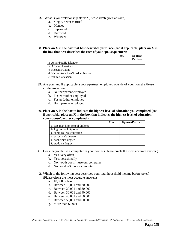- 37. What is your relationship status? (Please **circle** your answer.)
	- a. Single, never married
	- b. Married
	- c. Separated
	- d. Divorced
	- e. Widowed
- 38. **Place an X in the box that best describes your race** (and if applicable, **place an X in the box that best describes the race of your spouse/partner**):

|                                   | You | Spouse/<br>Partner |
|-----------------------------------|-----|--------------------|
|                                   |     |                    |
| a. Asian/Pacific Islander         |     |                    |
| b. African American               |     |                    |
| c. Hispanic/Latino                |     |                    |
| d. Native American/Alaskan Native |     |                    |
| e. White/Caucasian                |     |                    |

- 39. Are you (and if applicable, spouse/partner) employed outside of your home? (Please **circle one** answer.)
	- a. Neither parent employed
	- b. Foster mother employed
	- c. Foster father employed
	- d. Both parents employed
- 40. **Place an X in the box to indicate the highest level of education you completed** (and if applicable, **place an X in the box that indicates the highest level of education your spouse/partner completed.**)

|                                  | You | <b>Spouse/Partner</b> |
|----------------------------------|-----|-----------------------|
| a. less than high school diploma |     |                       |
| b. high school diploma           |     |                       |
| c. some college education        |     |                       |
| d. associate's degree            |     |                       |
| e. bachelor's degree             |     |                       |
| f. graduate degree               |     |                       |

- 41. Does the youth use a computer in your home? (Please **circle** the most accurate answer.)
	- a. Yes, very often
	- b. Yes, occasionally
	- c. No, youth doesn't use our computer
	- d. No, we don't have a computer
- 42. Which of the following best describes your total household income before taxes? (Please **circle** the most accurate answer.)
	- a. 10,000 or less
	- b. Between 10,001 and 20,000
	- c. Between 20,001 and 30,000
	- d. Between 30,001 and 40,000
	- e. Between 40,001 and 50,000
	- f. Between 50,001 and 60,000
	- g. More than 60,001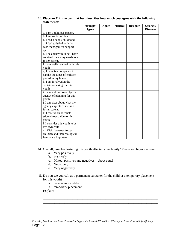|                                | <b>Strongly</b><br>Agree | Agree | <b>Neutral</b> | <b>Disagree</b> | <b>Strongly</b><br><b>Disagree</b> |
|--------------------------------|--------------------------|-------|----------------|-----------------|------------------------------------|
| a. I am a religious person.    |                          |       |                |                 |                                    |
| b. I am self-confident.        |                          |       |                |                 |                                    |
| c. I had a happy childhood.    |                          |       |                |                 |                                    |
| d. I feel satisfied with the   |                          |       |                |                 |                                    |
| case management support I      |                          |       |                |                 |                                    |
| get.                           |                          |       |                |                 |                                    |
| e. The agency training I have  |                          |       |                |                 |                                    |
| received meets my needs as a   |                          |       |                |                 |                                    |
| foster parent.                 |                          |       |                |                 |                                    |
| f. I am well-matched with this |                          |       |                |                 |                                    |
| youth.                         |                          |       |                |                 |                                    |
| g. I have felt competent to    |                          |       |                |                 |                                    |
| handle the types of children   |                          |       |                |                 |                                    |
| placed in my home.             |                          |       |                |                 |                                    |
| h. I am involved in the        |                          |       |                |                 |                                    |
| decision-making for this       |                          |       |                |                 |                                    |
| youth.                         |                          |       |                |                 |                                    |
| i. I am well informed by the   |                          |       |                |                 |                                    |
| agency of planning for this    |                          |       |                |                 |                                    |
| youth.                         |                          |       |                |                 |                                    |
| j. I am clear about what my    |                          |       |                |                 |                                    |
| agency expects of me as a      |                          |       |                |                 |                                    |
| foster parent.                 |                          |       |                |                 |                                    |
| k. I receive an adequate       |                          |       |                |                 |                                    |
| stipend to provide for this    |                          |       |                |                 |                                    |
| youth.                         |                          |       |                |                 |                                    |
| 1. I consider this youth to be |                          |       |                |                 |                                    |
| my own child.                  |                          |       |                |                 |                                    |
| m. Visits between foster       |                          |       |                |                 |                                    |
| children and their biological  |                          |       |                |                 |                                    |
| family are important.          |                          |       |                |                 |                                    |

43. **Place an X in the box that best describes how much you agree with the following statements**:

44. Overall, how has fostering this youth affected your family? Please **circle** your answer.

- a. Very positively
- b. Positively
- c. Mixed; positives and negatives—about equal
- d. Negatively
- e. Very negatively
- 45. Do you see yourself as a permanent caretaker for the child or a temporary placement for this youth?

\_\_\_\_\_\_\_\_\_\_\_\_\_\_\_\_\_\_\_\_\_\_\_\_\_\_\_\_\_\_\_\_\_\_\_\_\_\_\_\_\_\_\_\_\_\_\_\_\_\_\_\_\_\_\_\_\_\_\_\_\_\_\_\_\_\_\_\_\_\_ \_\_\_\_\_\_\_\_\_\_\_\_\_\_\_\_\_\_\_\_\_\_\_\_\_\_\_\_\_\_\_\_\_\_\_\_\_\_\_\_\_\_\_\_\_\_\_\_\_\_\_\_\_\_\_\_\_\_\_\_\_\_\_\_\_\_\_\_\_\_ \_\_\_\_\_\_\_\_\_\_\_\_\_\_\_\_\_\_\_\_\_\_\_\_\_\_\_\_\_\_\_\_\_\_\_\_\_\_\_\_\_\_\_\_\_\_\_\_\_\_\_\_\_\_\_\_\_\_\_\_\_\_\_\_\_\_\_\_\_\_

- a. permanent caretaker
- b. temporary placement
- Explain: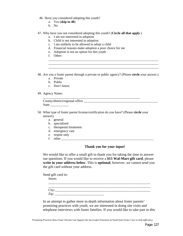- 46. Have you considered adopting this youth?
	- a. Yes (**skip to 48**)
	- b. No
- 47. Why have you not considered adopting this youth? (**Circle all that apply**.)
	- a. I am not interested in adoption
	- b. Child is not interested in adoption
	- c. I am unlikely to be allowed to adopt a child
	- d. Financial reasons make adoption a poor choice for me
	- e. Adoption is not an option for this youth
	- f. Other:
- 48. Are you a foster parent through a private or public agency? (Please **circle** your answer.)

\_\_\_\_\_\_\_\_\_\_\_\_\_\_\_\_\_\_\_\_\_\_\_\_\_\_\_\_\_\_\_\_\_\_\_\_\_\_\_\_\_\_\_\_\_\_\_\_\_\_\_\_\_\_\_\_\_\_\_\_\_\_\_\_\_\_\_ \_\_\_\_\_\_\_\_\_\_\_\_\_\_\_\_\_\_\_\_\_\_\_\_\_\_\_\_\_\_\_\_\_\_\_\_\_\_\_\_\_\_\_\_\_\_\_\_\_\_\_\_\_\_\_\_\_\_\_\_\_\_\_\_\_\_\_ \_\_\_\_\_\_\_\_\_\_\_\_\_\_\_\_\_\_\_\_\_\_\_\_\_\_\_\_\_\_\_\_\_\_\_\_\_\_\_\_\_\_\_\_\_\_\_\_\_\_\_\_\_\_\_\_\_\_\_\_\_\_\_\_\_\_\_

- a. Private
- b. Public
- c. Don't know
- 49. Agency Name:

| County/district/regional office |  |
|---------------------------------|--|
| State                           |  |

- 50. What type of foster parent license/certification do you have? (Please **circle** your answer).
	- a. general
	- b. specialized
	- c. therapeutic/treatment
	- d. emergency care
	- e. respite only
	- f. other

#### **Thank you for your input!**

We would like to offer a small gift to thank you for taking the time to answer our questions. If you would like to receive a **\$15 Wal-Mart gift card**, please **write in your address below**. This is **optional**, however, we cannot send you the gift card without your address.

Send gift card to:

Street:

| City: |  |  |  |
|-------|--|--|--|
| Zip:  |  |  |  |

In an attempt to gather more in-depth information about foster parents' promising practices with youth, we are interested in doing site visits and telephone interviews with foster families. If you would like to take part in this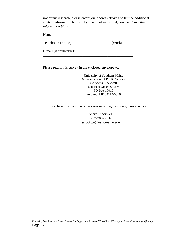important research, please enter your address above and list the additional contact information below. If you are *not* interested, *you may leave this information blank*.

Name:

Telephone: (Home)\_\_\_\_\_\_\_\_\_\_\_\_\_\_\_\_\_\_\_\_\_ (Work) \_\_\_\_\_\_\_\_\_\_\_\_\_\_\_\_\_\_

 $\frac{1}{2}$  , and the set of the set of the set of the set of the set of the set of the set of the set of the set of the set of the set of the set of the set of the set of the set of the set of the set of the set of the set

\_\_\_\_\_\_\_\_\_\_\_\_\_\_\_\_\_\_\_\_\_\_\_\_\_\_\_\_\_\_\_\_\_\_\_\_\_\_\_\_\_\_\_\_\_\_\_\_\_\_\_\_\_

\_\_\_\_\_\_\_\_\_\_\_\_\_\_\_\_\_\_\_\_\_\_\_\_\_\_\_\_\_\_\_\_\_\_\_\_\_\_\_\_\_\_\_\_\_\_\_\_\_\_

E-mail (if applicable):

Please return this survey in the enclosed envelope to:

University of Southern Maine Muskie School of Public Service c/o Sherri Stockwell One Post Office Square PO Box 15010 Portland, ME 04112-5010

If you have any questions or concerns regarding the survey, please contact:

Sherri Stockwell 207-780-5836 sstockwe@usm.maine.edu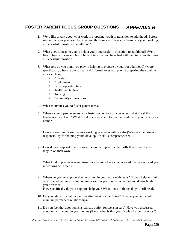### **FOSTER PARENT FOCUS GROUP QUESTIONS** *APPENDIX B*

- 1. We'd like to talk about your work in preparing youth to transition to adulthood. Before we do that, can you describe what you think *success* means, in terms of a youth making a successful transition to adulthood?
- 2. What does it mean to you to help a youth successfully transition to adulthood? (We'd like to hear some examples of high points that you have had with helping a youth make a successful transition…)
- 3. What role do you think you play in helping to prepare a youth for adulthood? (More specifically, what are the formal and informal roles you play in preparing the youth in areas such as):
	- Education
	- Employment
	- Career opportunities
	- Health/mental health
	- Housing
	- Community connections
- 4. What motivates you to foster parent teens?
- 5. When a young person enters your foster home, how do you assess what life skills he/she needs to learn? What life skills assessment tool or curriculum do you use in your home?
- 6. How are staff and foster parents working as a team with youth? (Who has the primary responsibility for helping youth develop life skills competencies?)
- 7. How do you support or encourage the youth to practice the skills they'll need when they're on their own?
- 8. What kind of pre-service and in-service training have you received that has assisted you in working with teens?
- 9. Where do you get support that helps you in your work with teens? (it may help to think of a time when things were not going well in your home. What did you do—who did you turn to?) How specifically do your supports help you? What kinds of things do you still need?
- 10. Do you talk with youth about life after leaving your home? How do you help youth maintain permanent relationships?
- 11. Do you feel that adoption is a realistic option for teens in care? Have you discussed adoption with youth in your home? (if not, what is this youth's plan for permanency?)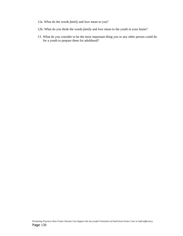- 12a. What do the words *family* and *love* mean to you?
- 12b. What do you think the words *family* and *love* mean to the youth in your home?
- 13. What do you consider to be the most important thing you or any other person could do for a youth to prepare them for adulthood?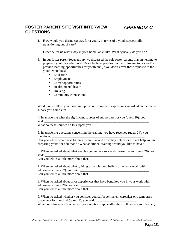### **FOSTER PARENT SITE VISIT INTERVIEW QUESTIONS**

### *APPENDIX C*

- 1. How would you define *success* for a youth, in terms of a youth successfully transitioning out of care?
- 2. Describe for us what a day in your home looks like. What typically do you do?
- 3. In our foster parent focus group, we discussed the role foster parents play in helping to prepare a youth for adulthood. Describe how you discuss the following topics and/or provide learning opportunities for youth on: (if you don't cover these topics with the youth, who does?)
	- Education
	- Employment
	- Career opportunities
	- Health/mental health
	- Housing
	- Community connections

We'd like to talk to you more in-depth about some of the questions we asked on the mailed survey you completed.

4. In answering what the significant sources of support are for you (ques. 20), you said:\_\_\_\_\_\_\_\_\_\_\_\_\_\_\_\_\_\_\_\_\_\_\_\_\_\_\_\_\_\_\_\_\_\_\_\_\_\_\_\_\_\_\_\_\_\_\_\_\_\_\_\_\_\_\_\_\_\_\_\_\_\_\_\_.

What do these sources do to support you?

5. In answering questions concerning the training you have received (ques. 24), you mentioned:

Can you tell us what these trainings were like and how they helped or did not help you in preparing youth for adulthood? What additional training would you like to have?

6. When we asked about what enables you to be a successful foster parent (ques. 26), you said: \_\_\_\_\_\_\_\_\_\_\_\_\_\_\_\_\_\_\_\_\_\_\_\_\_\_\_\_\_\_\_\_\_\_\_\_\_\_\_\_\_\_\_\_\_\_\_\_\_\_\_\_\_\_\_\_\_\_\_\_.

Can you tell us a little more about that?

7. When we asked about what guiding principles and beliefs drive your work with adolescents (ques 27), you said: Can you tell us a little more about that?

8. When we asked about prior experiences that have benefited you in your work with adolescents (ques. 28), you said: Can you tell us a little more about that?

9. When we asked whether you consider yourself a permanent caretaker or a temporary placement for the child (ques 47), you said: What does this mean? (What will your relationship be after the youth leaves your home?)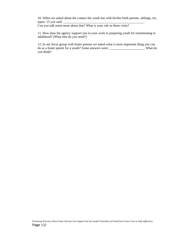10. When we asked about the contact the youth has with his/her birth parents, siblings, etc,  $(ques. 15 you said: \_$ 

Can you talk some more about that? What is your role in these visits?

11. How does the agency support you in your work in preparing youth for transitioning to adulthood? (What else do you need?)

12. In our focus group with foster parents we asked what is most important thing you can do as a foster parent for a youth? Some answers were: \_\_\_\_\_\_\_\_\_\_\_\_\_\_\_\_\_\_\_\_\_. What do you think?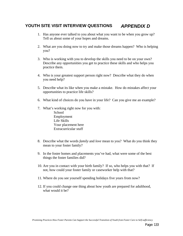### **YOUTH SITE VISIT INTERVIEW QUESTIONS** *APPENDIX D*

- 1. Has anyone ever talked to you about what you want to be when you grow up? Tell us about some of your hopes and dreams.
- 2. What are you doing now to try and make those dreams happen? Who is helping you?
- 3. Who is working with you to develop the skills you need to be on your own? Describe any opportunities you get to practice these skills and who helps you practice them.
- 4. Who is your greatest support person right now? Describe what they do when you need help?
- 5. Describe what its like when you make a mistake. How do mistakes affect your opportunities to practice life skills?
- 6. What kind of choices do you have in your life? Can you give me an example?
- 7. What's working right now for you with: **School** Employment Life Skills Your placement here Extracurricular stuff
- 8. Describe what the words *family* and *love* mean to you? What do you think they mean to your foster family?
- 9. In the foster homes and placements you've had, what were some of the best things the foster families did?
- 10. Are you in contact with your birth family? If so, who helps you with that? If not, how could your foster family or caseworker help with that?
- 11. Where do you see yourself spending holidays five years from now?
- 12. If you could change one thing about how youth are prepared for adulthood, what would it be?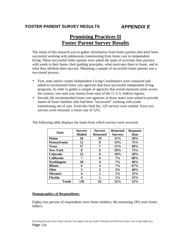### **FOSTER PARENT SURVEY RESULTS** *APPENDIX E*

### **Promising Practices II Foster Parent Survey Results**

The intent of this research was to gather information from foster parents who have been successful working with adolescents transitioning from foster care to independent living. These successful foster parents were asked the types of activities they practice with youth in their home, their guiding principles, what motivates them to foster, and to what they attribute their success. Obtaining a sample of successful foster parents was a two-tiered process.

- First, state and/or county Independent Living Coordinators were contacted and asked to recommend foster care agencies that have successful independent living programs. In order to gather a sample of agencies that would represent states across the country, one state was chosen from each of the 11 U.S. federal regions.
- Second, the recommended foster care agencies in those states were asked to provide names of foster families who had been "successful" working with youth transitioning out of care. From this final list, 120 surveys were mailed. Sixty-two surveys were returned; a return rate of 52%.

| <b>State</b>    | <b>Surveys</b><br><b>Mailed</b> | <b>Surveys</b><br><b>Returned</b> | <b>Returned</b><br><b>Surveys</b> | <b>Response</b><br>Rate |
|-----------------|---------------------------------|-----------------------------------|-----------------------------------|-------------------------|
| <b>Maine</b>    | 36                              | 19                                | 31%                               | 50%                     |
| Pennsylvania    | 11                              | 8                                 | 13%                               | <b>75%</b>              |
| <b>Texas</b>    | 17                              | 7                                 | 11%                               | 40%                     |
| <b>New York</b> | 8                               | 6                                 | 10%                               | 75%                     |
| Colorado        | 12                              | 6                                 | 10%                               | 50%                     |
| California      | 7                               | 4                                 | 7%                                | 60%                     |
| Washington      | 10                              | 4                                 | $7\%$                             | 40%                     |
| <b>Illinois</b> | 6                               | 4                                 | 7%                                | 67%                     |
| Ohio            | 5                               | $\mathfrak{D}$                    | 3%                                | 40%                     |
| <b>Missouri</b> | 4                               | 1                                 | $1\%$                             | 25%                     |
| Florida         | 4                               | 1                                 | $1\%$                             | 25%                     |
| <b>Totals</b>   | 120                             | 62                                | 52%                               | 52%                     |

The following table displays the states from which surveys were received.

#### **Demographics of Respondents:**

Eighty-two percent of respondents were foster mothers; the remaining 18% were foster fathers.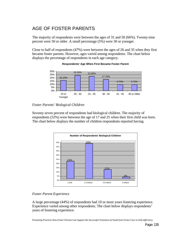### AGE OF FOSTER PARENTS

The majority of respondents were between the ages of 31 and 50 (66%). Twenty-nine percent were 50 or older. A small percentage (5%) were 30 or younger.

Close to half of respondents (47%) were between the ages of 26 and 35 when they first became foster parents. However, ages varied among respondents. The chart below displays the percentage of respondents in each age category.



**Respondents' Age When First Became Foster Parent**

### *Foster Parents' Biological Children*

Seventy seven percent of respondents had biological children. The majority of respondents (52%) were between the age of 17 and 25 when their first child was born. The chart below displays the number of children respondents reported having.



### *Foster Parent Experience*

A large percentage (44%) of respondents had 10 or more years fostering experience. Experience varied among other respondents. The chart below displays respondents' years of fostering experience.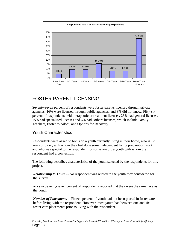

### FOSTER PARENT LICENSING

Seventy-seven percent of respondents were foster parents licensed through private agencies; 16% were licensed through public agencies, and 3% did not know. Fifty-six percent of respondents held therapeutic or treatment licenses, 23% had general licenses, 15% had specialized licenses and 6% had "other" licenses, which include Family Teachers, Foster to Adopt, and Options for Recovery.

### Youth Characteristics

Respondents were asked to focus on a youth currently living in their home, who is 12 years or older, with whom they had done some independent living preparation work and who was special to the respondent for some reason; a youth with whom the respondent had a connection.

The following describes characteristics of the youth selected by the respondents for this project.

*Relationship to Youth* -- No respondent was related to the youth they considered for the survey.

*Race* -- Seventy-seven percent of respondents reported that they were the same race as the youth.

*Number of Placements* -- Fifteen percent of youth had not been placed in foster care before living with the respondent. However, most youth had between one and six foster care placements prior to living with the respondent.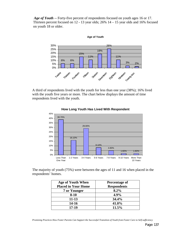*Age of Youth* -- Forty-five percent of respondents focused on youth ages 16 or 17. Thirteen percent focused on 12 - 13 year olds; 26% 14 – 15 year olds and 16% focused on youth 18 or older.



A third of respondents lived with the youth for less than one year (38%); 16% lived with the youth five years or more. The chart below displays the amount of time respondents lived with the youth.



#### **How Long Youth Has Lived With Respondent**

The majority of youth (75%) were between the ages of 11 and 16 when placed in the respondents' homes.

| Age of Youth When          | Percentage of      |
|----------------------------|--------------------|
| <b>Placed in Your Home</b> | <b>Respondents</b> |
| 7 or Younger               | 8.2%               |
| $8 - 10$                   | 4.9%               |
| $11 - 13$                  | 34.4%              |
| 14-16                      | 41.0%              |
| 17-19                      | 11.5%              |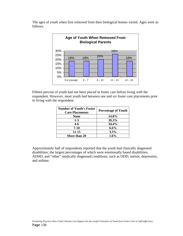The ages of youth when first removed from their biological homes varied. Ages were as follows:



Fifteen percent of youth had not been placed in foster care before living with the respondent. However, most youth had between one and six foster care placements prior to living with the respondent.

| <b>Number of Youth's Foster</b><br><b>Care Placements</b> | <b>Percentage of Youth</b> |
|-----------------------------------------------------------|----------------------------|
| None                                                      | 14.8%                      |
| $1 - 3$                                                   | 39.3%                      |
| $4 - 6$                                                   | 34.4%                      |
| $7-10$                                                    | $6.6\%$                    |
| 11-15                                                     | 3.3%                       |
| More than 20                                              | $1.6\%$                    |

Approximately half of respondents reported that the youth had clinically diagnosed disabilities; the largest percentages of which were emotionally based disabilities, ADHD, and "other" medically diagnosed conditions, such as ODD, autism, depression, and asthma.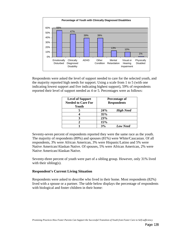

Respondents were asked the level of support needed to care for the selected youth, and the majority reported high needs for support. Using a scale from 1 to 5 (with one indicating lowest support and five indicating highest support), 59% of respondents reported their level of support needed as 4 or 5. Percentages were as follows:

| <b>Level of Support</b><br><b>Needed to Care For</b><br>Youth | Percentage of<br><b>Respondents</b> |
|---------------------------------------------------------------|-------------------------------------|
|                                                               | 24%<br><b>High Need</b>             |
|                                                               | 35%                                 |
|                                                               | 23%                                 |
|                                                               | 15%                                 |
|                                                               | 3%<br><b>Low Need</b>               |

Seventy-seven percent of respondents reported they were the same race as the youth. The majority of respondents (89%) and spouses (81%) were White/Caucasian. Of all respondents, 3% were African American, 3% were Hispanic/Latino and 5% were Native American/Alaskan Native. Of spouses, 5% were African American, 2% were Native American/Alaskan Native.

Seventy-three percent of youth were part of a sibling group. However, only 31% lived with their sibling(s).

### **Respondent's Current Living Situation**

Respondents were asked to describe who lived in their home. Most respondents (82%) lived with a spouse or a partner. The table below displays the percentage of respondents with biological and foster children in their home: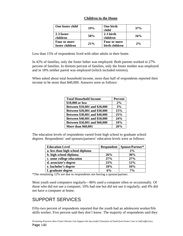| One foster child                | 19% | One birth<br>child             | 37% |
|---------------------------------|-----|--------------------------------|-----|
| 2-3 foster<br>children          | 58% | $2-3$ birth<br>children        | 16% |
| Four or more<br>foster children | 21% | Four or more<br>birth children | 2%  |

#### **Children in the Home**

Less than 15% of respondents lived with other adults in their home.

In 42% of families, only the foster father was employed. Both parents worked in 27% percent of families. In thirteen percent of families, only the foster mother was employed and in 18% neither parent was employed (which included retirees).

When asked about total household income, more than half of respondents reported their income to be more than \$40,000. Answers were as follows:

| <b>Total Household Income</b> | <b>Percent</b> |
|-------------------------------|----------------|
| \$10,000 or less              | 2%             |
| Between \$10,001 and \$20,000 | 3%             |
| Between \$20,001 and \$30,000 | 15%            |
| Between \$30,001 and \$40,000 | 25%            |
| Between \$40,001 and \$50,000 | 24%            |
| Between \$50,001 and \$60,000 | 10%            |
| <b>More than \$60,001</b>     | 20%            |

The education levels of respondents varied from high school to graduate school degrees. Respondents' and spouses/partners' education levels were as follows:

| <b>Education Level</b>           | <b>Respondent</b> | Spouse/Partner* |
|----------------------------------|-------------------|-----------------|
| a. less than high school diploma |                   | 2%              |
| b. high school diploma           | 26%               | 30%             |
| c. some college education        | 27%               | 27%             |
| d. associate's degree            | 23%               | 12%             |
| e. bachelor's degree             | 18%               | 10%             |
| f. graduate degree               | 6%                | $7\%$           |

\*The remaining 12% are due to respondents not having a spouse/partner.

Most youth used computers regularly—86% used a computer often or occasionally. Of those who did not use a computer, 10% had one but did not use it regularly, and 4% did not have a computer at home.

### SUPPORT SERVICES

Fifty-two percent of respondents reported that the youth had an adolescent worker/life skills worker. Five percent said they don't know. The majority of respondents said they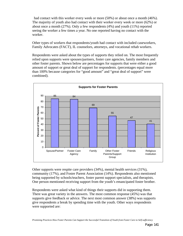had contact with this worker every week or more (50%) or about once a month (46%). The majority of youth also had contact with their worker every week or more (62%) or about once a month (27%). Only a few respondents (4%) and youth (11%) reported seeing the worker a few times a year. No one reported having no contact with the worker.

Other types of workers that respondents/youth had contact with included caseworkers, Family Advocates (FACT), IL counselors, attorneys, and vocational rehab workers.

Respondents were asked about the types of supports they relied on. The most frequently relied upon supports were spouses/partners, foster care agencies, family members and other foster parents. Shown below are percentages for supports that were either a good amount of support or great deal of support for respondents. (percentages equal more than 100% because categories for "good amount" and "great deal of support" were combined).



Other supports were respite care providers (34%), mental health services (31%), community (17%), and Foster Parent Association (14%). Respondents also mentioned being supported by schools/teachers, foster parent support specialists, and therapists. One person mentioned receiving support from the youth's emancipated foster brother.

Respondents were asked what kind of things their supports did in supporting them. There was great variety in the answers. The most common response (45%) was that supports give feedback or advice. The next most common answer (38%) was supports give respondents a break by spending time with the youth. Other ways respondents were supported are: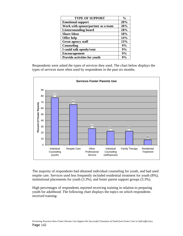| <b>TYPE OF SUPPORT</b>              | $\frac{0}{0}$ |
|-------------------------------------|---------------|
| <b>Emotional support</b>            | 20%           |
| Work with spouse/partner as a team  | 20%           |
| <b>Listen/sounding board</b>        | 18%           |
| <b>Share Ideas</b>                  | 18%           |
| <b>Offer help</b>                   | 14%           |
| <b>Great agency staff</b>           | 13%           |
| Counseling                          | 9%            |
| I could talk openly/vent            | 9%            |
| <b>Encouragement</b>                | 9%            |
| <b>Provide activities for youth</b> | $9\%$         |

Respondents were asked the types of services they used. The chart below displays the types of services most often used by respondents in the past six months.



The majority of respondents had obtained individual counseling for youth, and had used respite care. Services used less frequently included residential treatment for youth (8%), institutional placements for youth (3.3%), and foster parent support groups (3.3%).

High percentages of respondents reported receiving training in relation to preparing youth for adulthood. The following chart displays the topics on which respondents received training: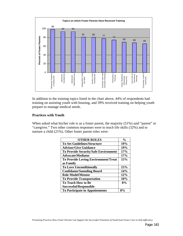

In addition to the training topics listed in the chart above, 44% of respondents had training on assisting youth with housing, and 39% received training on helping youth prepare to manage medical needs.

#### **Practices with Youth**

When asked what his/her role is as a foster parent, the majority (51%) said "parent" or "caregiver." Two other common responses were to teach life skills (32%) and to nurture a child (21%). Other foster parent roles were:

| <b>OTHER ROLES</b>                          | $\frac{6}{6}$ |
|---------------------------------------------|---------------|
| <b>To Set Guidelines/Structure</b>          | 19%           |
| <b>Advisor/Give Guidance</b>                | 19%           |
| <b>To Provide Security/Safe Environment</b> | 17%           |
| <b>Advocate/Mediator</b>                    | 17%           |
| <b>To Provide Loving Environment/Treat</b>  | 15%           |
| as Family                                   |               |
| <b>To Love Unconditionally</b>              | 15%           |
| <b>Confidante/Sounding Board</b>            | 14%           |
| <b>Role Model/Mentor</b>                    | 12%           |
| <b>To Provide Transportation</b>            | 10%           |
| <b>To Teach How to Be</b>                   | 8%            |
| Successful/Responsible                      |               |
| <b>To Participate in Appointments</b>       | 8%            |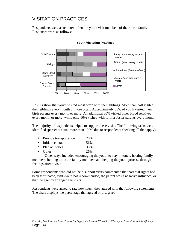# VISITATION PRACTICES

Respondents were asked how often the youth visit members of their birth family. Responses were as follows:



Results show that youth visited most often with their siblings. More than half visited their siblings every month or more often. Approximately 35% of youth visited their birth parents every month or more. An additional 30% visited other blood relatives every month or more, while only 10% visited with former foster parents every month.

The majority of respondents helped to support these visits. The following tasks were identified (percents equal more than 100% due to respondents checking all that apply):

- Provide transportation 70%
- Initiate contact 56%
- Plan activities 33%
- Other 26%

\*Other ways included encouraging the youth to stay in touch, hosting family members, helping to locate family members and helping the youth process through feelings after a visit.

Some respondents who did not help support visits commented that parental rights had been terminated, visits were not recommended, the parent was a negative influence, or that the agency arranged the visits.

Respondents were asked to rate how much they agreed with the following statements. The chart displays the percentage that agreed or disagreed.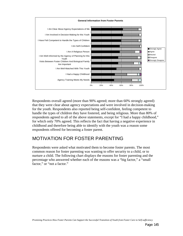

Respondents overall agreed (more than 90% agreed; more than 60% strongly agreed) that they were clear about agency expectations and were involved in decision-making for the youth. Respondents also reported being self-confident, feeling competent to handle the types of children they have fostered, and being religious. More than 80% of respondents agreed to all of the above statements, except for "I had a happy childhood," for which only 70% agreed. This reflects the fact that having a negative experience in childhood and therefore being able to identify with the youth was a reason some respondents offered for becoming a foster parent.

### MOTIVATION FOR FOSTER PARENTING

Respondents were asked what motivated them to become foster parents. The most common reason for foster parenting was wanting to offer security to a child, or to nurture a child. The following chart displays the reasons for foster parenting and the percentage who answered whether each of the reasons was a "big factor," a "small factor," or "not a factor."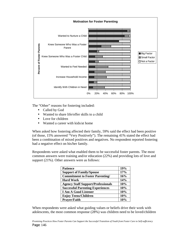

The "Other" reasons for fostering included:

- Called by God
- Wanted to share life/offer skills to a child
- Love for children
- Wanted a career with kids/at home

When asked how fostering affected their family, 59% said the effect had been positive (of those, 15% answered "Very Positively"). The remaining 41% stated the effect had been a combination of mixed positives and negatives. No respondent reported fostering had a negative effect on his/her family.

Respondents were asked what enabled them to be successful foster parents. The most common answers were training and/or education (22%) and providing lots of love and support (21%). Other answers were as follows:

| <b>Patience</b>                           | 19% |
|-------------------------------------------|-----|
| <b>Support of Family/Spouse</b>           | 17% |
| <b>Commitment to Foster Parenting/</b>    | 16% |
| <b>Hard Work</b>                          | 14% |
| <b>Agency Staff Support/Professionals</b> | 10% |
| <b>Successful Parenting Experiences</b>   | 10% |
| <b>I Am A Good Listener</b>               | 10% |
| <b>Enjoy Teens/Children</b>               | 10% |
| <b>Prayer/Faith</b>                       | 10% |

When respondents were asked what guiding values or beliefs drive their work with adolescents, the most common response (28%) was children need to be loved/children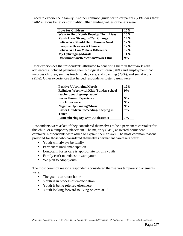need to experience a family. Another common guide for foster parents (21%) was their faith/religious belief or spirituality. Other guiding values or beliefs were:

| <b>Love for Children</b>                      | 16% |
|-----------------------------------------------|-----|
| <b>Want to Help Youth Develop Their Lives</b> | 16% |
| <b>Youth Have Strengths/Can Change</b>        | 14% |
| <b>Believe We Should Help Those in Need</b>   | 12% |
| <b>Everyone Deserves A Chance</b>             | 12% |
| <b>Believe We Can Make a Difference</b>       | 12% |
| <b>My Upbringing/Morals</b>                   | 11% |
| <b>Determination/Dedication/Work Ethic</b>    | 9%  |

Prior experiences that respondents attributed to benefiting them in their work with adolescents included parenting their biological children (34%) and employment that involves children, such as teaching, day care, and coaching (29%); and social work (21%). Other experiences that helped respondents foster parent were:

| <b>Positive Upbringing/Morals</b>              | 12%   |
|------------------------------------------------|-------|
| <b>Religious Work with Kids (Sunday school</b> | 9%    |
| teacher, youth group leader)                   |       |
| <b>Foster Parent Experience</b>                | 9%    |
| <b>Life Experience</b>                         | 9%    |
| <b>Negative Upbringing/Abuse</b>               | 9%    |
| <b>Foster Children Succeeding/Keeping in</b>   | $7\%$ |
| <b>Touch</b>                                   |       |
| <b>Remembering My Own Adolescence</b>          | $7\%$ |

Respondents were asked if they considered themselves to be a permanent caretaker for this child, or a temporary placement. The majority (64%) answered permanent caretaker. Respondents were asked to explain their answer. The most common reasons provided for those who considered themselves permanent caretakers were:

- Youth will always be family
- Permanent until emancipation
- Long-term foster care is appropriate for this youth
- Family can't take/doesn't want youth
- We plan to adopt youth

The most common reasons respondents considered themselves temporary placements were:

- The goal is to return home
- Youth is in process of emancipation
- Youth is being referred elsewhere
- Youth looking forward to living on own at 18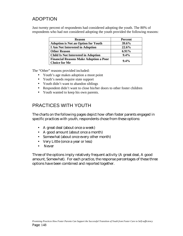# ADOPTION

Just twenty percent of respondents had considered adopting the youth. The 80% of respondents who had not considered adopting the youth provided the following reasons:

| <b>Reason</b>                                                         | <b>Percent</b> |
|-----------------------------------------------------------------------|----------------|
| <b>Adoption is Not an Option for Youth</b>                            | 39.6%          |
| <b>I Am Not Interested in Adoption</b>                                | 22.6%          |
| <b>Other Reason</b>                                                   | 6.91%          |
| <b>Child Is Not Interested in Adoption</b>                            | 9.4%           |
| <b>Financial Reasons Make Adoption a Poor</b><br><b>Choice for Me</b> | $9.4\%$        |

The "Other" reasons provided included:

- Youth's age makes adoption a moot point
- Youth's needs require state support
- Youth didn't want to abandon siblings
- Respondent didn't want to close his/her doors to other foster children
- Youth wanted to keep his own parents.

# PRACTICES WITH YOUTH

The charts on the following pages depict how often foster parents engaged in specific practices with youth, respondents chose from these options:

- A great deal (about once a week)
- A good amount (about once a month)
- Somewhat (about once every other month)
- Very Little (once a year or less)
- Never

Three of the options imply relatively frequent activity (A great deal, A good amount, Somewhat). For each practice, the response percentages of these three options have been combined and reported together.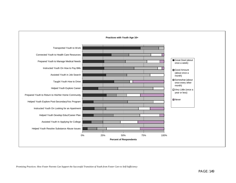

*Promising Practices: How Foster Parents Can Support the Successful Transition of Youth from Foster Care to Self-Sufficiency*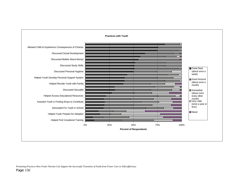